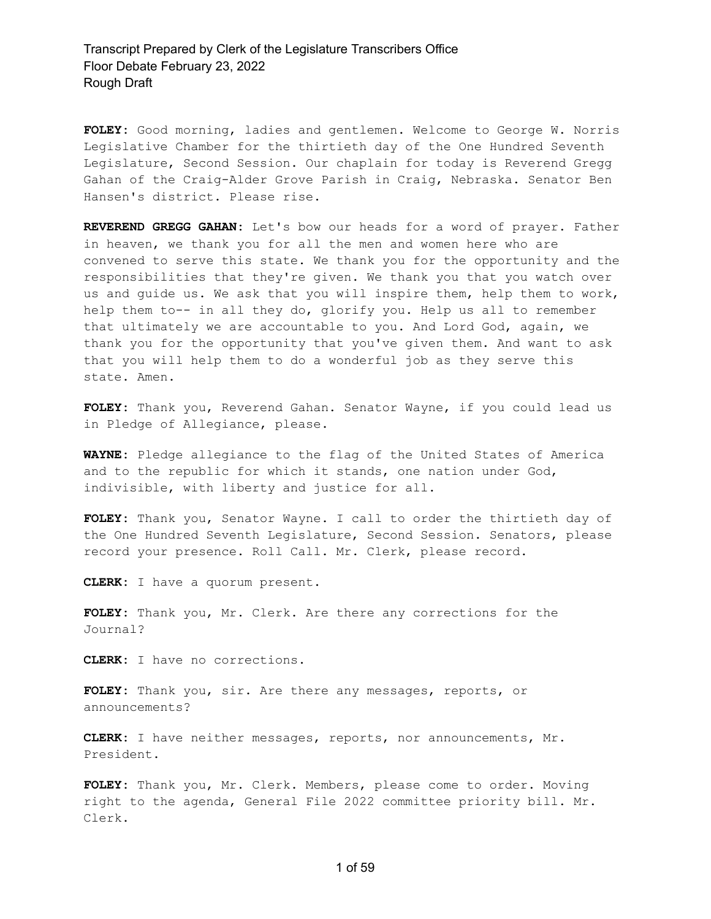**FOLEY:** Good morning, ladies and gentlemen. Welcome to George W. Norris Legislative Chamber for the thirtieth day of the One Hundred Seventh Legislature, Second Session. Our chaplain for today is Reverend Gregg Gahan of the Craig-Alder Grove Parish in Craig, Nebraska. Senator Ben Hansen's district. Please rise.

**REVEREND GREGG GAHAN:** Let's bow our heads for a word of prayer. Father in heaven, we thank you for all the men and women here who are convened to serve this state. We thank you for the opportunity and the responsibilities that they're given. We thank you that you watch over us and guide us. We ask that you will inspire them, help them to work, help them to-- in all they do, glorify you. Help us all to remember that ultimately we are accountable to you. And Lord God, again, we thank you for the opportunity that you've given them. And want to ask that you will help them to do a wonderful job as they serve this state. Amen.

**FOLEY:** Thank you, Reverend Gahan. Senator Wayne, if you could lead us in Pledge of Allegiance, please.

**WAYNE:** Pledge allegiance to the flag of the United States of America and to the republic for which it stands, one nation under God, indivisible, with liberty and justice for all.

**FOLEY:** Thank you, Senator Wayne. I call to order the thirtieth day of the One Hundred Seventh Legislature, Second Session. Senators, please record your presence. Roll Call. Mr. Clerk, please record.

**CLERK:** I have a quorum present.

**FOLEY:** Thank you, Mr. Clerk. Are there any corrections for the Journal?

**CLERK:** I have no corrections.

**FOLEY:** Thank you, sir. Are there any messages, reports, or announcements?

**CLERK:** I have neither messages, reports, nor announcements, Mr. President.

**FOLEY:** Thank you, Mr. Clerk. Members, please come to order. Moving right to the agenda, General File 2022 committee priority bill. Mr. Clerk.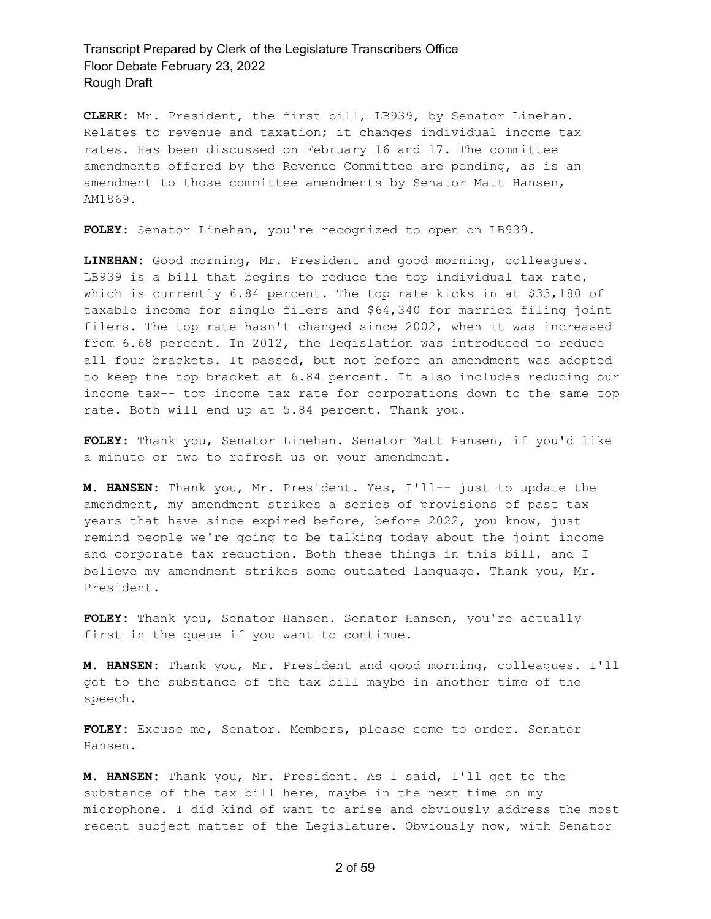**CLERK:** Mr. President, the first bill, LB939, by Senator Linehan. Relates to revenue and taxation; it changes individual income tax rates. Has been discussed on February 16 and 17. The committee amendments offered by the Revenue Committee are pending, as is an amendment to those committee amendments by Senator Matt Hansen, AM1869.

**FOLEY:** Senator Linehan, you're recognized to open on LB939.

**LINEHAN:** Good morning, Mr. President and good morning, colleagues. LB939 is a bill that begins to reduce the top individual tax rate, which is currently 6.84 percent. The top rate kicks in at \$33,180 of taxable income for single filers and \$64,340 for married filing joint filers. The top rate hasn't changed since 2002, when it was increased from 6.68 percent. In 2012, the legislation was introduced to reduce all four brackets. It passed, but not before an amendment was adopted to keep the top bracket at 6.84 percent. It also includes reducing our income tax-- top income tax rate for corporations down to the same top rate. Both will end up at 5.84 percent. Thank you.

**FOLEY:** Thank you, Senator Linehan. Senator Matt Hansen, if you'd like a minute or two to refresh us on your amendment.

**M. HANSEN:** Thank you, Mr. President. Yes, I'll-- just to update the amendment, my amendment strikes a series of provisions of past tax years that have since expired before, before 2022, you know, just remind people we're going to be talking today about the joint income and corporate tax reduction. Both these things in this bill, and I believe my amendment strikes some outdated language. Thank you, Mr. President.

**FOLEY:** Thank you, Senator Hansen. Senator Hansen, you're actually first in the queue if you want to continue.

**M. HANSEN:** Thank you, Mr. President and good morning, colleagues. I'll get to the substance of the tax bill maybe in another time of the speech.

**FOLEY:** Excuse me, Senator. Members, please come to order. Senator Hansen.

**M. HANSEN:** Thank you, Mr. President. As I said, I'll get to the substance of the tax bill here, maybe in the next time on my microphone. I did kind of want to arise and obviously address the most recent subject matter of the Legislature. Obviously now, with Senator

2 of 59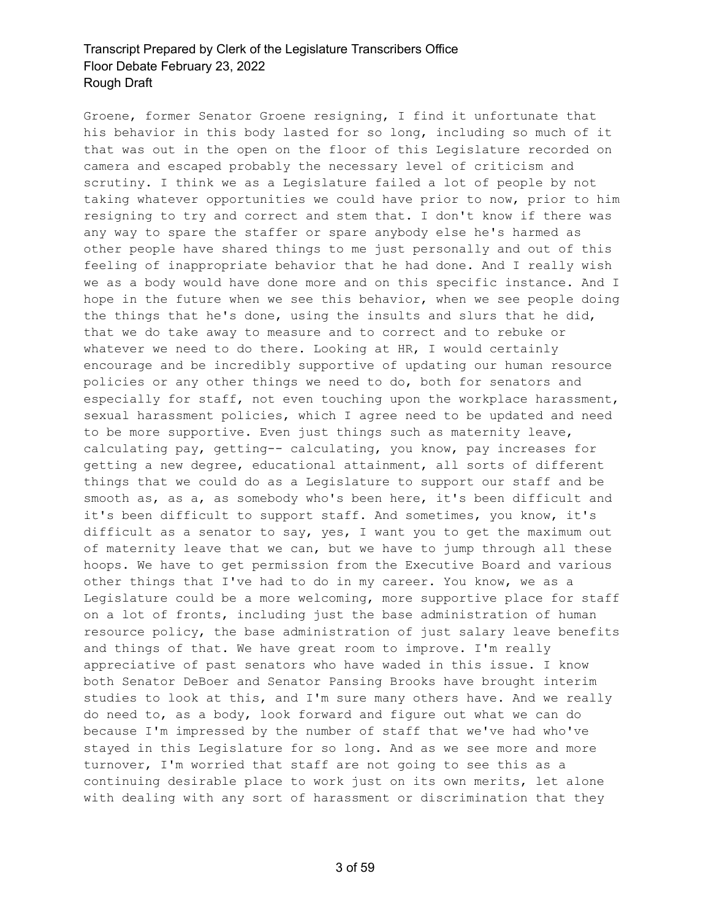Groene, former Senator Groene resigning, I find it unfortunate that his behavior in this body lasted for so long, including so much of it that was out in the open on the floor of this Legislature recorded on camera and escaped probably the necessary level of criticism and scrutiny. I think we as a Legislature failed a lot of people by not taking whatever opportunities we could have prior to now, prior to him resigning to try and correct and stem that. I don't know if there was any way to spare the staffer or spare anybody else he's harmed as other people have shared things to me just personally and out of this feeling of inappropriate behavior that he had done. And I really wish we as a body would have done more and on this specific instance. And I hope in the future when we see this behavior, when we see people doing the things that he's done, using the insults and slurs that he did, that we do take away to measure and to correct and to rebuke or whatever we need to do there. Looking at HR, I would certainly encourage and be incredibly supportive of updating our human resource policies or any other things we need to do, both for senators and especially for staff, not even touching upon the workplace harassment, sexual harassment policies, which I agree need to be updated and need to be more supportive. Even just things such as maternity leave, calculating pay, getting-- calculating, you know, pay increases for getting a new degree, educational attainment, all sorts of different things that we could do as a Legislature to support our staff and be smooth as, as a, as somebody who's been here, it's been difficult and it's been difficult to support staff. And sometimes, you know, it's difficult as a senator to say, yes, I want you to get the maximum out of maternity leave that we can, but we have to jump through all these hoops. We have to get permission from the Executive Board and various other things that I've had to do in my career. You know, we as a Legislature could be a more welcoming, more supportive place for staff on a lot of fronts, including just the base administration of human resource policy, the base administration of just salary leave benefits and things of that. We have great room to improve. I'm really appreciative of past senators who have waded in this issue. I know both Senator DeBoer and Senator Pansing Brooks have brought interim studies to look at this, and I'm sure many others have. And we really do need to, as a body, look forward and figure out what we can do because I'm impressed by the number of staff that we've had who've stayed in this Legislature for so long. And as we see more and more turnover, I'm worried that staff are not going to see this as a continuing desirable place to work just on its own merits, let alone with dealing with any sort of harassment or discrimination that they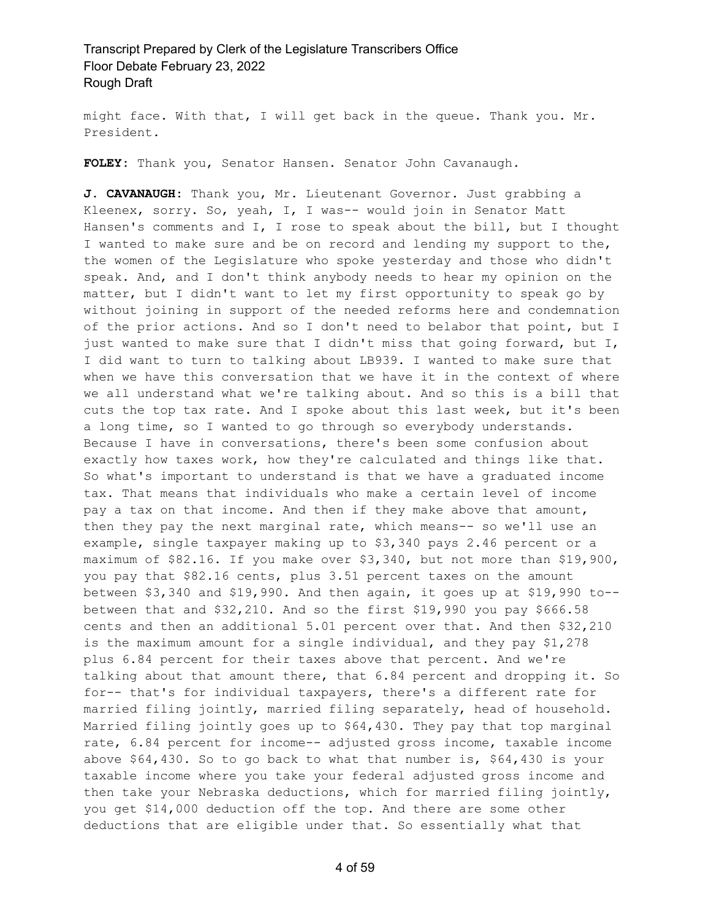might face. With that, I will get back in the queue. Thank you. Mr. President.

**FOLEY:** Thank you, Senator Hansen. Senator John Cavanaugh.

**J. CAVANAUGH:** Thank you, Mr. Lieutenant Governor. Just grabbing a Kleenex, sorry. So, yeah, I, I was-- would join in Senator Matt Hansen's comments and I, I rose to speak about the bill, but I thought I wanted to make sure and be on record and lending my support to the, the women of the Legislature who spoke yesterday and those who didn't speak. And, and I don't think anybody needs to hear my opinion on the matter, but I didn't want to let my first opportunity to speak go by without joining in support of the needed reforms here and condemnation of the prior actions. And so I don't need to belabor that point, but I just wanted to make sure that I didn't miss that going forward, but I, I did want to turn to talking about LB939. I wanted to make sure that when we have this conversation that we have it in the context of where we all understand what we're talking about. And so this is a bill that cuts the top tax rate. And I spoke about this last week, but it's been a long time, so I wanted to go through so everybody understands. Because I have in conversations, there's been some confusion about exactly how taxes work, how they're calculated and things like that. So what's important to understand is that we have a graduated income tax. That means that individuals who make a certain level of income pay a tax on that income. And then if they make above that amount, then they pay the next marginal rate, which means-- so we'll use an example, single taxpayer making up to \$3,340 pays 2.46 percent or a maximum of \$82.16. If you make over \$3,340, but not more than \$19,900, you pay that \$82.16 cents, plus 3.51 percent taxes on the amount between \$3,340 and \$19,990. And then again, it goes up at \$19,990 to- between that and \$32,210. And so the first \$19,990 you pay \$666.58 cents and then an additional 5.01 percent over that. And then \$32,210 is the maximum amount for a single individual, and they pay \$1,278 plus 6.84 percent for their taxes above that percent. And we're talking about that amount there, that 6.84 percent and dropping it. So for-- that's for individual taxpayers, there's a different rate for married filing jointly, married filing separately, head of household. Married filing jointly goes up to \$64,430. They pay that top marginal rate, 6.84 percent for income-- adjusted gross income, taxable income above \$64,430. So to go back to what that number is, \$64,430 is your taxable income where you take your federal adjusted gross income and then take your Nebraska deductions, which for married filing jointly, you get \$14,000 deduction off the top. And there are some other deductions that are eligible under that. So essentially what that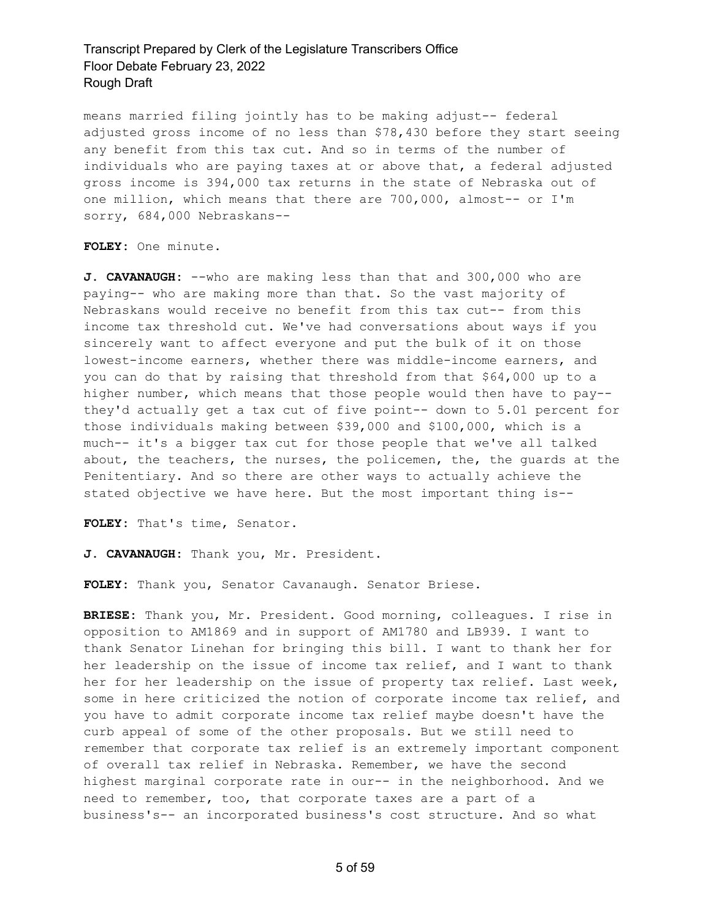means married filing jointly has to be making adjust-- federal adjusted gross income of no less than \$78,430 before they start seeing any benefit from this tax cut. And so in terms of the number of individuals who are paying taxes at or above that, a federal adjusted gross income is 394,000 tax returns in the state of Nebraska out of one million, which means that there are 700,000, almost-- or I'm sorry, 684,000 Nebraskans--

#### **FOLEY:** One minute.

**J. CAVANAUGH:** --who are making less than that and 300,000 who are paying-- who are making more than that. So the vast majority of Nebraskans would receive no benefit from this tax cut-- from this income tax threshold cut. We've had conversations about ways if you sincerely want to affect everyone and put the bulk of it on those lowest-income earners, whether there was middle-income earners, and you can do that by raising that threshold from that \$64,000 up to a higher number, which means that those people would then have to pay- they'd actually get a tax cut of five point-- down to 5.01 percent for those individuals making between \$39,000 and \$100,000, which is a much-- it's a bigger tax cut for those people that we've all talked about, the teachers, the nurses, the policemen, the, the guards at the Penitentiary. And so there are other ways to actually achieve the stated objective we have here. But the most important thing is--

**FOLEY:** That's time, Senator.

**J. CAVANAUGH:** Thank you, Mr. President.

**FOLEY:** Thank you, Senator Cavanaugh. Senator Briese.

**BRIESE:** Thank you, Mr. President. Good morning, colleagues. I rise in opposition to AM1869 and in support of AM1780 and LB939. I want to thank Senator Linehan for bringing this bill. I want to thank her for her leadership on the issue of income tax relief, and I want to thank her for her leadership on the issue of property tax relief. Last week, some in here criticized the notion of corporate income tax relief, and you have to admit corporate income tax relief maybe doesn't have the curb appeal of some of the other proposals. But we still need to remember that corporate tax relief is an extremely important component of overall tax relief in Nebraska. Remember, we have the second highest marginal corporate rate in our-- in the neighborhood. And we need to remember, too, that corporate taxes are a part of a business's-- an incorporated business's cost structure. And so what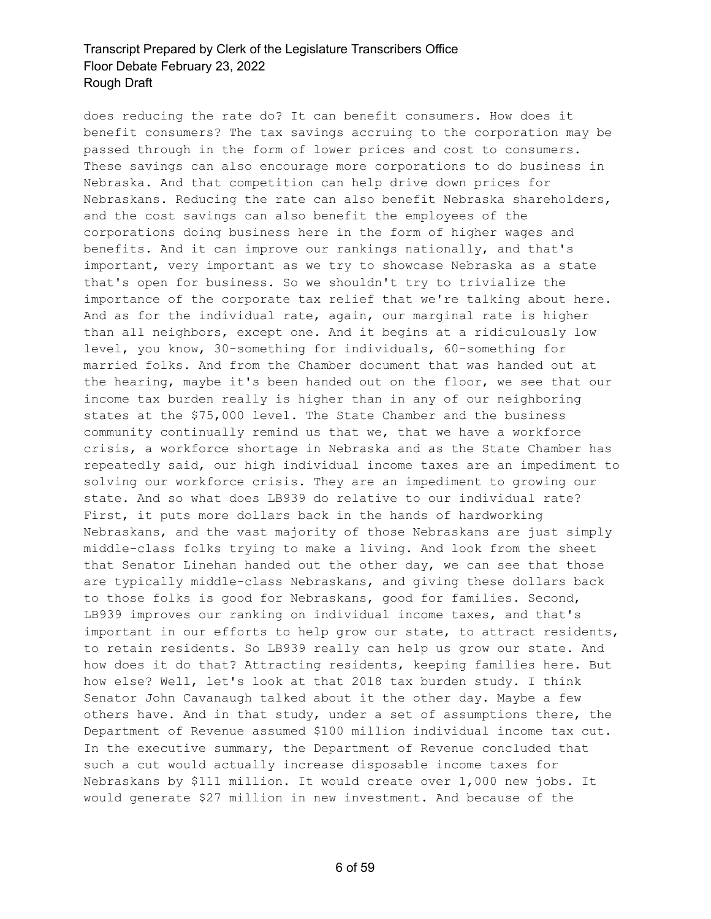does reducing the rate do? It can benefit consumers. How does it benefit consumers? The tax savings accruing to the corporation may be passed through in the form of lower prices and cost to consumers. These savings can also encourage more corporations to do business in Nebraska. And that competition can help drive down prices for Nebraskans. Reducing the rate can also benefit Nebraska shareholders, and the cost savings can also benefit the employees of the corporations doing business here in the form of higher wages and benefits. And it can improve our rankings nationally, and that's important, very important as we try to showcase Nebraska as a state that's open for business. So we shouldn't try to trivialize the importance of the corporate tax relief that we're talking about here. And as for the individual rate, again, our marginal rate is higher than all neighbors, except one. And it begins at a ridiculously low level, you know, 30-something for individuals, 60-something for married folks. And from the Chamber document that was handed out at the hearing, maybe it's been handed out on the floor, we see that our income tax burden really is higher than in any of our neighboring states at the \$75,000 level. The State Chamber and the business community continually remind us that we, that we have a workforce crisis, a workforce shortage in Nebraska and as the State Chamber has repeatedly said, our high individual income taxes are an impediment to solving our workforce crisis. They are an impediment to growing our state. And so what does LB939 do relative to our individual rate? First, it puts more dollars back in the hands of hardworking Nebraskans, and the vast majority of those Nebraskans are just simply middle-class folks trying to make a living. And look from the sheet that Senator Linehan handed out the other day, we can see that those are typically middle-class Nebraskans, and giving these dollars back to those folks is good for Nebraskans, good for families. Second, LB939 improves our ranking on individual income taxes, and that's important in our efforts to help grow our state, to attract residents, to retain residents. So LB939 really can help us grow our state. And how does it do that? Attracting residents, keeping families here. But how else? Well, let's look at that 2018 tax burden study. I think Senator John Cavanaugh talked about it the other day. Maybe a few others have. And in that study, under a set of assumptions there, the Department of Revenue assumed \$100 million individual income tax cut. In the executive summary, the Department of Revenue concluded that such a cut would actually increase disposable income taxes for Nebraskans by \$111 million. It would create over 1,000 new jobs. It would generate \$27 million in new investment. And because of the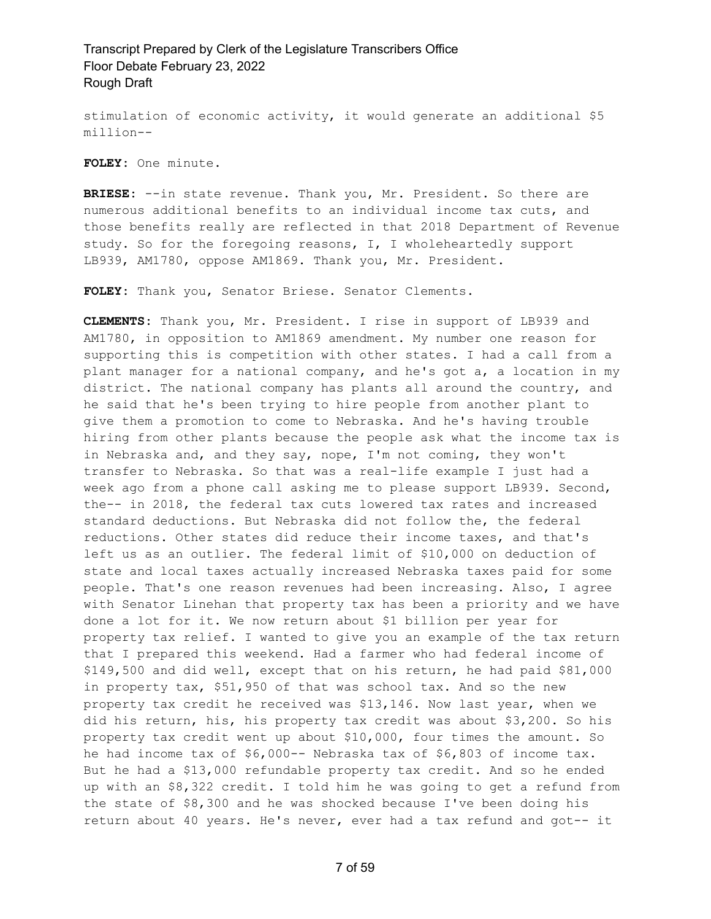stimulation of economic activity, it would generate an additional \$5 million--

**FOLEY:** One minute.

**BRIESE:** --in state revenue. Thank you, Mr. President. So there are numerous additional benefits to an individual income tax cuts, and those benefits really are reflected in that 2018 Department of Revenue study. So for the foregoing reasons, I, I wholeheartedly support LB939, AM1780, oppose AM1869. Thank you, Mr. President.

**FOLEY:** Thank you, Senator Briese. Senator Clements.

**CLEMENTS:** Thank you, Mr. President. I rise in support of LB939 and AM1780, in opposition to AM1869 amendment. My number one reason for supporting this is competition with other states. I had a call from a plant manager for a national company, and he's got a, a location in my district. The national company has plants all around the country, and he said that he's been trying to hire people from another plant to give them a promotion to come to Nebraska. And he's having trouble hiring from other plants because the people ask what the income tax is in Nebraska and, and they say, nope, I'm not coming, they won't transfer to Nebraska. So that was a real-life example I just had a week ago from a phone call asking me to please support LB939. Second, the-- in 2018, the federal tax cuts lowered tax rates and increased standard deductions. But Nebraska did not follow the, the federal reductions. Other states did reduce their income taxes, and that's left us as an outlier. The federal limit of \$10,000 on deduction of state and local taxes actually increased Nebraska taxes paid for some people. That's one reason revenues had been increasing. Also, I agree with Senator Linehan that property tax has been a priority and we have done a lot for it. We now return about \$1 billion per year for property tax relief. I wanted to give you an example of the tax return that I prepared this weekend. Had a farmer who had federal income of \$149,500 and did well, except that on his return, he had paid \$81,000 in property tax, \$51,950 of that was school tax. And so the new property tax credit he received was \$13,146. Now last year, when we did his return, his, his property tax credit was about \$3,200. So his property tax credit went up about \$10,000, four times the amount. So he had income tax of \$6,000-- Nebraska tax of \$6,803 of income tax. But he had a \$13,000 refundable property tax credit. And so he ended up with an \$8,322 credit. I told him he was going to get a refund from the state of \$8,300 and he was shocked because I've been doing his return about 40 years. He's never, ever had a tax refund and got-- it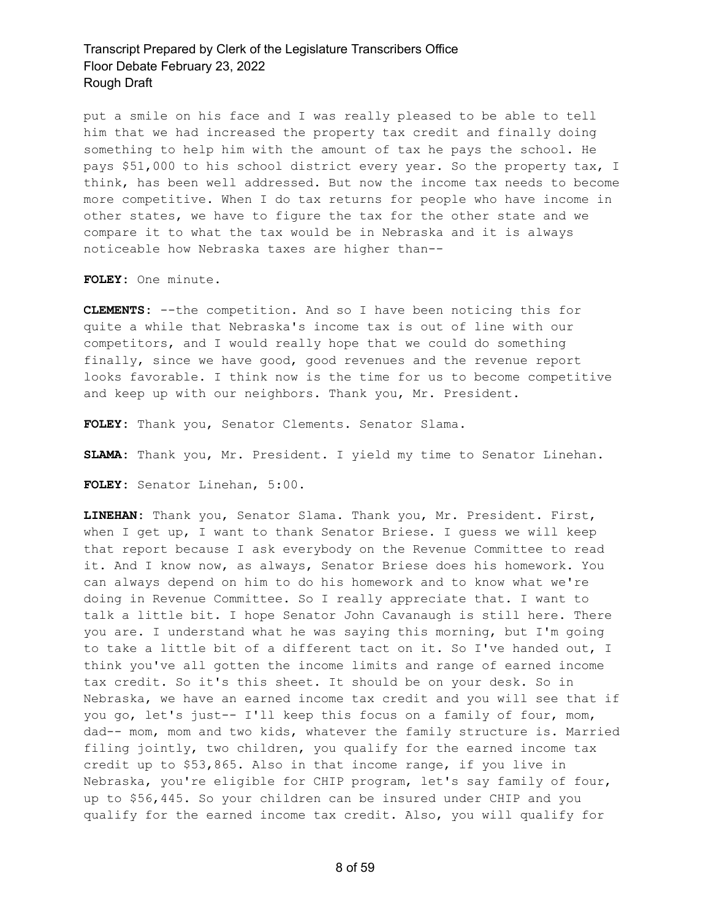put a smile on his face and I was really pleased to be able to tell him that we had increased the property tax credit and finally doing something to help him with the amount of tax he pays the school. He pays \$51,000 to his school district every year. So the property tax, I think, has been well addressed. But now the income tax needs to become more competitive. When I do tax returns for people who have income in other states, we have to figure the tax for the other state and we compare it to what the tax would be in Nebraska and it is always noticeable how Nebraska taxes are higher than--

**FOLEY:** One minute.

**CLEMENTS:** --the competition. And so I have been noticing this for quite a while that Nebraska's income tax is out of line with our competitors, and I would really hope that we could do something finally, since we have good, good revenues and the revenue report looks favorable. I think now is the time for us to become competitive and keep up with our neighbors. Thank you, Mr. President.

**FOLEY:** Thank you, Senator Clements. Senator Slama.

**SLAMA:** Thank you, Mr. President. I yield my time to Senator Linehan.

**FOLEY:** Senator Linehan, 5:00.

**LINEHAN:** Thank you, Senator Slama. Thank you, Mr. President. First, when I get up, I want to thank Senator Briese. I guess we will keep that report because I ask everybody on the Revenue Committee to read it. And I know now, as always, Senator Briese does his homework. You can always depend on him to do his homework and to know what we're doing in Revenue Committee. So I really appreciate that. I want to talk a little bit. I hope Senator John Cavanaugh is still here. There you are. I understand what he was saying this morning, but I'm going to take a little bit of a different tact on it. So I've handed out, I think you've all gotten the income limits and range of earned income tax credit. So it's this sheet. It should be on your desk. So in Nebraska, we have an earned income tax credit and you will see that if you go, let's just-- I'll keep this focus on a family of four, mom, dad-- mom, mom and two kids, whatever the family structure is. Married filing jointly, two children, you qualify for the earned income tax credit up to \$53,865. Also in that income range, if you live in Nebraska, you're eligible for CHIP program, let's say family of four, up to \$56,445. So your children can be insured under CHIP and you qualify for the earned income tax credit. Also, you will qualify for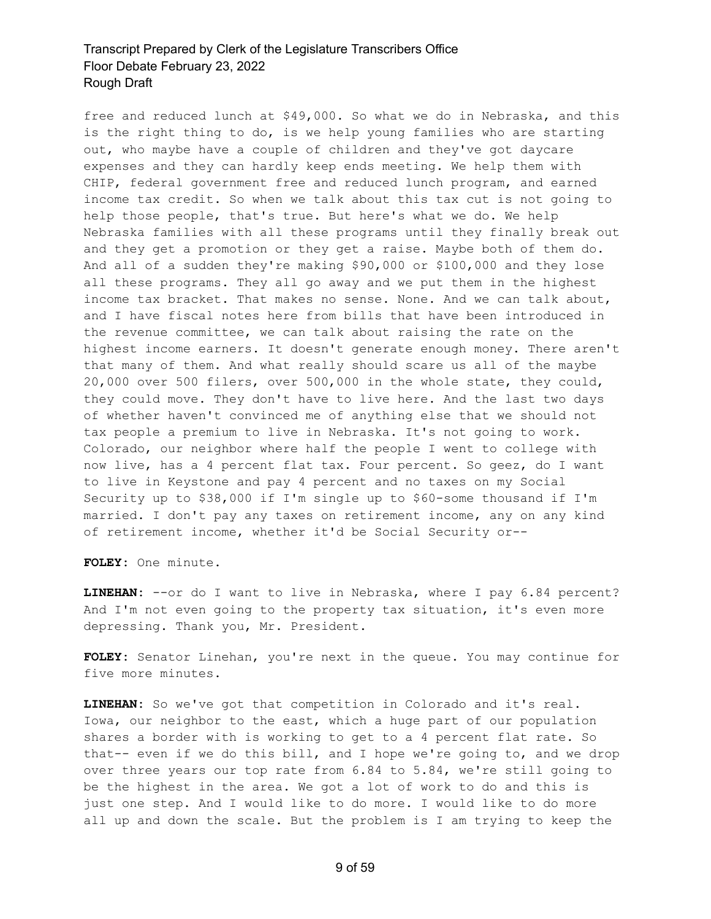free and reduced lunch at \$49,000. So what we do in Nebraska, and this is the right thing to do, is we help young families who are starting out, who maybe have a couple of children and they've got daycare expenses and they can hardly keep ends meeting. We help them with CHIP, federal government free and reduced lunch program, and earned income tax credit. So when we talk about this tax cut is not going to help those people, that's true. But here's what we do. We help Nebraska families with all these programs until they finally break out and they get a promotion or they get a raise. Maybe both of them do. And all of a sudden they're making \$90,000 or \$100,000 and they lose all these programs. They all go away and we put them in the highest income tax bracket. That makes no sense. None. And we can talk about, and I have fiscal notes here from bills that have been introduced in the revenue committee, we can talk about raising the rate on the highest income earners. It doesn't generate enough money. There aren't that many of them. And what really should scare us all of the maybe 20,000 over 500 filers, over 500,000 in the whole state, they could, they could move. They don't have to live here. And the last two days of whether haven't convinced me of anything else that we should not tax people a premium to live in Nebraska. It's not going to work. Colorado, our neighbor where half the people I went to college with now live, has a 4 percent flat tax. Four percent. So geez, do I want to live in Keystone and pay 4 percent and no taxes on my Social Security up to \$38,000 if I'm single up to \$60-some thousand if I'm married. I don't pay any taxes on retirement income, any on any kind of retirement income, whether it'd be Social Security or--

**FOLEY:** One minute.

LINEHAN: --or do I want to live in Nebraska, where I pay 6.84 percent? And I'm not even going to the property tax situation, it's even more depressing. Thank you, Mr. President.

**FOLEY:** Senator Linehan, you're next in the queue. You may continue for five more minutes.

**LINEHAN:** So we've got that competition in Colorado and it's real. Iowa, our neighbor to the east, which a huge part of our population shares a border with is working to get to a 4 percent flat rate. So that-- even if we do this bill, and I hope we're going to, and we drop over three years our top rate from 6.84 to 5.84, we're still going to be the highest in the area. We got a lot of work to do and this is just one step. And I would like to do more. I would like to do more all up and down the scale. But the problem is I am trying to keep the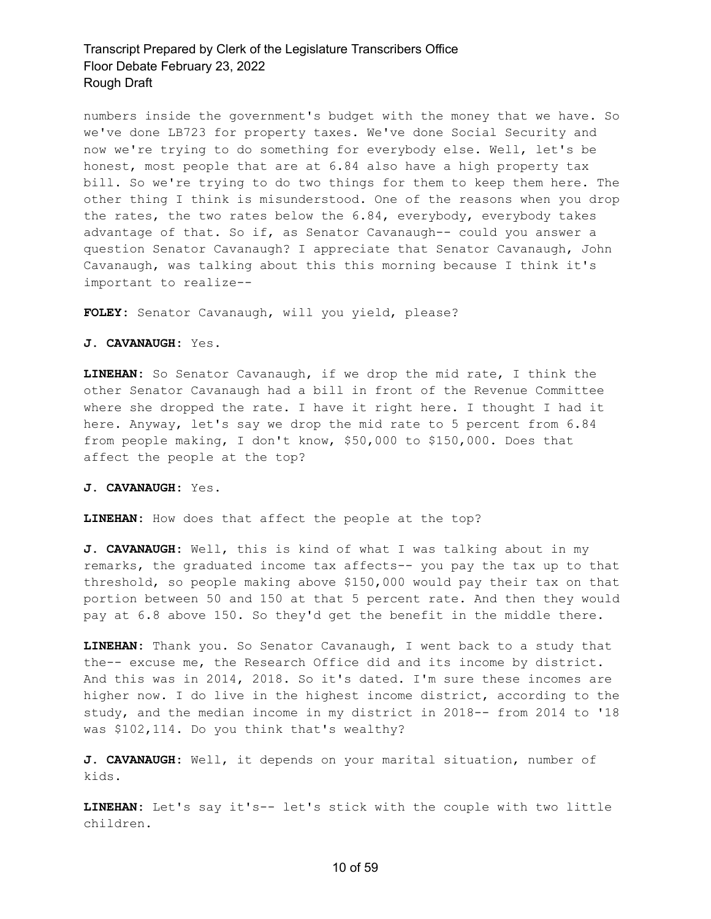numbers inside the government's budget with the money that we have. So we've done LB723 for property taxes. We've done Social Security and now we're trying to do something for everybody else. Well, let's be honest, most people that are at 6.84 also have a high property tax bill. So we're trying to do two things for them to keep them here. The other thing I think is misunderstood. One of the reasons when you drop the rates, the two rates below the 6.84, everybody, everybody takes advantage of that. So if, as Senator Cavanaugh-- could you answer a question Senator Cavanaugh? I appreciate that Senator Cavanaugh, John Cavanaugh, was talking about this this morning because I think it's important to realize--

**FOLEY:** Senator Cavanaugh, will you yield, please?

#### **J. CAVANAUGH:** Yes.

**LINEHAN:** So Senator Cavanaugh, if we drop the mid rate, I think the other Senator Cavanaugh had a bill in front of the Revenue Committee where she dropped the rate. I have it right here. I thought I had it here. Anyway, let's say we drop the mid rate to 5 percent from 6.84 from people making, I don't know, \$50,000 to \$150,000. Does that affect the people at the top?

**J. CAVANAUGH:** Yes.

**LINEHAN:** How does that affect the people at the top?

**J. CAVANAUGH:** Well, this is kind of what I was talking about in my remarks, the graduated income tax affects-- you pay the tax up to that threshold, so people making above \$150,000 would pay their tax on that portion between 50 and 150 at that 5 percent rate. And then they would pay at 6.8 above 150. So they'd get the benefit in the middle there.

**LINEHAN:** Thank you. So Senator Cavanaugh, I went back to a study that the-- excuse me, the Research Office did and its income by district. And this was in 2014, 2018. So it's dated. I'm sure these incomes are higher now. I do live in the highest income district, according to the study, and the median income in my district in 2018-- from 2014 to '18 was \$102,114. Do you think that's wealthy?

**J. CAVANAUGH:** Well, it depends on your marital situation, number of kids.

**LINEHAN:** Let's say it's-- let's stick with the couple with two little children.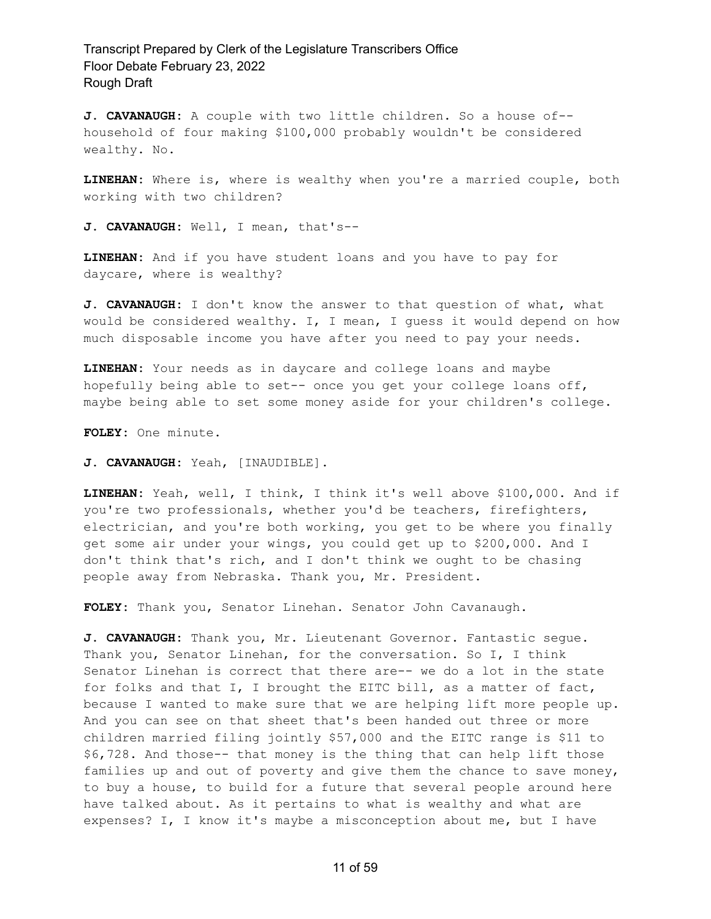**J. CAVANAUGH:** A couple with two little children. So a house of- household of four making \$100,000 probably wouldn't be considered wealthy. No.

**LINEHAN:** Where is, where is wealthy when you're a married couple, both working with two children?

**J. CAVANAUGH:** Well, I mean, that's--

**LINEHAN:** And if you have student loans and you have to pay for daycare, where is wealthy?

**J. CAVANAUGH:** I don't know the answer to that question of what, what would be considered wealthy. I, I mean, I guess it would depend on how much disposable income you have after you need to pay your needs.

**LINEHAN:** Your needs as in daycare and college loans and maybe hopefully being able to set-- once you get your college loans off, maybe being able to set some money aside for your children's college.

**FOLEY:** One minute.

**J. CAVANAUGH:** Yeah, [INAUDIBLE].

**LINEHAN:** Yeah, well, I think, I think it's well above \$100,000. And if you're two professionals, whether you'd be teachers, firefighters, electrician, and you're both working, you get to be where you finally get some air under your wings, you could get up to \$200,000. And I don't think that's rich, and I don't think we ought to be chasing people away from Nebraska. Thank you, Mr. President.

**FOLEY:** Thank you, Senator Linehan. Senator John Cavanaugh.

**J. CAVANAUGH:** Thank you, Mr. Lieutenant Governor. Fantastic segue. Thank you, Senator Linehan, for the conversation. So I, I think Senator Linehan is correct that there are-- we do a lot in the state for folks and that I, I brought the EITC bill, as a matter of fact, because I wanted to make sure that we are helping lift more people up. And you can see on that sheet that's been handed out three or more children married filing jointly \$57,000 and the EITC range is \$11 to \$6,728. And those-- that money is the thing that can help lift those families up and out of poverty and give them the chance to save money, to buy a house, to build for a future that several people around here have talked about. As it pertains to what is wealthy and what are expenses? I, I know it's maybe a misconception about me, but I have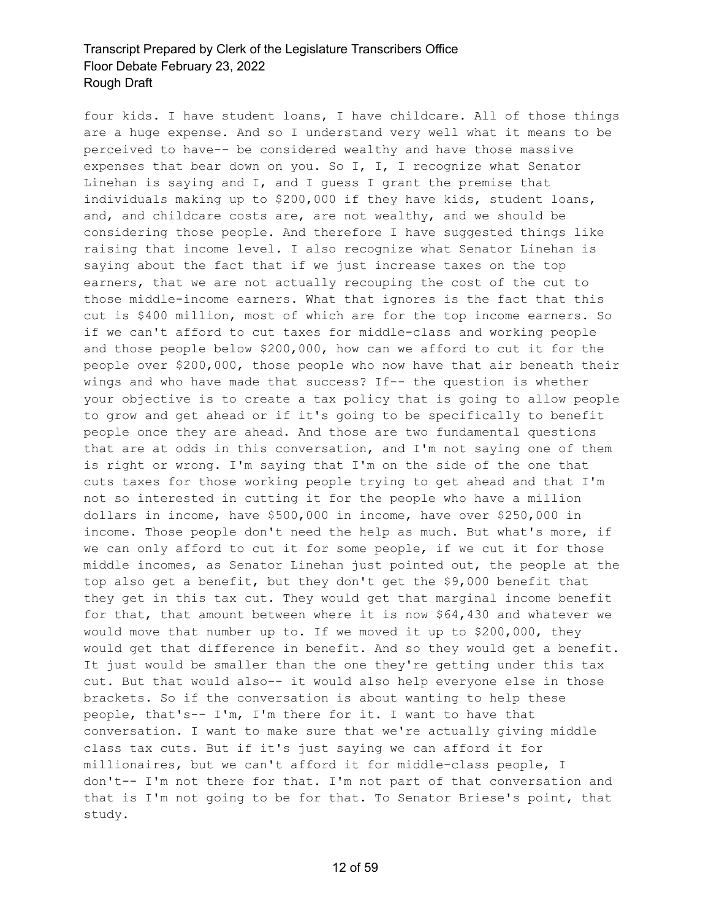four kids. I have student loans, I have childcare. All of those things are a huge expense. And so I understand very well what it means to be perceived to have-- be considered wealthy and have those massive expenses that bear down on you. So I, I, I recognize what Senator Linehan is saying and I, and I guess I grant the premise that individuals making up to \$200,000 if they have kids, student loans, and, and childcare costs are, are not wealthy, and we should be considering those people. And therefore I have suggested things like raising that income level. I also recognize what Senator Linehan is saying about the fact that if we just increase taxes on the top earners, that we are not actually recouping the cost of the cut to those middle-income earners. What that ignores is the fact that this cut is \$400 million, most of which are for the top income earners. So if we can't afford to cut taxes for middle-class and working people and those people below \$200,000, how can we afford to cut it for the people over \$200,000, those people who now have that air beneath their wings and who have made that success? If-- the question is whether your objective is to create a tax policy that is going to allow people to grow and get ahead or if it's going to be specifically to benefit people once they are ahead. And those are two fundamental questions that are at odds in this conversation, and I'm not saying one of them is right or wrong. I'm saying that I'm on the side of the one that cuts taxes for those working people trying to get ahead and that I'm not so interested in cutting it for the people who have a million dollars in income, have \$500,000 in income, have over \$250,000 in income. Those people don't need the help as much. But what's more, if we can only afford to cut it for some people, if we cut it for those middle incomes, as Senator Linehan just pointed out, the people at the top also get a benefit, but they don't get the \$9,000 benefit that they get in this tax cut. They would get that marginal income benefit for that, that amount between where it is now \$64,430 and whatever we would move that number up to. If we moved it up to \$200,000, they would get that difference in benefit. And so they would get a benefit. It just would be smaller than the one they're getting under this tax cut. But that would also-- it would also help everyone else in those brackets. So if the conversation is about wanting to help these people, that's-- I'm, I'm there for it. I want to have that conversation. I want to make sure that we're actually giving middle class tax cuts. But if it's just saying we can afford it for millionaires, but we can't afford it for middle-class people, I don't-- I'm not there for that. I'm not part of that conversation and that is I'm not going to be for that. To Senator Briese's point, that study.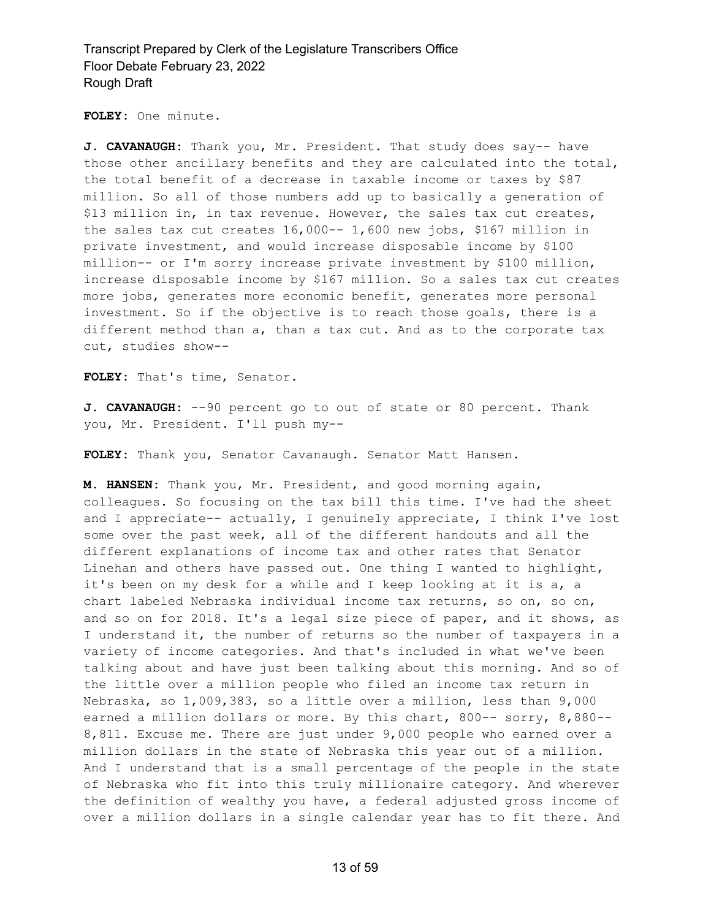**FOLEY:** One minute.

**J. CAVANAUGH:** Thank you, Mr. President. That study does say-- have those other ancillary benefits and they are calculated into the total, the total benefit of a decrease in taxable income or taxes by \$87 million. So all of those numbers add up to basically a generation of \$13 million in, in tax revenue. However, the sales tax cut creates, the sales tax cut creates 16,000-- 1,600 new jobs, \$167 million in private investment, and would increase disposable income by \$100 million-- or I'm sorry increase private investment by \$100 million, increase disposable income by \$167 million. So a sales tax cut creates more jobs, generates more economic benefit, generates more personal investment. So if the objective is to reach those goals, there is a different method than a, than a tax cut. And as to the corporate tax cut, studies show--

**FOLEY:** That's time, Senator.

**J. CAVANAUGH:** --90 percent go to out of state or 80 percent. Thank you, Mr. President. I'll push my--

**FOLEY:** Thank you, Senator Cavanaugh. Senator Matt Hansen.

**M. HANSEN:** Thank you, Mr. President, and good morning again, colleagues. So focusing on the tax bill this time. I've had the sheet and I appreciate-- actually, I genuinely appreciate, I think I've lost some over the past week, all of the different handouts and all the different explanations of income tax and other rates that Senator Linehan and others have passed out. One thing I wanted to highlight, it's been on my desk for a while and I keep looking at it is a, a chart labeled Nebraska individual income tax returns, so on, so on, and so on for 2018. It's a legal size piece of paper, and it shows, as I understand it, the number of returns so the number of taxpayers in a variety of income categories. And that's included in what we've been talking about and have just been talking about this morning. And so of the little over a million people who filed an income tax return in Nebraska, so 1,009,383, so a little over a million, less than 9,000 earned a million dollars or more. By this chart, 800-- sorry, 8,880-- 8,811. Excuse me. There are just under 9,000 people who earned over a million dollars in the state of Nebraska this year out of a million. And I understand that is a small percentage of the people in the state of Nebraska who fit into this truly millionaire category. And wherever the definition of wealthy you have, a federal adjusted gross income of over a million dollars in a single calendar year has to fit there. And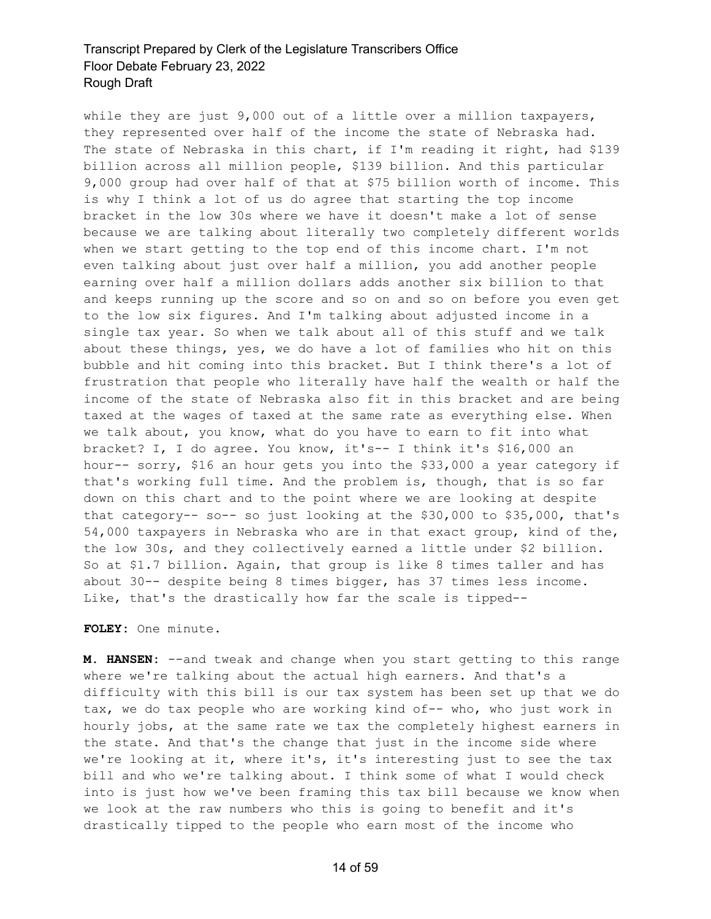while they are just 9,000 out of a little over a million taxpayers, they represented over half of the income the state of Nebraska had. The state of Nebraska in this chart, if I'm reading it right, had \$139 billion across all million people, \$139 billion. And this particular 9,000 group had over half of that at \$75 billion worth of income. This is why I think a lot of us do agree that starting the top income bracket in the low 30s where we have it doesn't make a lot of sense because we are talking about literally two completely different worlds when we start getting to the top end of this income chart. I'm not even talking about just over half a million, you add another people earning over half a million dollars adds another six billion to that and keeps running up the score and so on and so on before you even get to the low six figures. And I'm talking about adjusted income in a single tax year. So when we talk about all of this stuff and we talk about these things, yes, we do have a lot of families who hit on this bubble and hit coming into this bracket. But I think there's a lot of frustration that people who literally have half the wealth or half the income of the state of Nebraska also fit in this bracket and are being taxed at the wages of taxed at the same rate as everything else. When we talk about, you know, what do you have to earn to fit into what bracket? I, I do agree. You know, it's-- I think it's \$16,000 an hour-- sorry, \$16 an hour gets you into the \$33,000 a year category if that's working full time. And the problem is, though, that is so far down on this chart and to the point where we are looking at despite that category-- so-- so just looking at the \$30,000 to \$35,000, that's 54,000 taxpayers in Nebraska who are in that exact group, kind of the, the low 30s, and they collectively earned a little under \$2 billion. So at \$1.7 billion. Again, that group is like 8 times taller and has about 30-- despite being 8 times bigger, has 37 times less income. Like, that's the drastically how far the scale is tipped--

**FOLEY:** One minute.

**M. HANSEN:** --and tweak and change when you start getting to this range where we're talking about the actual high earners. And that's a difficulty with this bill is our tax system has been set up that we do tax, we do tax people who are working kind of-- who, who just work in hourly jobs, at the same rate we tax the completely highest earners in the state. And that's the change that just in the income side where we're looking at it, where it's, it's interesting just to see the tax bill and who we're talking about. I think some of what I would check into is just how we've been framing this tax bill because we know when we look at the raw numbers who this is going to benefit and it's drastically tipped to the people who earn most of the income who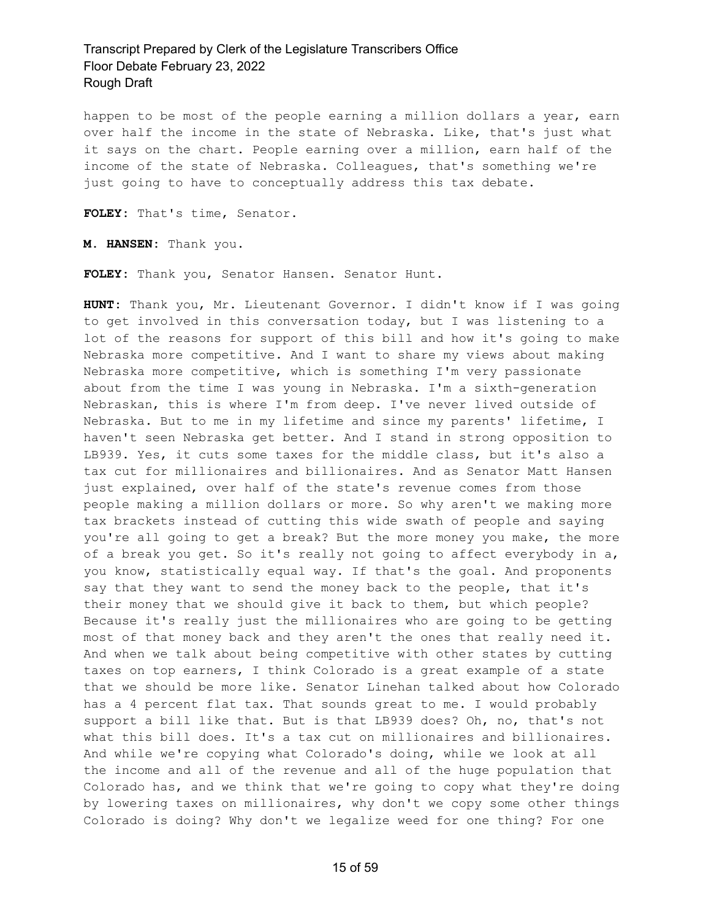happen to be most of the people earning a million dollars a year, earn over half the income in the state of Nebraska. Like, that's just what it says on the chart. People earning over a million, earn half of the income of the state of Nebraska. Colleagues, that's something we're just going to have to conceptually address this tax debate.

**FOLEY:** That's time, Senator.

**M. HANSEN:** Thank you.

**FOLEY:** Thank you, Senator Hansen. Senator Hunt.

**HUNT:** Thank you, Mr. Lieutenant Governor. I didn't know if I was going to get involved in this conversation today, but I was listening to a lot of the reasons for support of this bill and how it's going to make Nebraska more competitive. And I want to share my views about making Nebraska more competitive, which is something I'm very passionate about from the time I was young in Nebraska. I'm a sixth-generation Nebraskan, this is where I'm from deep. I've never lived outside of Nebraska. But to me in my lifetime and since my parents' lifetime, I haven't seen Nebraska get better. And I stand in strong opposition to LB939. Yes, it cuts some taxes for the middle class, but it's also a tax cut for millionaires and billionaires. And as Senator Matt Hansen just explained, over half of the state's revenue comes from those people making a million dollars or more. So why aren't we making more tax brackets instead of cutting this wide swath of people and saying you're all going to get a break? But the more money you make, the more of a break you get. So it's really not going to affect everybody in a, you know, statistically equal way. If that's the goal. And proponents say that they want to send the money back to the people, that it's their money that we should give it back to them, but which people? Because it's really just the millionaires who are going to be getting most of that money back and they aren't the ones that really need it. And when we talk about being competitive with other states by cutting taxes on top earners, I think Colorado is a great example of a state that we should be more like. Senator Linehan talked about how Colorado has a 4 percent flat tax. That sounds great to me. I would probably support a bill like that. But is that LB939 does? Oh, no, that's not what this bill does. It's a tax cut on millionaires and billionaires. And while we're copying what Colorado's doing, while we look at all the income and all of the revenue and all of the huge population that Colorado has, and we think that we're going to copy what they're doing by lowering taxes on millionaires, why don't we copy some other things Colorado is doing? Why don't we legalize weed for one thing? For one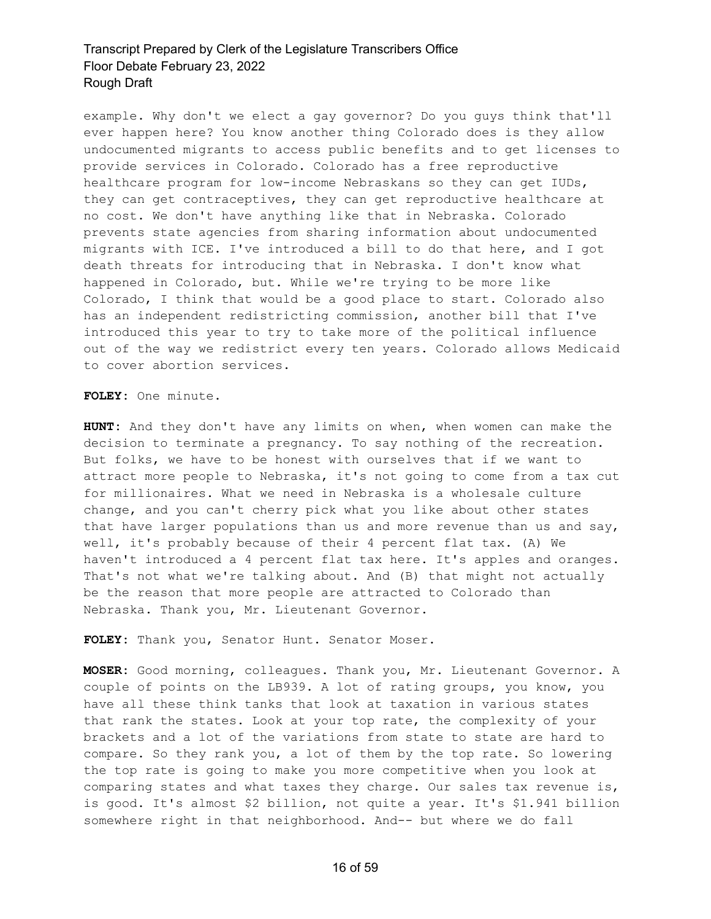example. Why don't we elect a gay governor? Do you guys think that'll ever happen here? You know another thing Colorado does is they allow undocumented migrants to access public benefits and to get licenses to provide services in Colorado. Colorado has a free reproductive healthcare program for low-income Nebraskans so they can get IUDs, they can get contraceptives, they can get reproductive healthcare at no cost. We don't have anything like that in Nebraska. Colorado prevents state agencies from sharing information about undocumented migrants with ICE. I've introduced a bill to do that here, and I got death threats for introducing that in Nebraska. I don't know what happened in Colorado, but. While we're trying to be more like Colorado, I think that would be a good place to start. Colorado also has an independent redistricting commission, another bill that I've introduced this year to try to take more of the political influence out of the way we redistrict every ten years. Colorado allows Medicaid to cover abortion services.

**FOLEY:** One minute.

**HUNT:** And they don't have any limits on when, when women can make the decision to terminate a pregnancy. To say nothing of the recreation. But folks, we have to be honest with ourselves that if we want to attract more people to Nebraska, it's not going to come from a tax cut for millionaires. What we need in Nebraska is a wholesale culture change, and you can't cherry pick what you like about other states that have larger populations than us and more revenue than us and say, well, it's probably because of their 4 percent flat tax. (A) We haven't introduced a 4 percent flat tax here. It's apples and oranges. That's not what we're talking about. And (B) that might not actually be the reason that more people are attracted to Colorado than Nebraska. Thank you, Mr. Lieutenant Governor.

**FOLEY:** Thank you, Senator Hunt. Senator Moser.

**MOSER:** Good morning, colleagues. Thank you, Mr. Lieutenant Governor. A couple of points on the LB939. A lot of rating groups, you know, you have all these think tanks that look at taxation in various states that rank the states. Look at your top rate, the complexity of your brackets and a lot of the variations from state to state are hard to compare. So they rank you, a lot of them by the top rate. So lowering the top rate is going to make you more competitive when you look at comparing states and what taxes they charge. Our sales tax revenue is, is good. It's almost \$2 billion, not quite a year. It's \$1.941 billion somewhere right in that neighborhood. And-- but where we do fall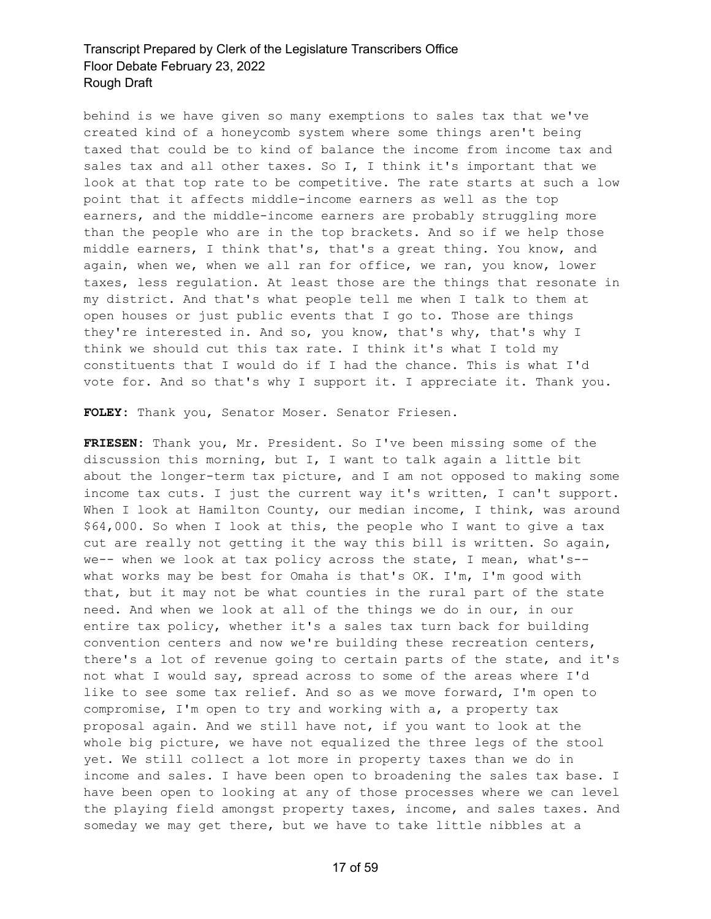behind is we have given so many exemptions to sales tax that we've created kind of a honeycomb system where some things aren't being taxed that could be to kind of balance the income from income tax and sales tax and all other taxes. So I, I think it's important that we look at that top rate to be competitive. The rate starts at such a low point that it affects middle-income earners as well as the top earners, and the middle-income earners are probably struggling more than the people who are in the top brackets. And so if we help those middle earners, I think that's, that's a great thing. You know, and again, when we, when we all ran for office, we ran, you know, lower taxes, less regulation. At least those are the things that resonate in my district. And that's what people tell me when I talk to them at open houses or just public events that I go to. Those are things they're interested in. And so, you know, that's why, that's why I think we should cut this tax rate. I think it's what I told my constituents that I would do if I had the chance. This is what I'd vote for. And so that's why I support it. I appreciate it. Thank you.

**FOLEY:** Thank you, Senator Moser. Senator Friesen.

**FRIESEN:** Thank you, Mr. President. So I've been missing some of the discussion this morning, but I, I want to talk again a little bit about the longer-term tax picture, and I am not opposed to making some income tax cuts. I just the current way it's written, I can't support. When I look at Hamilton County, our median income, I think, was around \$64,000. So when I look at this, the people who I want to give a tax cut are really not getting it the way this bill is written. So again, we-- when we look at tax policy across the state, I mean, what's- what works may be best for Omaha is that's OK. I'm, I'm good with that, but it may not be what counties in the rural part of the state need. And when we look at all of the things we do in our, in our entire tax policy, whether it's a sales tax turn back for building convention centers and now we're building these recreation centers, there's a lot of revenue going to certain parts of the state, and it's not what I would say, spread across to some of the areas where I'd like to see some tax relief. And so as we move forward, I'm open to compromise, I'm open to try and working with a, a property tax proposal again. And we still have not, if you want to look at the whole big picture, we have not equalized the three legs of the stool yet. We still collect a lot more in property taxes than we do in income and sales. I have been open to broadening the sales tax base. I have been open to looking at any of those processes where we can level the playing field amongst property taxes, income, and sales taxes. And someday we may get there, but we have to take little nibbles at a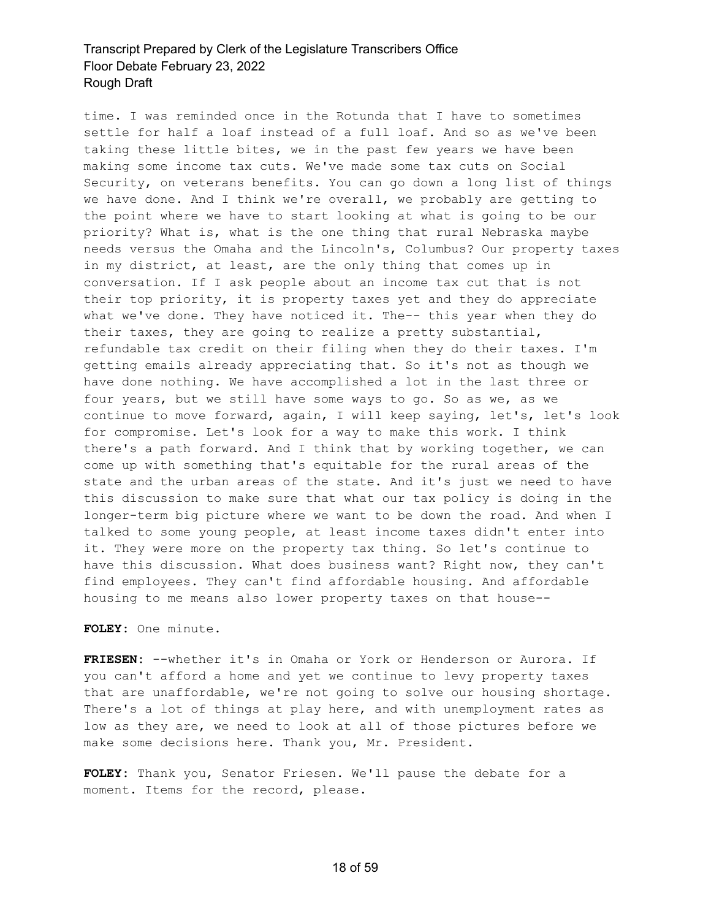time. I was reminded once in the Rotunda that I have to sometimes settle for half a loaf instead of a full loaf. And so as we've been taking these little bites, we in the past few years we have been making some income tax cuts. We've made some tax cuts on Social Security, on veterans benefits. You can go down a long list of things we have done. And I think we're overall, we probably are getting to the point where we have to start looking at what is going to be our priority? What is, what is the one thing that rural Nebraska maybe needs versus the Omaha and the Lincoln's, Columbus? Our property taxes in my district, at least, are the only thing that comes up in conversation. If I ask people about an income tax cut that is not their top priority, it is property taxes yet and they do appreciate what we've done. They have noticed it. The-- this year when they do their taxes, they are going to realize a pretty substantial, refundable tax credit on their filing when they do their taxes. I'm getting emails already appreciating that. So it's not as though we have done nothing. We have accomplished a lot in the last three or four years, but we still have some ways to go. So as we, as we continue to move forward, again, I will keep saying, let's, let's look for compromise. Let's look for a way to make this work. I think there's a path forward. And I think that by working together, we can come up with something that's equitable for the rural areas of the state and the urban areas of the state. And it's just we need to have this discussion to make sure that what our tax policy is doing in the longer-term big picture where we want to be down the road. And when I talked to some young people, at least income taxes didn't enter into it. They were more on the property tax thing. So let's continue to have this discussion. What does business want? Right now, they can't find employees. They can't find affordable housing. And affordable housing to me means also lower property taxes on that house--

**FOLEY:** One minute.

**FRIESEN:** --whether it's in Omaha or York or Henderson or Aurora. If you can't afford a home and yet we continue to levy property taxes that are unaffordable, we're not going to solve our housing shortage. There's a lot of things at play here, and with unemployment rates as low as they are, we need to look at all of those pictures before we make some decisions here. Thank you, Mr. President.

**FOLEY:** Thank you, Senator Friesen. We'll pause the debate for a moment. Items for the record, please.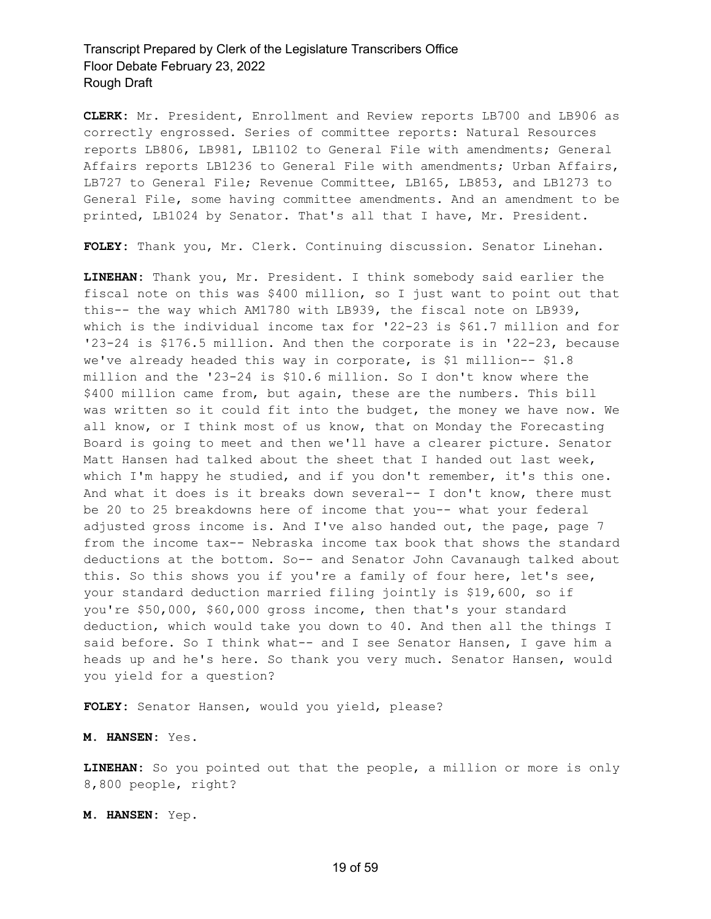**CLERK:** Mr. President, Enrollment and Review reports LB700 and LB906 as correctly engrossed. Series of committee reports: Natural Resources reports LB806, LB981, LB1102 to General File with amendments; General Affairs reports LB1236 to General File with amendments; Urban Affairs, LB727 to General File; Revenue Committee, LB165, LB853, and LB1273 to General File, some having committee amendments. And an amendment to be printed, LB1024 by Senator. That's all that I have, Mr. President.

**FOLEY:** Thank you, Mr. Clerk. Continuing discussion. Senator Linehan.

**LINEHAN:** Thank you, Mr. President. I think somebody said earlier the fiscal note on this was \$400 million, so I just want to point out that this-- the way which AM1780 with LB939, the fiscal note on LB939, which is the individual income tax for '22-23 is \$61.7 million and for '23-24 is \$176.5 million. And then the corporate is in '22-23, because we've already headed this way in corporate, is \$1 million-- \$1.8 million and the '23-24 is \$10.6 million. So I don't know where the \$400 million came from, but again, these are the numbers. This bill was written so it could fit into the budget, the money we have now. We all know, or I think most of us know, that on Monday the Forecasting Board is going to meet and then we'll have a clearer picture. Senator Matt Hansen had talked about the sheet that I handed out last week, which I'm happy he studied, and if you don't remember, it's this one. And what it does is it breaks down several-- I don't know, there must be 20 to 25 breakdowns here of income that you-- what your federal adjusted gross income is. And I've also handed out, the page, page 7 from the income tax-- Nebraska income tax book that shows the standard deductions at the bottom. So-- and Senator John Cavanaugh talked about this. So this shows you if you're a family of four here, let's see, your standard deduction married filing jointly is \$19,600, so if you're \$50,000, \$60,000 gross income, then that's your standard deduction, which would take you down to 40. And then all the things I said before. So I think what-- and I see Senator Hansen, I gave him a heads up and he's here. So thank you very much. Senator Hansen, would you yield for a question?

**FOLEY:** Senator Hansen, would you yield, please?

**M. HANSEN:** Yes.

**LINEHAN:** So you pointed out that the people, a million or more is only 8,800 people, right?

**M. HANSEN:** Yep.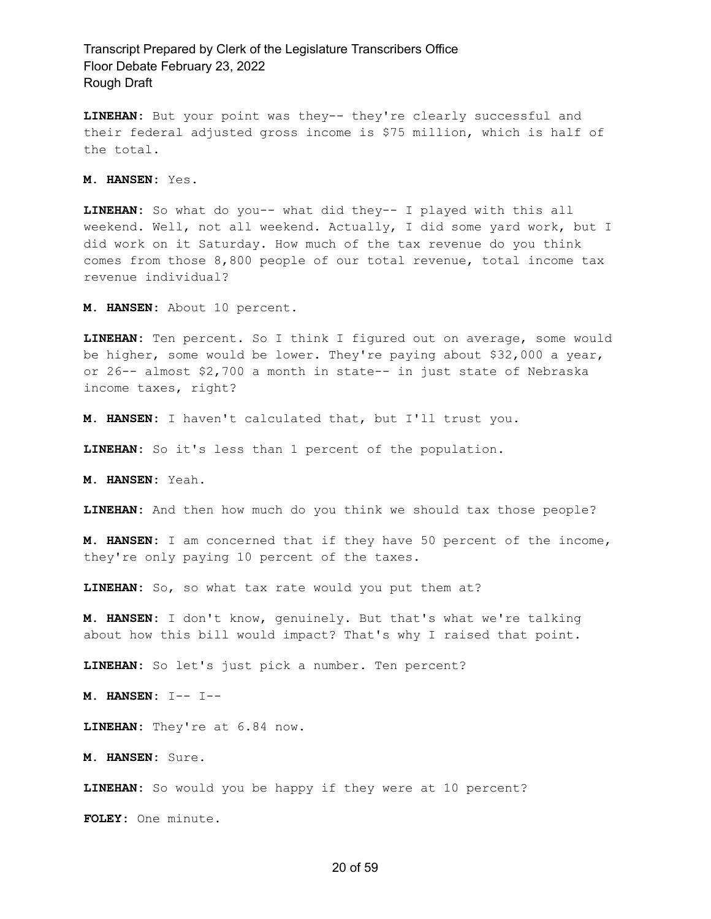**LINEHAN:** But your point was they-- they're clearly successful and their federal adjusted gross income is \$75 million, which is half of the total.

**M. HANSEN:** Yes.

**LINEHAN:** So what do you-- what did they-- I played with this all weekend. Well, not all weekend. Actually, I did some yard work, but I did work on it Saturday. How much of the tax revenue do you think comes from those 8,800 people of our total revenue, total income tax revenue individual?

**M. HANSEN:** About 10 percent.

**LINEHAN:** Ten percent. So I think I figured out on average, some would be higher, some would be lower. They're paying about \$32,000 a year, or 26-- almost \$2,700 a month in state-- in just state of Nebraska income taxes, right?

**M. HANSEN:** I haven't calculated that, but I'll trust you.

**LINEHAN:** So it's less than 1 percent of the population.

**M. HANSEN:** Yeah.

**LINEHAN:** And then how much do you think we should tax those people?

**M. HANSEN:** I am concerned that if they have 50 percent of the income, they're only paying 10 percent of the taxes.

**LINEHAN:** So, so what tax rate would you put them at?

**M. HANSEN:** I don't know, genuinely. But that's what we're talking about how this bill would impact? That's why I raised that point.

**LINEHAN:** So let's just pick a number. Ten percent?

**M. HANSEN:** I-- I--

**LINEHAN:** They're at 6.84 now.

**M. HANSEN:** Sure.

**LINEHAN:** So would you be happy if they were at 10 percent?

**FOLEY:** One minute.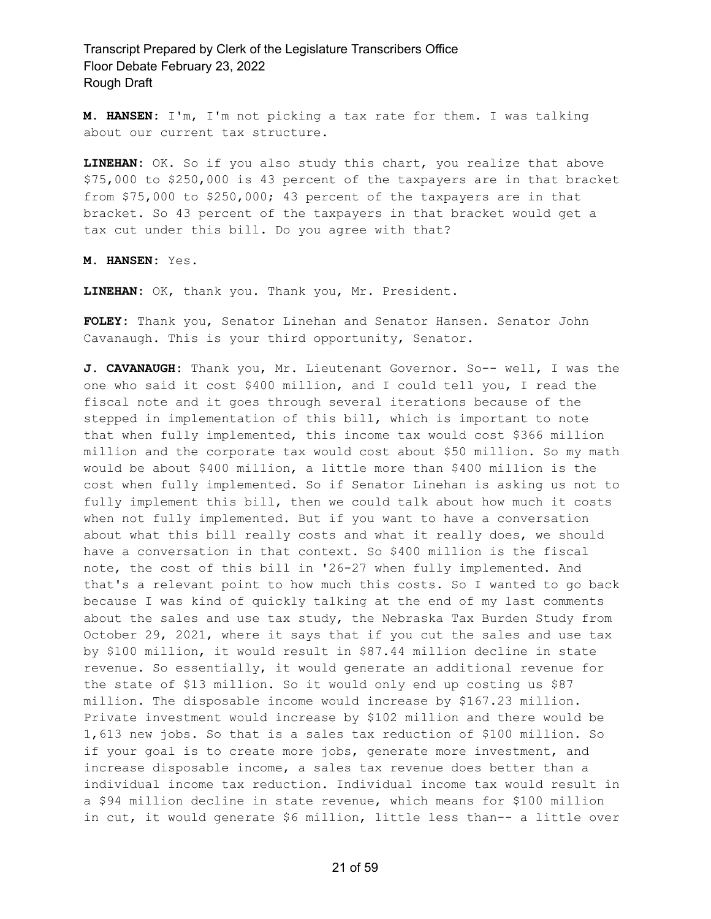**M. HANSEN:** I'm, I'm not picking a tax rate for them. I was talking about our current tax structure.

**LINEHAN:** OK. So if you also study this chart, you realize that above \$75,000 to \$250,000 is 43 percent of the taxpayers are in that bracket from \$75,000 to \$250,000; 43 percent of the taxpayers are in that bracket. So 43 percent of the taxpayers in that bracket would get a tax cut under this bill. Do you agree with that?

**M. HANSEN:** Yes.

**LINEHAN:** OK, thank you. Thank you, Mr. President.

**FOLEY:** Thank you, Senator Linehan and Senator Hansen. Senator John Cavanaugh. This is your third opportunity, Senator.

**J. CAVANAUGH:** Thank you, Mr. Lieutenant Governor. So-- well, I was the one who said it cost \$400 million, and I could tell you, I read the fiscal note and it goes through several iterations because of the stepped in implementation of this bill, which is important to note that when fully implemented, this income tax would cost \$366 million million and the corporate tax would cost about \$50 million. So my math would be about \$400 million, a little more than \$400 million is the cost when fully implemented. So if Senator Linehan is asking us not to fully implement this bill, then we could talk about how much it costs when not fully implemented. But if you want to have a conversation about what this bill really costs and what it really does, we should have a conversation in that context. So \$400 million is the fiscal note, the cost of this bill in '26-27 when fully implemented. And that's a relevant point to how much this costs. So I wanted to go back because I was kind of quickly talking at the end of my last comments about the sales and use tax study, the Nebraska Tax Burden Study from October 29, 2021, where it says that if you cut the sales and use tax by \$100 million, it would result in \$87.44 million decline in state revenue. So essentially, it would generate an additional revenue for the state of \$13 million. So it would only end up costing us \$87 million. The disposable income would increase by \$167.23 million. Private investment would increase by \$102 million and there would be 1,613 new jobs. So that is a sales tax reduction of \$100 million. So if your goal is to create more jobs, generate more investment, and increase disposable income, a sales tax revenue does better than a individual income tax reduction. Individual income tax would result in a \$94 million decline in state revenue, which means for \$100 million in cut, it would generate \$6 million, little less than-- a little over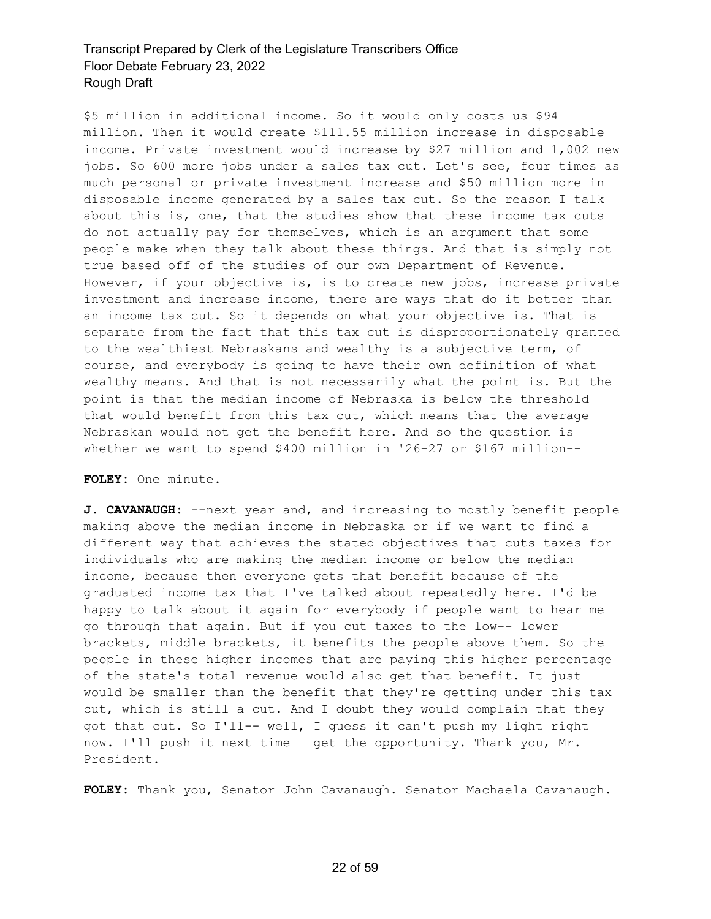\$5 million in additional income. So it would only costs us \$94 million. Then it would create \$111.55 million increase in disposable income. Private investment would increase by \$27 million and 1,002 new jobs. So 600 more jobs under a sales tax cut. Let's see, four times as much personal or private investment increase and \$50 million more in disposable income generated by a sales tax cut. So the reason I talk about this is, one, that the studies show that these income tax cuts do not actually pay for themselves, which is an argument that some people make when they talk about these things. And that is simply not true based off of the studies of our own Department of Revenue. However, if your objective is, is to create new jobs, increase private investment and increase income, there are ways that do it better than an income tax cut. So it depends on what your objective is. That is separate from the fact that this tax cut is disproportionately granted to the wealthiest Nebraskans and wealthy is a subjective term, of course, and everybody is going to have their own definition of what wealthy means. And that is not necessarily what the point is. But the point is that the median income of Nebraska is below the threshold that would benefit from this tax cut, which means that the average Nebraskan would not get the benefit here. And so the question is whether we want to spend \$400 million in '26-27 or \$167 million--

#### **FOLEY:** One minute.

**J. CAVANAUGH:** --next year and, and increasing to mostly benefit people making above the median income in Nebraska or if we want to find a different way that achieves the stated objectives that cuts taxes for individuals who are making the median income or below the median income, because then everyone gets that benefit because of the graduated income tax that I've talked about repeatedly here. I'd be happy to talk about it again for everybody if people want to hear me go through that again. But if you cut taxes to the low-- lower brackets, middle brackets, it benefits the people above them. So the people in these higher incomes that are paying this higher percentage of the state's total revenue would also get that benefit. It just would be smaller than the benefit that they're getting under this tax cut, which is still a cut. And I doubt they would complain that they got that cut. So I'll-- well, I guess it can't push my light right now. I'll push it next time I get the opportunity. Thank you, Mr. President.

**FOLEY:** Thank you, Senator John Cavanaugh. Senator Machaela Cavanaugh.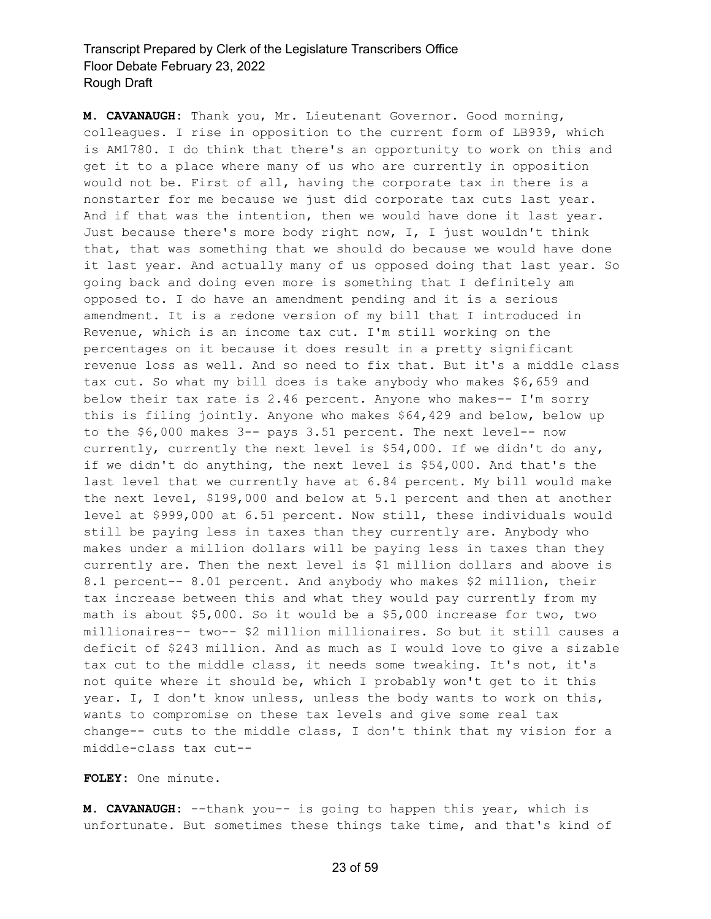**M. CAVANAUGH:** Thank you, Mr. Lieutenant Governor. Good morning, colleagues. I rise in opposition to the current form of LB939, which is AM1780. I do think that there's an opportunity to work on this and get it to a place where many of us who are currently in opposition would not be. First of all, having the corporate tax in there is a nonstarter for me because we just did corporate tax cuts last year. And if that was the intention, then we would have done it last year. Just because there's more body right now, I, I just wouldn't think that, that was something that we should do because we would have done it last year. And actually many of us opposed doing that last year. So going back and doing even more is something that I definitely am opposed to. I do have an amendment pending and it is a serious amendment. It is a redone version of my bill that I introduced in Revenue, which is an income tax cut. I'm still working on the percentages on it because it does result in a pretty significant revenue loss as well. And so need to fix that. But it's a middle class tax cut. So what my bill does is take anybody who makes \$6,659 and below their tax rate is 2.46 percent. Anyone who makes-- I'm sorry this is filing jointly. Anyone who makes \$64,429 and below, below up to the \$6,000 makes 3-- pays 3.51 percent. The next level-- now currently, currently the next level is \$54,000. If we didn't do any, if we didn't do anything, the next level is \$54,000. And that's the last level that we currently have at 6.84 percent. My bill would make the next level, \$199,000 and below at 5.1 percent and then at another level at \$999,000 at 6.51 percent. Now still, these individuals would still be paying less in taxes than they currently are. Anybody who makes under a million dollars will be paying less in taxes than they currently are. Then the next level is \$1 million dollars and above is 8.1 percent-- 8.01 percent. And anybody who makes \$2 million, their tax increase between this and what they would pay currently from my math is about \$5,000. So it would be a \$5,000 increase for two, two millionaires-- two-- \$2 million millionaires. So but it still causes a deficit of \$243 million. And as much as I would love to give a sizable tax cut to the middle class, it needs some tweaking. It's not, it's not quite where it should be, which I probably won't get to it this year. I, I don't know unless, unless the body wants to work on this, wants to compromise on these tax levels and give some real tax change-- cuts to the middle class, I don't think that my vision for a middle-class tax cut--

#### **FOLEY:** One minute.

**M. CAVANAUGH:** --thank you-- is going to happen this year, which is unfortunate. But sometimes these things take time, and that's kind of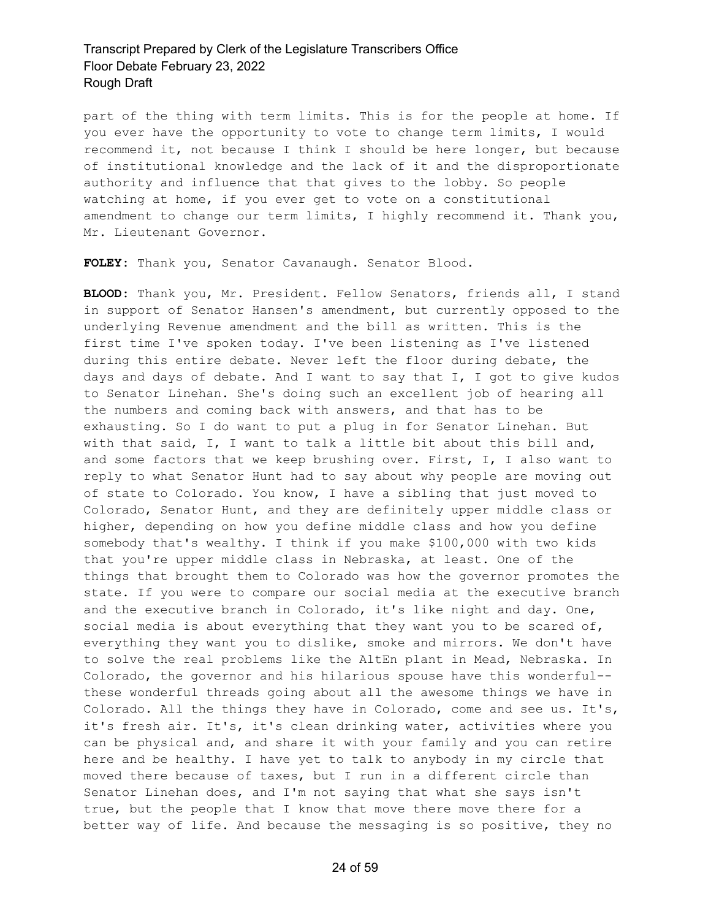part of the thing with term limits. This is for the people at home. If you ever have the opportunity to vote to change term limits, I would recommend it, not because I think I should be here longer, but because of institutional knowledge and the lack of it and the disproportionate authority and influence that that gives to the lobby. So people watching at home, if you ever get to vote on a constitutional amendment to change our term limits, I highly recommend it. Thank you, Mr. Lieutenant Governor.

**FOLEY:** Thank you, Senator Cavanaugh. Senator Blood.

**BLOOD:** Thank you, Mr. President. Fellow Senators, friends all, I stand in support of Senator Hansen's amendment, but currently opposed to the underlying Revenue amendment and the bill as written. This is the first time I've spoken today. I've been listening as I've listened during this entire debate. Never left the floor during debate, the days and days of debate. And I want to say that I, I got to give kudos to Senator Linehan. She's doing such an excellent job of hearing all the numbers and coming back with answers, and that has to be exhausting. So I do want to put a plug in for Senator Linehan. But with that said, I, I want to talk a little bit about this bill and, and some factors that we keep brushing over. First, I, I also want to reply to what Senator Hunt had to say about why people are moving out of state to Colorado. You know, I have a sibling that just moved to Colorado, Senator Hunt, and they are definitely upper middle class or higher, depending on how you define middle class and how you define somebody that's wealthy. I think if you make \$100,000 with two kids that you're upper middle class in Nebraska, at least. One of the things that brought them to Colorado was how the governor promotes the state. If you were to compare our social media at the executive branch and the executive branch in Colorado, it's like night and day. One, social media is about everything that they want you to be scared of, everything they want you to dislike, smoke and mirrors. We don't have to solve the real problems like the AltEn plant in Mead, Nebraska. In Colorado, the governor and his hilarious spouse have this wonderful- these wonderful threads going about all the awesome things we have in Colorado. All the things they have in Colorado, come and see us. It's, it's fresh air. It's, it's clean drinking water, activities where you can be physical and, and share it with your family and you can retire here and be healthy. I have yet to talk to anybody in my circle that moved there because of taxes, but I run in a different circle than Senator Linehan does, and I'm not saying that what she says isn't true, but the people that I know that move there move there for a better way of life. And because the messaging is so positive, they no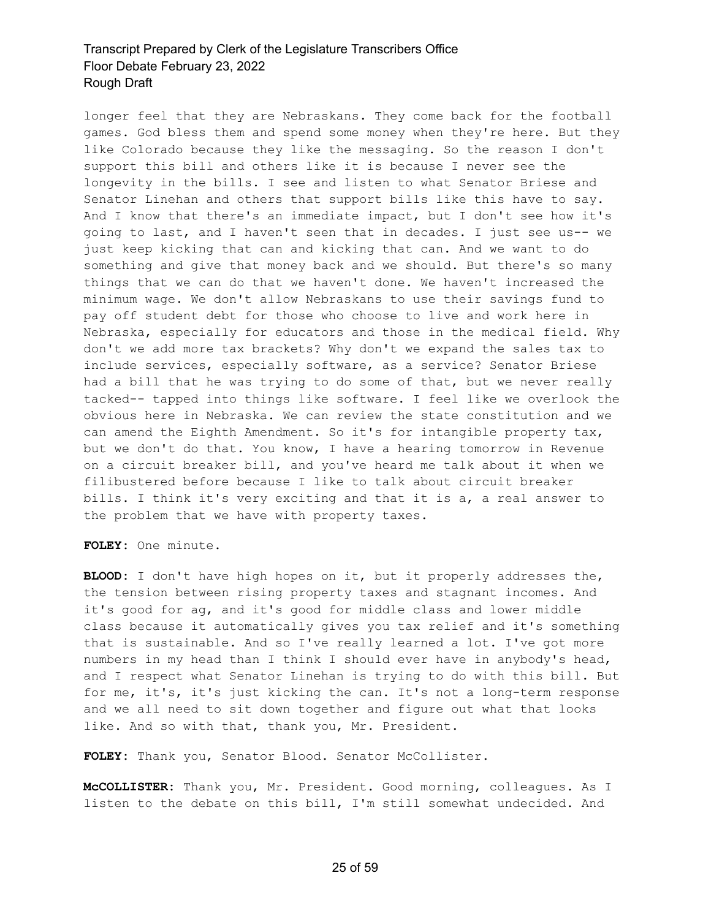longer feel that they are Nebraskans. They come back for the football games. God bless them and spend some money when they're here. But they like Colorado because they like the messaging. So the reason I don't support this bill and others like it is because I never see the longevity in the bills. I see and listen to what Senator Briese and Senator Linehan and others that support bills like this have to say. And I know that there's an immediate impact, but I don't see how it's going to last, and I haven't seen that in decades. I just see us-- we just keep kicking that can and kicking that can. And we want to do something and give that money back and we should. But there's so many things that we can do that we haven't done. We haven't increased the minimum wage. We don't allow Nebraskans to use their savings fund to pay off student debt for those who choose to live and work here in Nebraska, especially for educators and those in the medical field. Why don't we add more tax brackets? Why don't we expand the sales tax to include services, especially software, as a service? Senator Briese had a bill that he was trying to do some of that, but we never really tacked-- tapped into things like software. I feel like we overlook the obvious here in Nebraska. We can review the state constitution and we can amend the Eighth Amendment. So it's for intangible property tax, but we don't do that. You know, I have a hearing tomorrow in Revenue on a circuit breaker bill, and you've heard me talk about it when we filibustered before because I like to talk about circuit breaker bills. I think it's very exciting and that it is a, a real answer to the problem that we have with property taxes.

**FOLEY:** One minute.

**BLOOD:** I don't have high hopes on it, but it properly addresses the, the tension between rising property taxes and stagnant incomes. And it's good for ag, and it's good for middle class and lower middle class because it automatically gives you tax relief and it's something that is sustainable. And so I've really learned a lot. I've got more numbers in my head than I think I should ever have in anybody's head, and I respect what Senator Linehan is trying to do with this bill. But for me, it's, it's just kicking the can. It's not a long-term response and we all need to sit down together and figure out what that looks like. And so with that, thank you, Mr. President.

**FOLEY:** Thank you, Senator Blood. Senator McCollister.

**McCOLLISTER:** Thank you, Mr. President. Good morning, colleagues. As I listen to the debate on this bill, I'm still somewhat undecided. And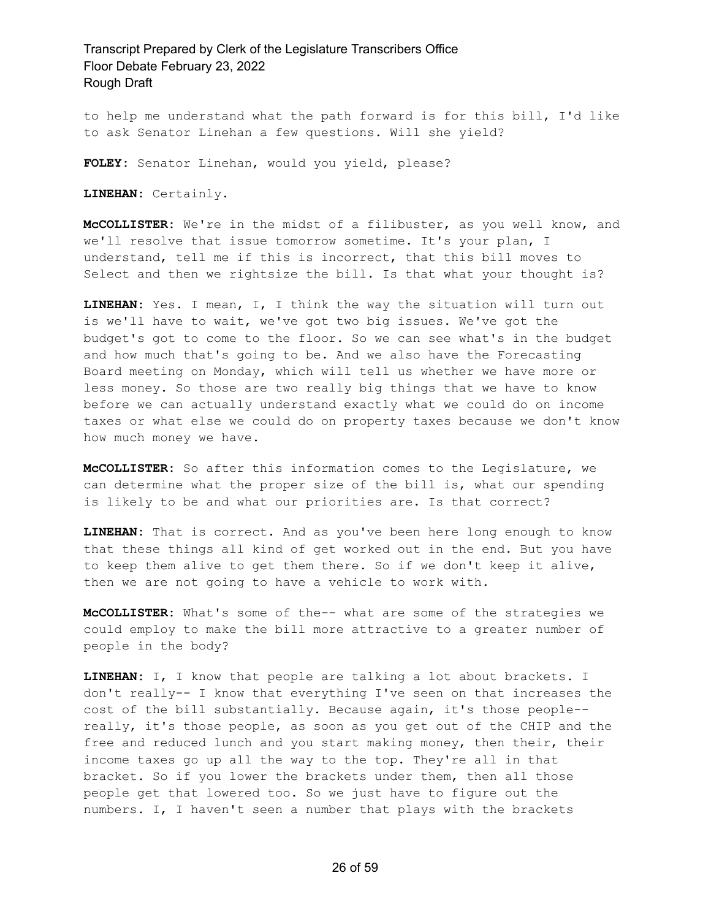to help me understand what the path forward is for this bill, I'd like to ask Senator Linehan a few questions. Will she yield?

**FOLEY:** Senator Linehan, would you yield, please?

**LINEHAN:** Certainly.

**McCOLLISTER:** We're in the midst of a filibuster, as you well know, and we'll resolve that issue tomorrow sometime. It's your plan, I understand, tell me if this is incorrect, that this bill moves to Select and then we rightsize the bill. Is that what your thought is?

**LINEHAN:** Yes. I mean, I, I think the way the situation will turn out is we'll have to wait, we've got two big issues. We've got the budget's got to come to the floor. So we can see what's in the budget and how much that's going to be. And we also have the Forecasting Board meeting on Monday, which will tell us whether we have more or less money. So those are two really big things that we have to know before we can actually understand exactly what we could do on income taxes or what else we could do on property taxes because we don't know how much money we have.

**McCOLLISTER:** So after this information comes to the Legislature, we can determine what the proper size of the bill is, what our spending is likely to be and what our priorities are. Is that correct?

**LINEHAN:** That is correct. And as you've been here long enough to know that these things all kind of get worked out in the end. But you have to keep them alive to get them there. So if we don't keep it alive, then we are not going to have a vehicle to work with.

**McCOLLISTER:** What's some of the-- what are some of the strategies we could employ to make the bill more attractive to a greater number of people in the body?

**LINEHAN:** I, I know that people are talking a lot about brackets. I don't really-- I know that everything I've seen on that increases the cost of the bill substantially. Because again, it's those people- really, it's those people, as soon as you get out of the CHIP and the free and reduced lunch and you start making money, then their, their income taxes go up all the way to the top. They're all in that bracket. So if you lower the brackets under them, then all those people get that lowered too. So we just have to figure out the numbers. I, I haven't seen a number that plays with the brackets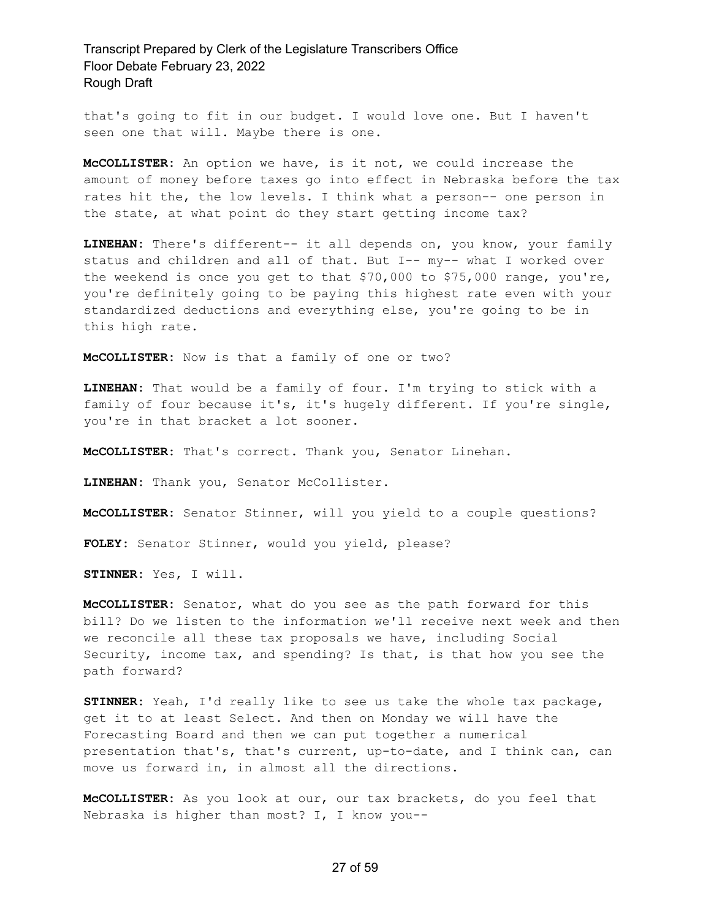that's going to fit in our budget. I would love one. But I haven't seen one that will. Maybe there is one.

**McCOLLISTER:** An option we have, is it not, we could increase the amount of money before taxes go into effect in Nebraska before the tax rates hit the, the low levels. I think what a person-- one person in the state, at what point do they start getting income tax?

**LINEHAN:** There's different-- it all depends on, you know, your family status and children and all of that. But I-- my-- what I worked over the weekend is once you get to that \$70,000 to \$75,000 range, you're, you're definitely going to be paying this highest rate even with your standardized deductions and everything else, you're going to be in this high rate.

**McCOLLISTER:** Now is that a family of one or two?

**LINEHAN:** That would be a family of four. I'm trying to stick with a family of four because it's, it's hugely different. If you're single, you're in that bracket a lot sooner.

**McCOLLISTER:** That's correct. Thank you, Senator Linehan.

**LINEHAN:** Thank you, Senator McCollister.

**McCOLLISTER:** Senator Stinner, will you yield to a couple questions?

**FOLEY:** Senator Stinner, would you yield, please?

**STINNER:** Yes, I will.

**McCOLLISTER:** Senator, what do you see as the path forward for this bill? Do we listen to the information we'll receive next week and then we reconcile all these tax proposals we have, including Social Security, income tax, and spending? Is that, is that how you see the path forward?

**STINNER:** Yeah, I'd really like to see us take the whole tax package, get it to at least Select. And then on Monday we will have the Forecasting Board and then we can put together a numerical presentation that's, that's current, up-to-date, and I think can, can move us forward in, in almost all the directions.

**McCOLLISTER:** As you look at our, our tax brackets, do you feel that Nebraska is higher than most? I, I know you--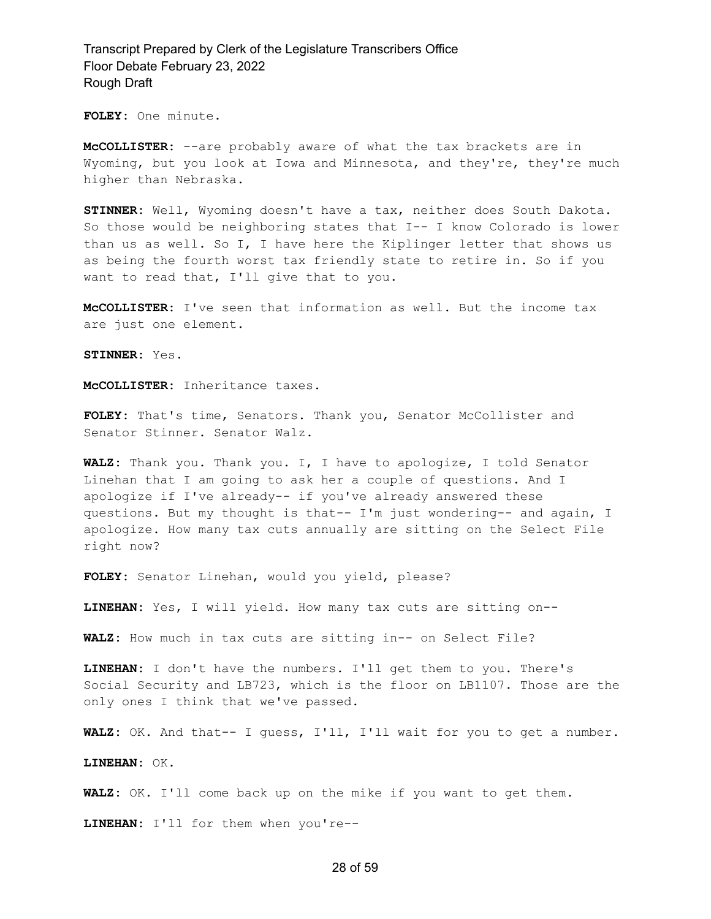**FOLEY:** One minute.

**McCOLLISTER:** --are probably aware of what the tax brackets are in Wyoming, but you look at Iowa and Minnesota, and they're, they're much higher than Nebraska.

**STINNER:** Well, Wyoming doesn't have a tax, neither does South Dakota. So those would be neighboring states that I-- I know Colorado is lower than us as well. So I, I have here the Kiplinger letter that shows us as being the fourth worst tax friendly state to retire in. So if you want to read that, I'll give that to you.

**McCOLLISTER:** I've seen that information as well. But the income tax are just one element.

**STINNER:** Yes.

**McCOLLISTER:** Inheritance taxes.

**FOLEY:** That's time, Senators. Thank you, Senator McCollister and Senator Stinner. Senator Walz.

**WALZ:** Thank you. Thank you. I, I have to apologize, I told Senator Linehan that I am going to ask her a couple of questions. And I apologize if I've already-- if you've already answered these questions. But my thought is that-- I'm just wondering-- and again, I apologize. How many tax cuts annually are sitting on the Select File right now?

**FOLEY:** Senator Linehan, would you yield, please?

**LINEHAN:** Yes, I will yield. How many tax cuts are sitting on--

**WALZ:** How much in tax cuts are sitting in-- on Select File?

**LINEHAN:** I don't have the numbers. I'll get them to you. There's Social Security and LB723, which is the floor on LB1107. Those are the only ones I think that we've passed.

**WALZ:** OK. And that-- I guess, I'll, I'll wait for you to get a number.

**LINEHAN:** OK.

**WALZ:** OK. I'll come back up on the mike if you want to get them.

**LINEHAN:** I'll for them when you're--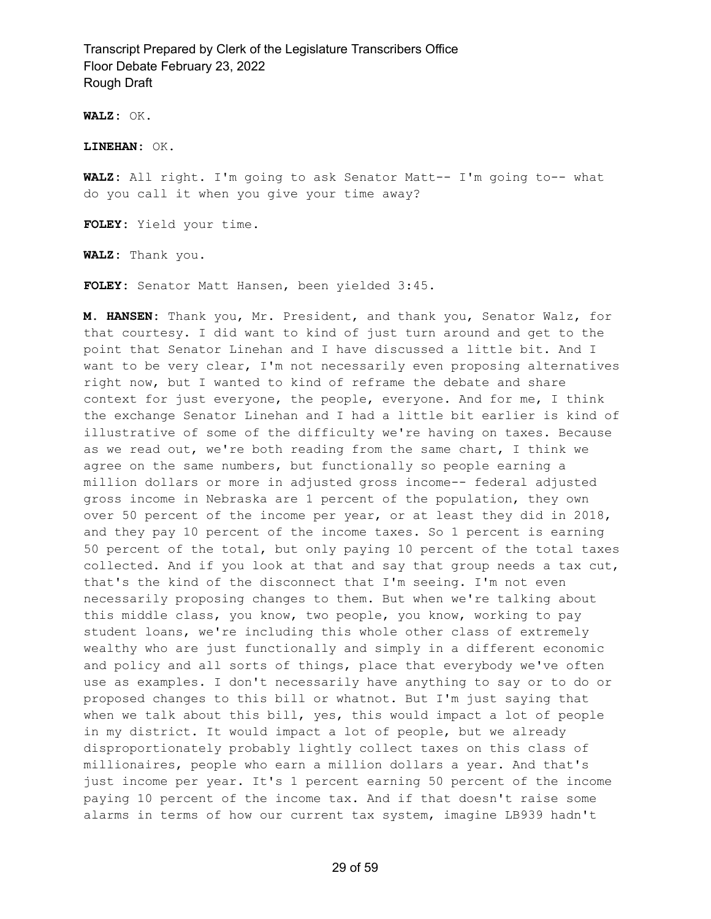**WALZ:** OK.

**LINEHAN:** OK.

**WALZ:** All right. I'm going to ask Senator Matt-- I'm going to-- what do you call it when you give your time away?

**FOLEY:** Yield your time.

**WALZ:** Thank you.

**FOLEY:** Senator Matt Hansen, been yielded 3:45.

**M. HANSEN:** Thank you, Mr. President, and thank you, Senator Walz, for that courtesy. I did want to kind of just turn around and get to the point that Senator Linehan and I have discussed a little bit. And I want to be very clear, I'm not necessarily even proposing alternatives right now, but I wanted to kind of reframe the debate and share context for just everyone, the people, everyone. And for me, I think the exchange Senator Linehan and I had a little bit earlier is kind of illustrative of some of the difficulty we're having on taxes. Because as we read out, we're both reading from the same chart, I think we agree on the same numbers, but functionally so people earning a million dollars or more in adjusted gross income-- federal adjusted gross income in Nebraska are 1 percent of the population, they own over 50 percent of the income per year, or at least they did in 2018, and they pay 10 percent of the income taxes. So 1 percent is earning 50 percent of the total, but only paying 10 percent of the total taxes collected. And if you look at that and say that group needs a tax cut, that's the kind of the disconnect that I'm seeing. I'm not even necessarily proposing changes to them. But when we're talking about this middle class, you know, two people, you know, working to pay student loans, we're including this whole other class of extremely wealthy who are just functionally and simply in a different economic and policy and all sorts of things, place that everybody we've often use as examples. I don't necessarily have anything to say or to do or proposed changes to this bill or whatnot. But I'm just saying that when we talk about this bill, yes, this would impact a lot of people in my district. It would impact a lot of people, but we already disproportionately probably lightly collect taxes on this class of millionaires, people who earn a million dollars a year. And that's just income per year. It's 1 percent earning 50 percent of the income paying 10 percent of the income tax. And if that doesn't raise some alarms in terms of how our current tax system, imagine LB939 hadn't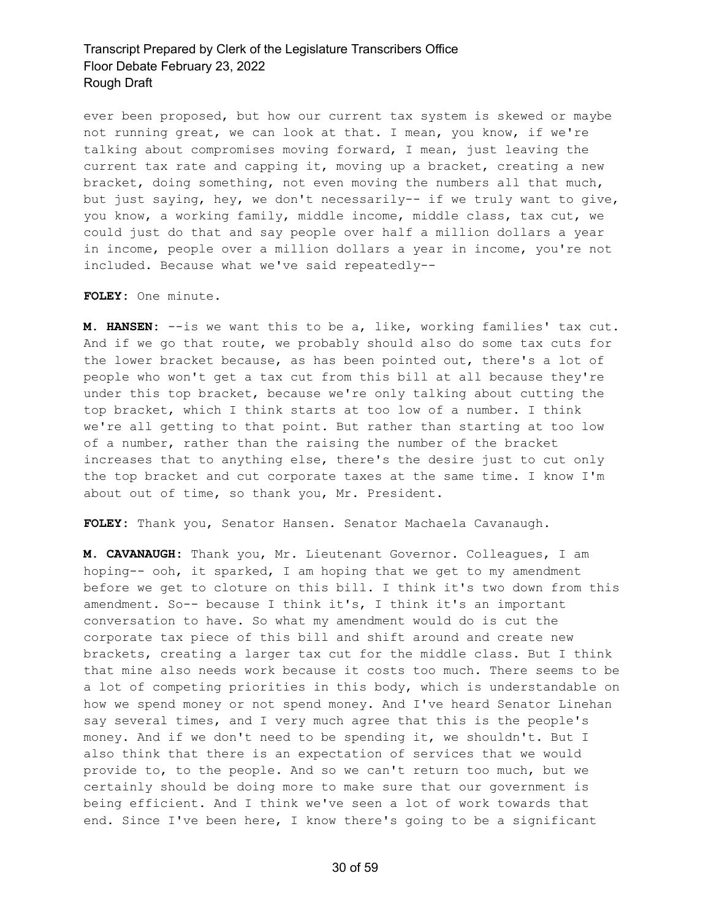ever been proposed, but how our current tax system is skewed or maybe not running great, we can look at that. I mean, you know, if we're talking about compromises moving forward, I mean, just leaving the current tax rate and capping it, moving up a bracket, creating a new bracket, doing something, not even moving the numbers all that much, but just saying, hey, we don't necessarily-- if we truly want to give, you know, a working family, middle income, middle class, tax cut, we could just do that and say people over half a million dollars a year in income, people over a million dollars a year in income, you're not included. Because what we've said repeatedly--

**FOLEY:** One minute.

**M. HANSEN:** --is we want this to be a, like, working families' tax cut. And if we go that route, we probably should also do some tax cuts for the lower bracket because, as has been pointed out, there's a lot of people who won't get a tax cut from this bill at all because they're under this top bracket, because we're only talking about cutting the top bracket, which I think starts at too low of a number. I think we're all getting to that point. But rather than starting at too low of a number, rather than the raising the number of the bracket increases that to anything else, there's the desire just to cut only the top bracket and cut corporate taxes at the same time. I know I'm about out of time, so thank you, Mr. President.

**FOLEY:** Thank you, Senator Hansen. Senator Machaela Cavanaugh.

**M. CAVANAUGH:** Thank you, Mr. Lieutenant Governor. Colleagues, I am hoping-- ooh, it sparked, I am hoping that we get to my amendment before we get to cloture on this bill. I think it's two down from this amendment. So-- because I think it's, I think it's an important conversation to have. So what my amendment would do is cut the corporate tax piece of this bill and shift around and create new brackets, creating a larger tax cut for the middle class. But I think that mine also needs work because it costs too much. There seems to be a lot of competing priorities in this body, which is understandable on how we spend money or not spend money. And I've heard Senator Linehan say several times, and I very much agree that this is the people's money. And if we don't need to be spending it, we shouldn't. But I also think that there is an expectation of services that we would provide to, to the people. And so we can't return too much, but we certainly should be doing more to make sure that our government is being efficient. And I think we've seen a lot of work towards that end. Since I've been here, I know there's going to be a significant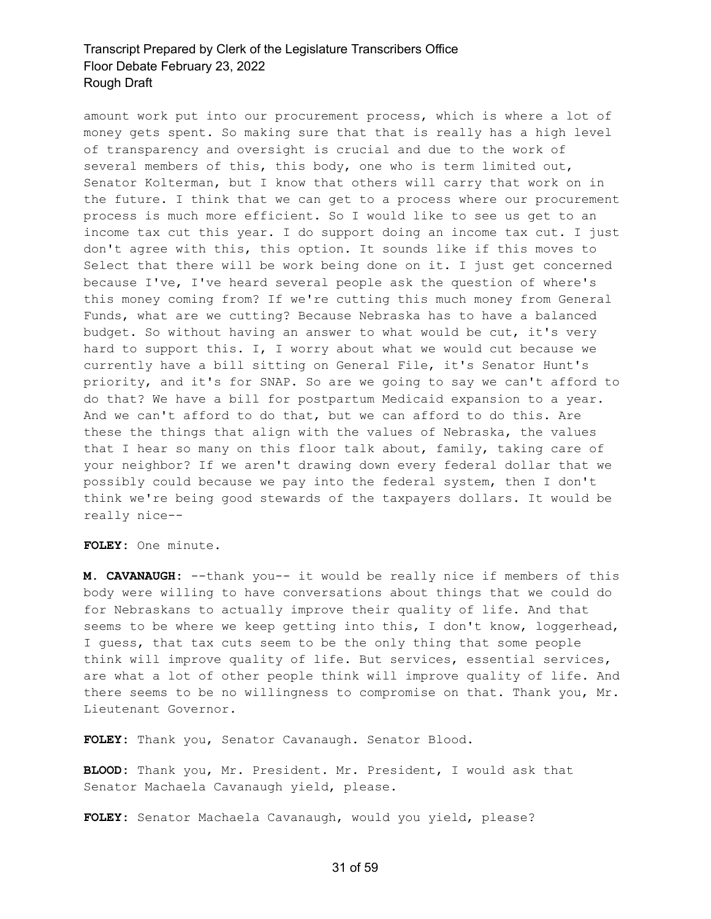amount work put into our procurement process, which is where a lot of money gets spent. So making sure that that is really has a high level of transparency and oversight is crucial and due to the work of several members of this, this body, one who is term limited out, Senator Kolterman, but I know that others will carry that work on in the future. I think that we can get to a process where our procurement process is much more efficient. So I would like to see us get to an income tax cut this year. I do support doing an income tax cut. I just don't agree with this, this option. It sounds like if this moves to Select that there will be work being done on it. I just get concerned because I've, I've heard several people ask the question of where's this money coming from? If we're cutting this much money from General Funds, what are we cutting? Because Nebraska has to have a balanced budget. So without having an answer to what would be cut, it's very hard to support this. I, I worry about what we would cut because we currently have a bill sitting on General File, it's Senator Hunt's priority, and it's for SNAP. So are we going to say we can't afford to do that? We have a bill for postpartum Medicaid expansion to a year. And we can't afford to do that, but we can afford to do this. Are these the things that align with the values of Nebraska, the values that I hear so many on this floor talk about, family, taking care of your neighbor? If we aren't drawing down every federal dollar that we possibly could because we pay into the federal system, then I don't think we're being good stewards of the taxpayers dollars. It would be really nice--

**FOLEY:** One minute.

**M. CAVANAUGH:** --thank you-- it would be really nice if members of this body were willing to have conversations about things that we could do for Nebraskans to actually improve their quality of life. And that seems to be where we keep getting into this, I don't know, loggerhead, I guess, that tax cuts seem to be the only thing that some people think will improve quality of life. But services, essential services, are what a lot of other people think will improve quality of life. And there seems to be no willingness to compromise on that. Thank you, Mr. Lieutenant Governor.

**FOLEY:** Thank you, Senator Cavanaugh. Senator Blood.

**BLOOD:** Thank you, Mr. President. Mr. President, I would ask that Senator Machaela Cavanaugh yield, please.

**FOLEY:** Senator Machaela Cavanaugh, would you yield, please?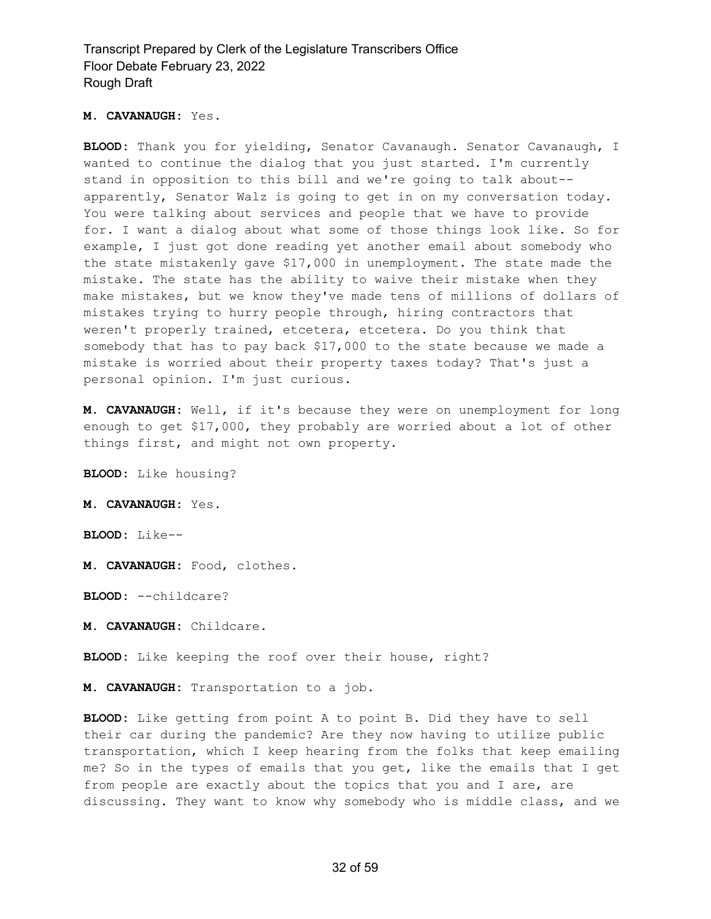#### **M. CAVANAUGH:** Yes.

**BLOOD:** Thank you for yielding, Senator Cavanaugh. Senator Cavanaugh, I wanted to continue the dialog that you just started. I'm currently stand in opposition to this bill and we're going to talk about- apparently, Senator Walz is going to get in on my conversation today. You were talking about services and people that we have to provide for. I want a dialog about what some of those things look like. So for example, I just got done reading yet another email about somebody who the state mistakenly gave \$17,000 in unemployment. The state made the mistake. The state has the ability to waive their mistake when they make mistakes, but we know they've made tens of millions of dollars of mistakes trying to hurry people through, hiring contractors that weren't properly trained, etcetera, etcetera. Do you think that somebody that has to pay back \$17,000 to the state because we made a mistake is worried about their property taxes today? That's just a personal opinion. I'm just curious.

**M. CAVANAUGH:** Well, if it's because they were on unemployment for long enough to get \$17,000, they probably are worried about a lot of other things first, and might not own property.

**BLOOD:** Like housing?

**M. CAVANAUGH:** Yes.

**BLOOD:** Like--

**M. CAVANAUGH:** Food, clothes.

**BLOOD:** --childcare?

**M. CAVANAUGH:** Childcare.

**BLOOD:** Like keeping the roof over their house, right?

**M. CAVANAUGH:** Transportation to a job.

**BLOOD:** Like getting from point A to point B. Did they have to sell their car during the pandemic? Are they now having to utilize public transportation, which I keep hearing from the folks that keep emailing me? So in the types of emails that you get, like the emails that I get from people are exactly about the topics that you and I are, are discussing. They want to know why somebody who is middle class, and we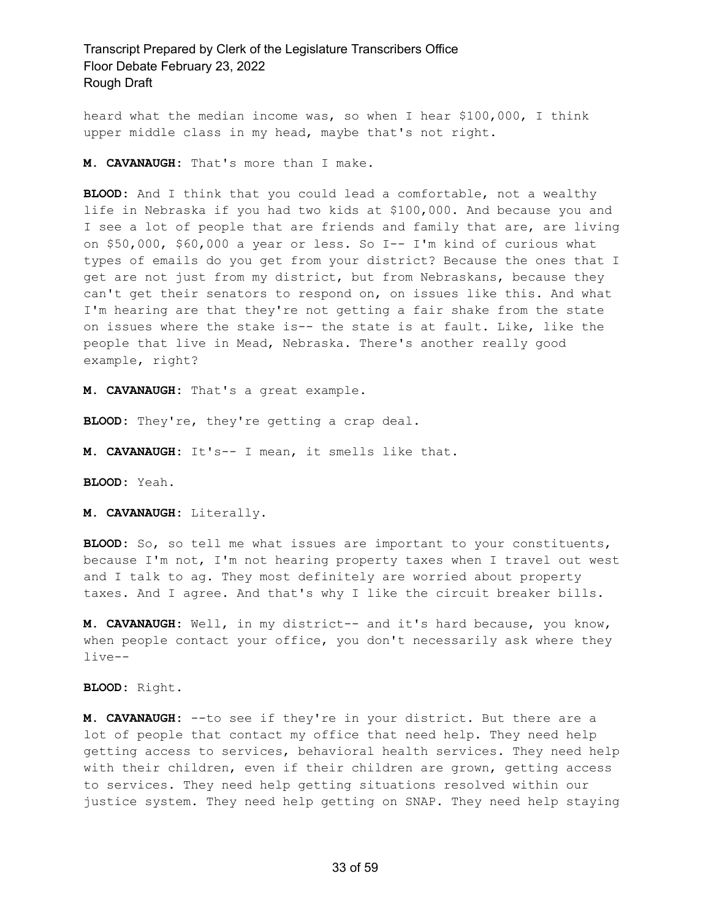heard what the median income was, so when I hear \$100,000, I think upper middle class in my head, maybe that's not right.

**M. CAVANAUGH:** That's more than I make.

**BLOOD:** And I think that you could lead a comfortable, not a wealthy life in Nebraska if you had two kids at \$100,000. And because you and I see a lot of people that are friends and family that are, are living on \$50,000, \$60,000 a year or less. So I-- I'm kind of curious what types of emails do you get from your district? Because the ones that I get are not just from my district, but from Nebraskans, because they can't get their senators to respond on, on issues like this. And what I'm hearing are that they're not getting a fair shake from the state on issues where the stake is-- the state is at fault. Like, like the people that live in Mead, Nebraska. There's another really good example, right?

**M. CAVANAUGH:** That's a great example.

**BLOOD:** They're, they're getting a crap deal.

**M. CAVANAUGH:** It's-- I mean, it smells like that.

**BLOOD:** Yeah.

**M. CAVANAUGH:** Literally.

**BLOOD:** So, so tell me what issues are important to your constituents, because I'm not, I'm not hearing property taxes when I travel out west and I talk to ag. They most definitely are worried about property taxes. And I agree. And that's why I like the circuit breaker bills.

**M. CAVANAUGH:** Well, in my district-- and it's hard because, you know, when people contact your office, you don't necessarily ask where they live--

**BLOOD:** Right.

**M. CAVANAUGH:** --to see if they're in your district. But there are a lot of people that contact my office that need help. They need help getting access to services, behavioral health services. They need help with their children, even if their children are grown, getting access to services. They need help getting situations resolved within our justice system. They need help getting on SNAP. They need help staying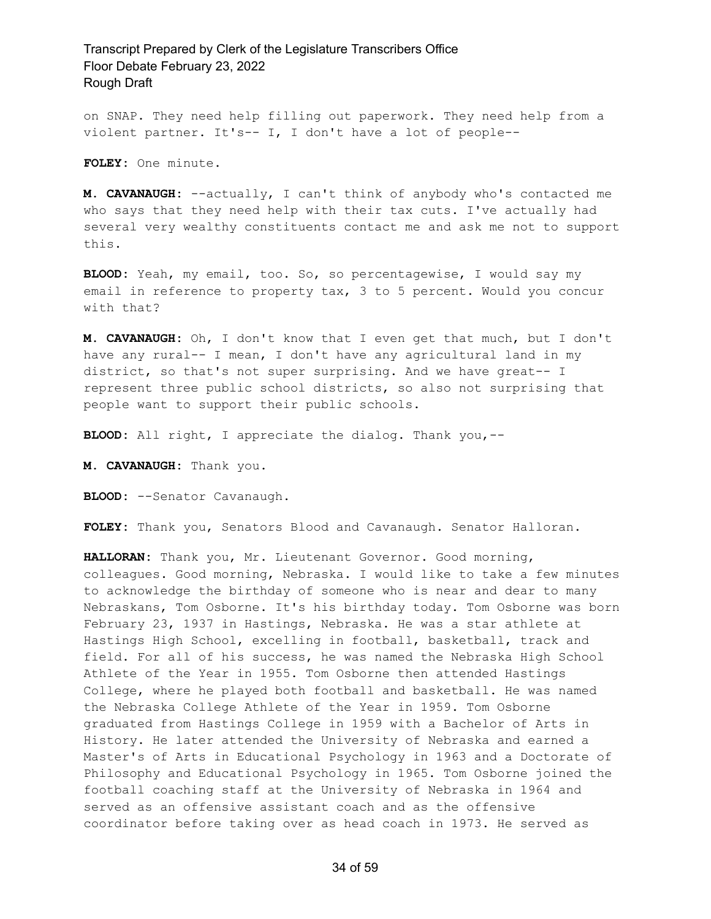on SNAP. They need help filling out paperwork. They need help from a violent partner. It's-- I, I don't have a lot of people--

**FOLEY:** One minute.

**M. CAVANAUGH:** --actually, I can't think of anybody who's contacted me who says that they need help with their tax cuts. I've actually had several very wealthy constituents contact me and ask me not to support this.

**BLOOD:** Yeah, my email, too. So, so percentagewise, I would say my email in reference to property tax, 3 to 5 percent. Would you concur with that?

**M. CAVANAUGH:** Oh, I don't know that I even get that much, but I don't have any rural-- I mean, I don't have any agricultural land in my district, so that's not super surprising. And we have great-- I represent three public school districts, so also not surprising that people want to support their public schools.

**BLOOD:** All right, I appreciate the dialog. Thank you,--

**M. CAVANAUGH:** Thank you.

**BLOOD:** --Senator Cavanaugh.

**FOLEY:** Thank you, Senators Blood and Cavanaugh. Senator Halloran.

**HALLORAN:** Thank you, Mr. Lieutenant Governor. Good morning, colleagues. Good morning, Nebraska. I would like to take a few minutes to acknowledge the birthday of someone who is near and dear to many Nebraskans, Tom Osborne. It's his birthday today. Tom Osborne was born February 23, 1937 in Hastings, Nebraska. He was a star athlete at Hastings High School, excelling in football, basketball, track and field. For all of his success, he was named the Nebraska High School Athlete of the Year in 1955. Tom Osborne then attended Hastings College, where he played both football and basketball. He was named the Nebraska College Athlete of the Year in 1959. Tom Osborne graduated from Hastings College in 1959 with a Bachelor of Arts in History. He later attended the University of Nebraska and earned a Master's of Arts in Educational Psychology in 1963 and a Doctorate of Philosophy and Educational Psychology in 1965. Tom Osborne joined the football coaching staff at the University of Nebraska in 1964 and served as an offensive assistant coach and as the offensive coordinator before taking over as head coach in 1973. He served as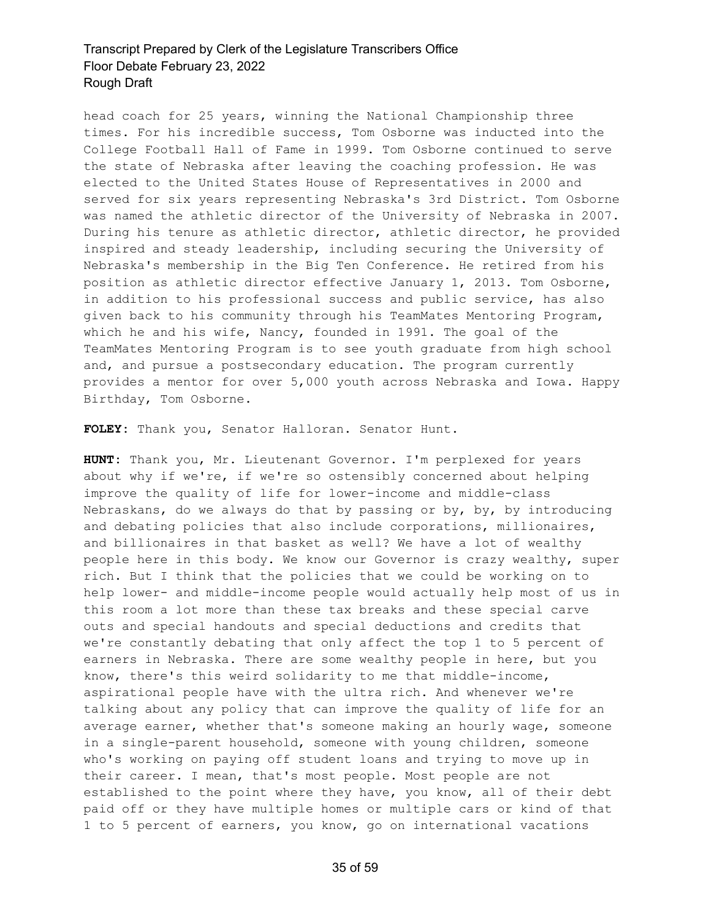head coach for 25 years, winning the National Championship three times. For his incredible success, Tom Osborne was inducted into the College Football Hall of Fame in 1999. Tom Osborne continued to serve the state of Nebraska after leaving the coaching profession. He was elected to the United States House of Representatives in 2000 and served for six years representing Nebraska's 3rd District. Tom Osborne was named the athletic director of the University of Nebraska in 2007. During his tenure as athletic director, athletic director, he provided inspired and steady leadership, including securing the University of Nebraska's membership in the Big Ten Conference. He retired from his position as athletic director effective January 1, 2013. Tom Osborne, in addition to his professional success and public service, has also given back to his community through his TeamMates Mentoring Program, which he and his wife, Nancy, founded in 1991. The goal of the TeamMates Mentoring Program is to see youth graduate from high school and, and pursue a postsecondary education. The program currently provides a mentor for over 5,000 youth across Nebraska and Iowa. Happy Birthday, Tom Osborne.

**FOLEY:** Thank you, Senator Halloran. Senator Hunt.

**HUNT:** Thank you, Mr. Lieutenant Governor. I'm perplexed for years about why if we're, if we're so ostensibly concerned about helping improve the quality of life for lower-income and middle-class Nebraskans, do we always do that by passing or by, by, by introducing and debating policies that also include corporations, millionaires, and billionaires in that basket as well? We have a lot of wealthy people here in this body. We know our Governor is crazy wealthy, super rich. But I think that the policies that we could be working on to help lower- and middle-income people would actually help most of us in this room a lot more than these tax breaks and these special carve outs and special handouts and special deductions and credits that we're constantly debating that only affect the top 1 to 5 percent of earners in Nebraska. There are some wealthy people in here, but you know, there's this weird solidarity to me that middle-income, aspirational people have with the ultra rich. And whenever we're talking about any policy that can improve the quality of life for an average earner, whether that's someone making an hourly wage, someone in a single-parent household, someone with young children, someone who's working on paying off student loans and trying to move up in their career. I mean, that's most people. Most people are not established to the point where they have, you know, all of their debt paid off or they have multiple homes or multiple cars or kind of that 1 to 5 percent of earners, you know, go on international vacations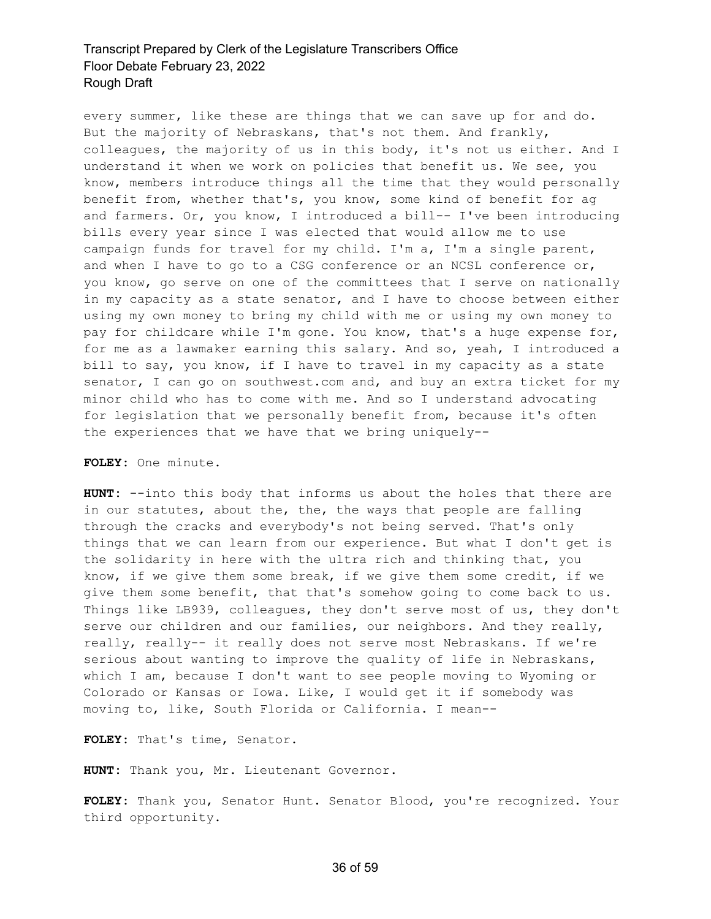every summer, like these are things that we can save up for and do. But the majority of Nebraskans, that's not them. And frankly, colleagues, the majority of us in this body, it's not us either. And I understand it when we work on policies that benefit us. We see, you know, members introduce things all the time that they would personally benefit from, whether that's, you know, some kind of benefit for ag and farmers. Or, you know, I introduced a bill-- I've been introducing bills every year since I was elected that would allow me to use campaign funds for travel for my child. I'm a, I'm a single parent, and when I have to go to a CSG conference or an NCSL conference or, you know, go serve on one of the committees that I serve on nationally in my capacity as a state senator, and I have to choose between either using my own money to bring my child with me or using my own money to pay for childcare while I'm gone. You know, that's a huge expense for, for me as a lawmaker earning this salary. And so, yeah, I introduced a bill to say, you know, if I have to travel in my capacity as a state senator, I can go on southwest.com and, and buy an extra ticket for my minor child who has to come with me. And so I understand advocating for legislation that we personally benefit from, because it's often the experiences that we have that we bring uniquely--

**FOLEY:** One minute.

**HUNT:** --into this body that informs us about the holes that there are in our statutes, about the, the, the ways that people are falling through the cracks and everybody's not being served. That's only things that we can learn from our experience. But what I don't get is the solidarity in here with the ultra rich and thinking that, you know, if we give them some break, if we give them some credit, if we give them some benefit, that that's somehow going to come back to us. Things like LB939, colleagues, they don't serve most of us, they don't serve our children and our families, our neighbors. And they really, really, really-- it really does not serve most Nebraskans. If we're serious about wanting to improve the quality of life in Nebraskans, which I am, because I don't want to see people moving to Wyoming or Colorado or Kansas or Iowa. Like, I would get it if somebody was moving to, like, South Florida or California. I mean--

**FOLEY:** That's time, Senator.

**HUNT:** Thank you, Mr. Lieutenant Governor.

**FOLEY:** Thank you, Senator Hunt. Senator Blood, you're recognized. Your third opportunity.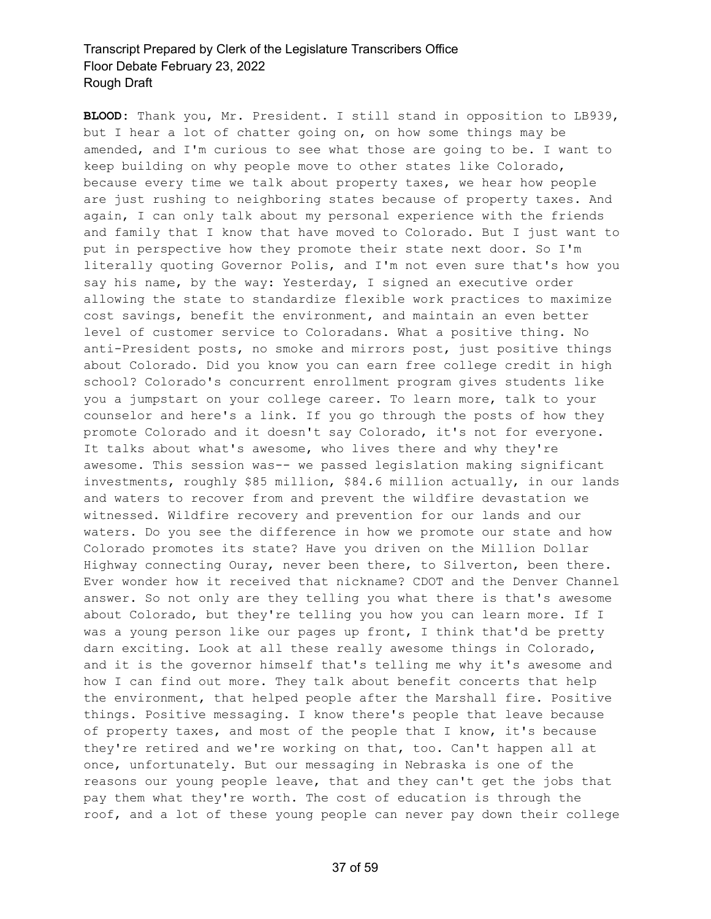**BLOOD:** Thank you, Mr. President. I still stand in opposition to LB939, but I hear a lot of chatter going on, on how some things may be amended, and I'm curious to see what those are going to be. I want to keep building on why people move to other states like Colorado, because every time we talk about property taxes, we hear how people are just rushing to neighboring states because of property taxes. And again, I can only talk about my personal experience with the friends and family that I know that have moved to Colorado. But I just want to put in perspective how they promote their state next door. So I'm literally quoting Governor Polis, and I'm not even sure that's how you say his name, by the way: Yesterday, I signed an executive order allowing the state to standardize flexible work practices to maximize cost savings, benefit the environment, and maintain an even better level of customer service to Coloradans. What a positive thing. No anti-President posts, no smoke and mirrors post, just positive things about Colorado. Did you know you can earn free college credit in high school? Colorado's concurrent enrollment program gives students like you a jumpstart on your college career. To learn more, talk to your counselor and here's a link. If you go through the posts of how they promote Colorado and it doesn't say Colorado, it's not for everyone. It talks about what's awesome, who lives there and why they're awesome. This session was-- we passed legislation making significant investments, roughly \$85 million, \$84.6 million actually, in our lands and waters to recover from and prevent the wildfire devastation we witnessed. Wildfire recovery and prevention for our lands and our waters. Do you see the difference in how we promote our state and how Colorado promotes its state? Have you driven on the Million Dollar Highway connecting Ouray, never been there, to Silverton, been there. Ever wonder how it received that nickname? CDOT and the Denver Channel answer. So not only are they telling you what there is that's awesome about Colorado, but they're telling you how you can learn more. If I was a young person like our pages up front, I think that'd be pretty darn exciting. Look at all these really awesome things in Colorado, and it is the governor himself that's telling me why it's awesome and how I can find out more. They talk about benefit concerts that help the environment, that helped people after the Marshall fire. Positive things. Positive messaging. I know there's people that leave because of property taxes, and most of the people that I know, it's because they're retired and we're working on that, too. Can't happen all at once, unfortunately. But our messaging in Nebraska is one of the reasons our young people leave, that and they can't get the jobs that pay them what they're worth. The cost of education is through the roof, and a lot of these young people can never pay down their college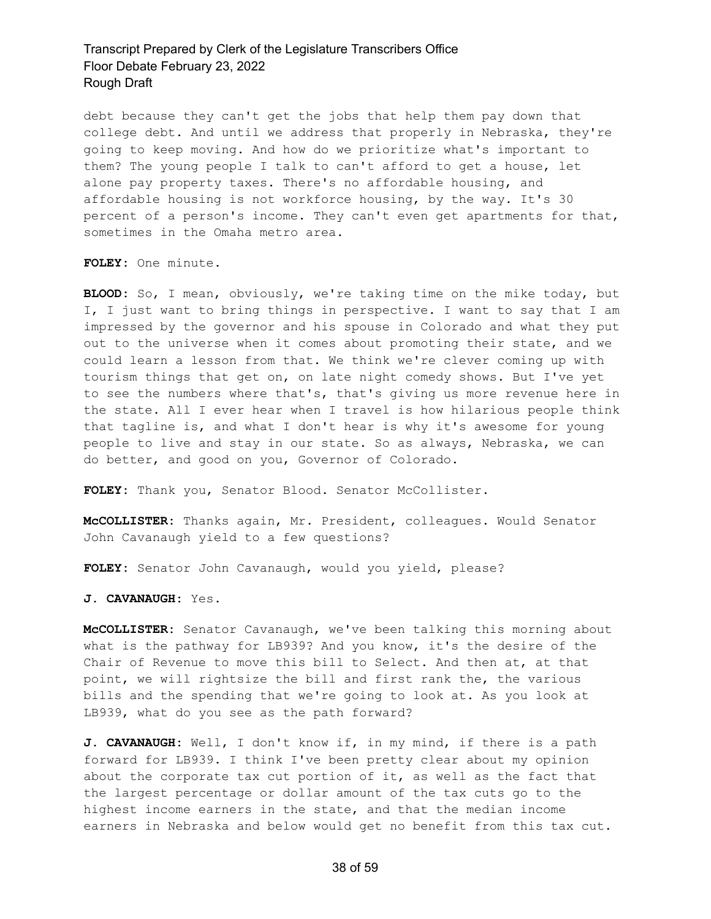debt because they can't get the jobs that help them pay down that college debt. And until we address that properly in Nebraska, they're going to keep moving. And how do we prioritize what's important to them? The young people I talk to can't afford to get a house, let alone pay property taxes. There's no affordable housing, and affordable housing is not workforce housing, by the way. It's 30 percent of a person's income. They can't even get apartments for that, sometimes in the Omaha metro area.

**FOLEY:** One minute.

**BLOOD:** So, I mean, obviously, we're taking time on the mike today, but I, I just want to bring things in perspective. I want to say that I am impressed by the governor and his spouse in Colorado and what they put out to the universe when it comes about promoting their state, and we could learn a lesson from that. We think we're clever coming up with tourism things that get on, on late night comedy shows. But I've yet to see the numbers where that's, that's giving us more revenue here in the state. All I ever hear when I travel is how hilarious people think that tagline is, and what I don't hear is why it's awesome for young people to live and stay in our state. So as always, Nebraska, we can do better, and good on you, Governor of Colorado.

**FOLEY:** Thank you, Senator Blood. Senator McCollister.

**McCOLLISTER:** Thanks again, Mr. President, colleagues. Would Senator John Cavanaugh yield to a few questions?

**FOLEY:** Senator John Cavanaugh, would you yield, please?

**J. CAVANAUGH:** Yes.

**McCOLLISTER:** Senator Cavanaugh, we've been talking this morning about what is the pathway for LB939? And you know, it's the desire of the Chair of Revenue to move this bill to Select. And then at, at that point, we will rightsize the bill and first rank the, the various bills and the spending that we're going to look at. As you look at LB939, what do you see as the path forward?

**J. CAVANAUGH:** Well, I don't know if, in my mind, if there is a path forward for LB939. I think I've been pretty clear about my opinion about the corporate tax cut portion of it, as well as the fact that the largest percentage or dollar amount of the tax cuts go to the highest income earners in the state, and that the median income earners in Nebraska and below would get no benefit from this tax cut.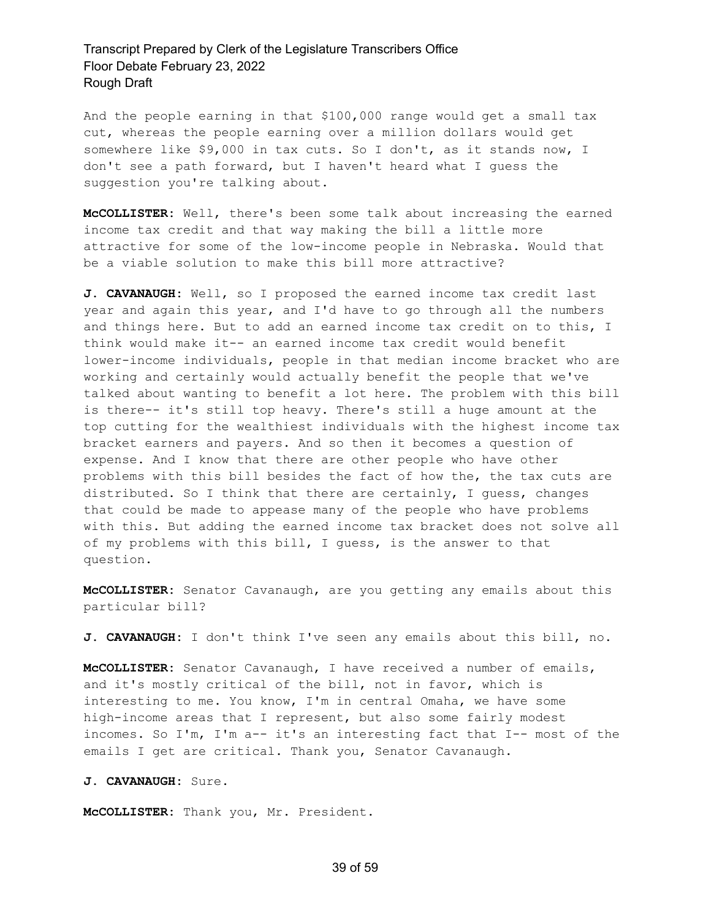And the people earning in that \$100,000 range would get a small tax cut, whereas the people earning over a million dollars would get somewhere like \$9,000 in tax cuts. So I don't, as it stands now, I don't see a path forward, but I haven't heard what I guess the suggestion you're talking about.

**McCOLLISTER:** Well, there's been some talk about increasing the earned income tax credit and that way making the bill a little more attractive for some of the low-income people in Nebraska. Would that be a viable solution to make this bill more attractive?

**J. CAVANAUGH:** Well, so I proposed the earned income tax credit last year and again this year, and I'd have to go through all the numbers and things here. But to add an earned income tax credit on to this, I think would make it-- an earned income tax credit would benefit lower-income individuals, people in that median income bracket who are working and certainly would actually benefit the people that we've talked about wanting to benefit a lot here. The problem with this bill is there-- it's still top heavy. There's still a huge amount at the top cutting for the wealthiest individuals with the highest income tax bracket earners and payers. And so then it becomes a question of expense. And I know that there are other people who have other problems with this bill besides the fact of how the, the tax cuts are distributed. So I think that there are certainly, I guess, changes that could be made to appease many of the people who have problems with this. But adding the earned income tax bracket does not solve all of my problems with this bill, I guess, is the answer to that question.

**McCOLLISTER:** Senator Cavanaugh, are you getting any emails about this particular bill?

**J. CAVANAUGH:** I don't think I've seen any emails about this bill, no.

**McCOLLISTER:** Senator Cavanaugh, I have received a number of emails, and it's mostly critical of the bill, not in favor, which is interesting to me. You know, I'm in central Omaha, we have some high-income areas that I represent, but also some fairly modest incomes. So I'm, I'm a-- it's an interesting fact that I-- most of the emails I get are critical. Thank you, Senator Cavanaugh.

**J. CAVANAUGH:** Sure.

**McCOLLISTER:** Thank you, Mr. President.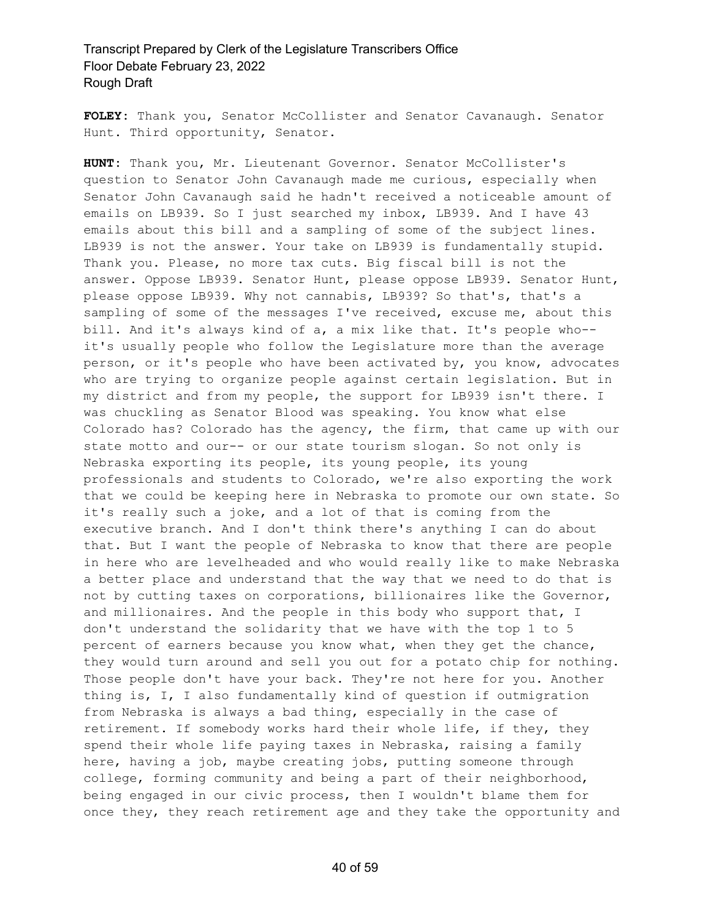**FOLEY:** Thank you, Senator McCollister and Senator Cavanaugh. Senator Hunt. Third opportunity, Senator.

**HUNT:** Thank you, Mr. Lieutenant Governor. Senator McCollister's question to Senator John Cavanaugh made me curious, especially when Senator John Cavanaugh said he hadn't received a noticeable amount of emails on LB939. So I just searched my inbox, LB939. And I have 43 emails about this bill and a sampling of some of the subject lines. LB939 is not the answer. Your take on LB939 is fundamentally stupid. Thank you. Please, no more tax cuts. Big fiscal bill is not the answer. Oppose LB939. Senator Hunt, please oppose LB939. Senator Hunt, please oppose LB939. Why not cannabis, LB939? So that's, that's a sampling of some of the messages I've received, excuse me, about this bill. And it's always kind of a, a mix like that. It's people who- it's usually people who follow the Legislature more than the average person, or it's people who have been activated by, you know, advocates who are trying to organize people against certain legislation. But in my district and from my people, the support for LB939 isn't there. I was chuckling as Senator Blood was speaking. You know what else Colorado has? Colorado has the agency, the firm, that came up with our state motto and our-- or our state tourism slogan. So not only is Nebraska exporting its people, its young people, its young professionals and students to Colorado, we're also exporting the work that we could be keeping here in Nebraska to promote our own state. So it's really such a joke, and a lot of that is coming from the executive branch. And I don't think there's anything I can do about that. But I want the people of Nebraska to know that there are people in here who are levelheaded and who would really like to make Nebraska a better place and understand that the way that we need to do that is not by cutting taxes on corporations, billionaires like the Governor, and millionaires. And the people in this body who support that, I don't understand the solidarity that we have with the top 1 to 5 percent of earners because you know what, when they get the chance, they would turn around and sell you out for a potato chip for nothing. Those people don't have your back. They're not here for you. Another thing is, I, I also fundamentally kind of question if outmigration from Nebraska is always a bad thing, especially in the case of retirement. If somebody works hard their whole life, if they, they spend their whole life paying taxes in Nebraska, raising a family here, having a job, maybe creating jobs, putting someone through college, forming community and being a part of their neighborhood, being engaged in our civic process, then I wouldn't blame them for once they, they reach retirement age and they take the opportunity and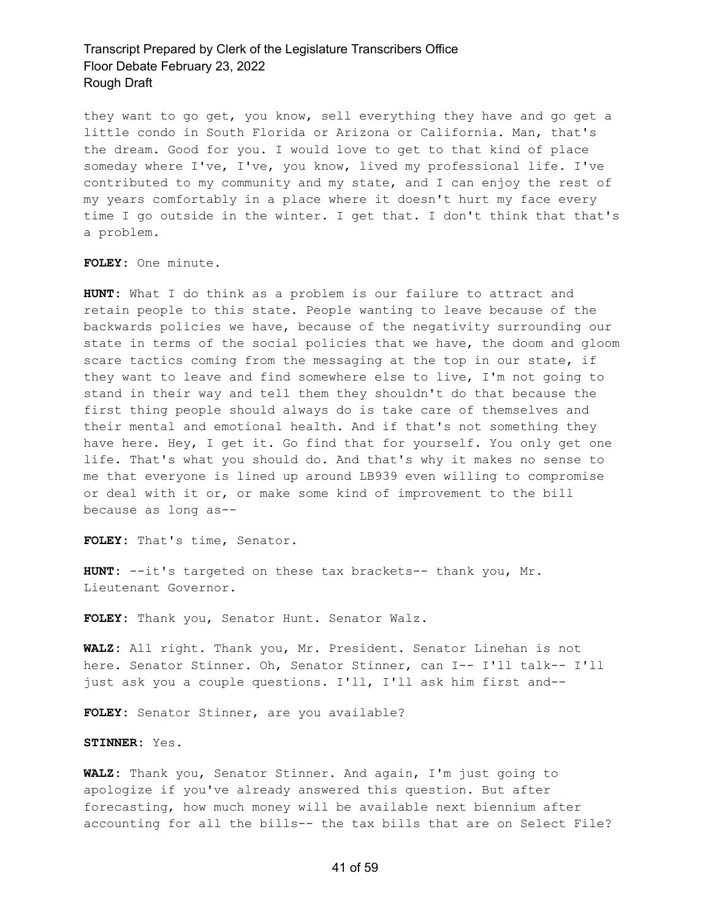they want to go get, you know, sell everything they have and go get a little condo in South Florida or Arizona or California. Man, that's the dream. Good for you. I would love to get to that kind of place someday where I've, I've, you know, lived my professional life. I've contributed to my community and my state, and I can enjoy the rest of my years comfortably in a place where it doesn't hurt my face every time I go outside in the winter. I get that. I don't think that that's a problem.

**FOLEY:** One minute.

**HUNT:** What I do think as a problem is our failure to attract and retain people to this state. People wanting to leave because of the backwards policies we have, because of the negativity surrounding our state in terms of the social policies that we have, the doom and gloom scare tactics coming from the messaging at the top in our state, if they want to leave and find somewhere else to live, I'm not going to stand in their way and tell them they shouldn't do that because the first thing people should always do is take care of themselves and their mental and emotional health. And if that's not something they have here. Hey, I get it. Go find that for yourself. You only get one life. That's what you should do. And that's why it makes no sense to me that everyone is lined up around LB939 even willing to compromise or deal with it or, or make some kind of improvement to the bill because as long as--

**FOLEY:** That's time, Senator.

**HUNT:** --it's targeted on these tax brackets-- thank you, Mr. Lieutenant Governor.

**FOLEY:** Thank you, Senator Hunt. Senator Walz.

**WALZ:** All right. Thank you, Mr. President. Senator Linehan is not here. Senator Stinner. Oh, Senator Stinner, can I-- I'll talk-- I'll just ask you a couple questions. I'll, I'll ask him first and--

**FOLEY:** Senator Stinner, are you available?

**STINNER:** Yes.

**WALZ:** Thank you, Senator Stinner. And again, I'm just going to apologize if you've already answered this question. But after forecasting, how much money will be available next biennium after accounting for all the bills-- the tax bills that are on Select File?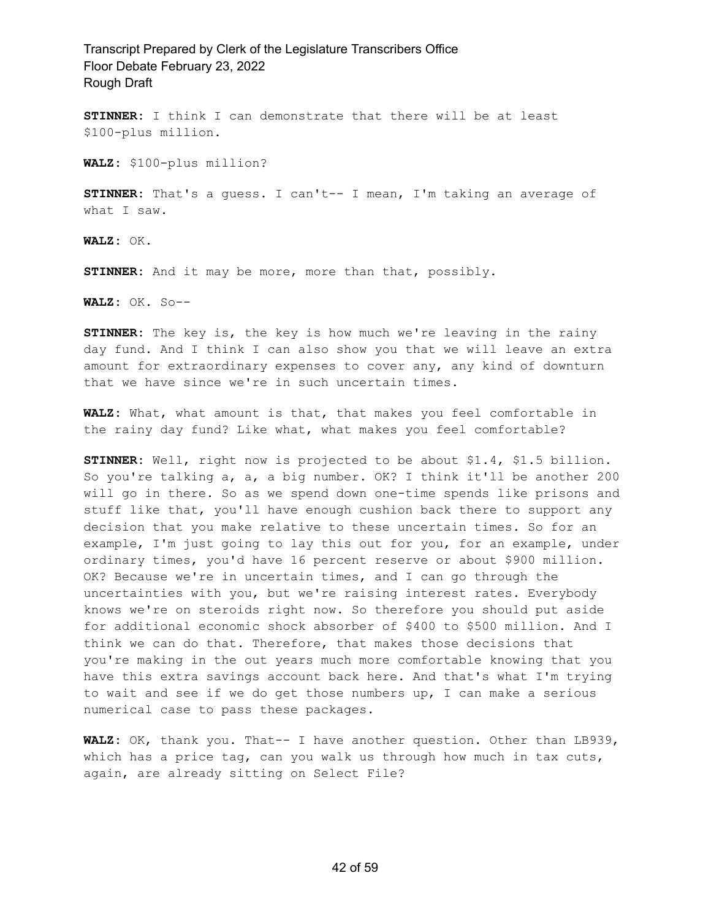**STINNER:** I think I can demonstrate that there will be at least \$100-plus million.

**WALZ:** \$100-plus million?

**STINNER:** That's a guess. I can't-- I mean, I'm taking an average of what I saw.

**WALZ:** OK.

**STINNER:** And it may be more, more than that, possibly.

**WALZ:** OK. So--

**STINNER:** The key is, the key is how much we're leaving in the rainy day fund. And I think I can also show you that we will leave an extra amount for extraordinary expenses to cover any, any kind of downturn that we have since we're in such uncertain times.

**WALZ:** What, what amount is that, that makes you feel comfortable in the rainy day fund? Like what, what makes you feel comfortable?

**STINNER:** Well, right now is projected to be about \$1.4, \$1.5 billion. So you're talking a, a, a big number. OK? I think it'll be another 200 will go in there. So as we spend down one-time spends like prisons and stuff like that, you'll have enough cushion back there to support any decision that you make relative to these uncertain times. So for an example, I'm just going to lay this out for you, for an example, under ordinary times, you'd have 16 percent reserve or about \$900 million. OK? Because we're in uncertain times, and I can go through the uncertainties with you, but we're raising interest rates. Everybody knows we're on steroids right now. So therefore you should put aside for additional economic shock absorber of \$400 to \$500 million. And I think we can do that. Therefore, that makes those decisions that you're making in the out years much more comfortable knowing that you have this extra savings account back here. And that's what I'm trying to wait and see if we do get those numbers up, I can make a serious numerical case to pass these packages.

**WALZ:** OK, thank you. That-- I have another question. Other than LB939, which has a price tag, can you walk us through how much in tax cuts, again, are already sitting on Select File?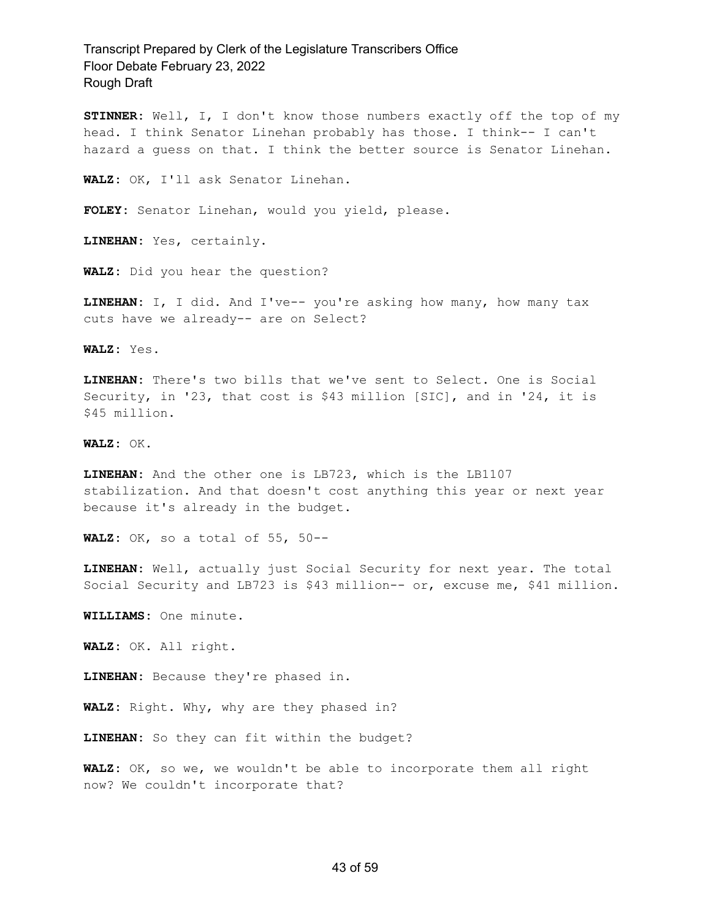**STINNER:** Well, I, I don't know those numbers exactly off the top of my head. I think Senator Linehan probably has those. I think-- I can't hazard a guess on that. I think the better source is Senator Linehan.

**WALZ:** OK, I'll ask Senator Linehan.

**FOLEY:** Senator Linehan, would you yield, please.

**LINEHAN:** Yes, certainly.

**WALZ:** Did you hear the question?

**LINEHAN:** I, I did. And I've-- you're asking how many, how many tax cuts have we already-- are on Select?

**WALZ:** Yes.

**LINEHAN:** There's two bills that we've sent to Select. One is Social Security, in '23, that cost is \$43 million [SIC], and in '24, it is \$45 million.

**WALZ:** OK.

**LINEHAN:** And the other one is LB723, which is the LB1107 stabilization. And that doesn't cost anything this year or next year because it's already in the budget.

**WALZ:** OK, so a total of 55, 50--

**LINEHAN:** Well, actually just Social Security for next year. The total Social Security and LB723 is \$43 million-- or, excuse me, \$41 million.

**WILLIAMS:** One minute.

**WALZ:** OK. All right.

**LINEHAN:** Because they're phased in.

**WALZ:** Right. Why, why are they phased in?

**LINEHAN:** So they can fit within the budget?

**WALZ:** OK, so we, we wouldn't be able to incorporate them all right now? We couldn't incorporate that?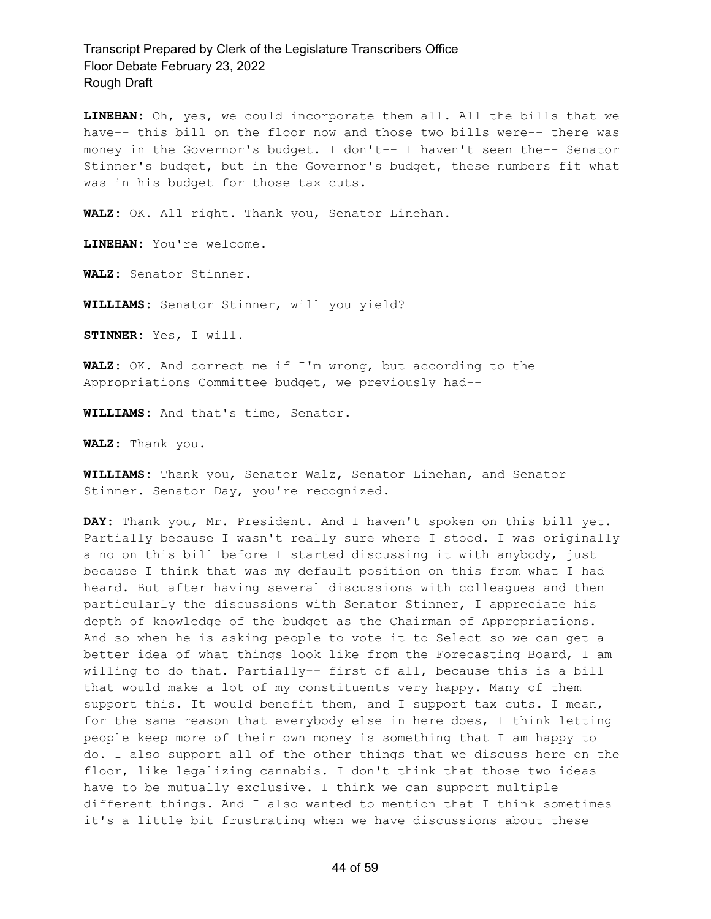**LINEHAN:** Oh, yes, we could incorporate them all. All the bills that we have-- this bill on the floor now and those two bills were-- there was money in the Governor's budget. I don't-- I haven't seen the-- Senator Stinner's budget, but in the Governor's budget, these numbers fit what was in his budget for those tax cuts.

**WALZ:** OK. All right. Thank you, Senator Linehan.

**LINEHAN:** You're welcome.

**WALZ:** Senator Stinner.

**WILLIAMS:** Senator Stinner, will you yield?

**STINNER:** Yes, I will.

**WALZ:** OK. And correct me if I'm wrong, but according to the Appropriations Committee budget, we previously had--

**WILLIAMS:** And that's time, Senator.

**WALZ:** Thank you.

**WILLIAMS:** Thank you, Senator Walz, Senator Linehan, and Senator Stinner. Senator Day, you're recognized.

**DAY:** Thank you, Mr. President. And I haven't spoken on this bill yet. Partially because I wasn't really sure where I stood. I was originally a no on this bill before I started discussing it with anybody, just because I think that was my default position on this from what I had heard. But after having several discussions with colleagues and then particularly the discussions with Senator Stinner, I appreciate his depth of knowledge of the budget as the Chairman of Appropriations. And so when he is asking people to vote it to Select so we can get a better idea of what things look like from the Forecasting Board, I am willing to do that. Partially-- first of all, because this is a bill that would make a lot of my constituents very happy. Many of them support this. It would benefit them, and I support tax cuts. I mean, for the same reason that everybody else in here does, I think letting people keep more of their own money is something that I am happy to do. I also support all of the other things that we discuss here on the floor, like legalizing cannabis. I don't think that those two ideas have to be mutually exclusive. I think we can support multiple different things. And I also wanted to mention that I think sometimes it's a little bit frustrating when we have discussions about these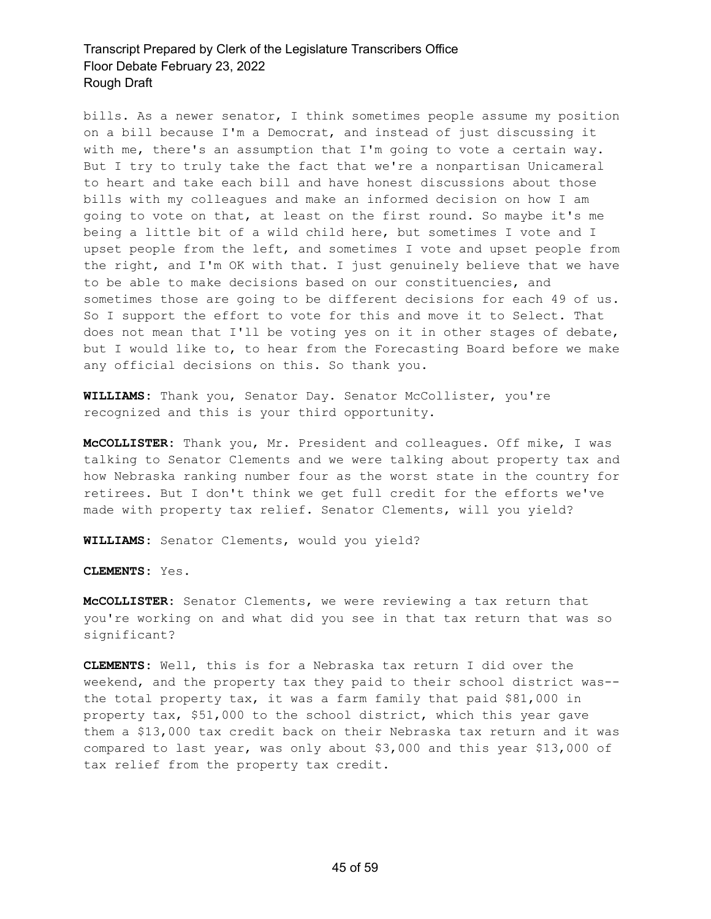bills. As a newer senator, I think sometimes people assume my position on a bill because I'm a Democrat, and instead of just discussing it with me, there's an assumption that I'm going to vote a certain way. But I try to truly take the fact that we're a nonpartisan Unicameral to heart and take each bill and have honest discussions about those bills with my colleagues and make an informed decision on how I am going to vote on that, at least on the first round. So maybe it's me being a little bit of a wild child here, but sometimes I vote and I upset people from the left, and sometimes I vote and upset people from the right, and I'm OK with that. I just genuinely believe that we have to be able to make decisions based on our constituencies, and sometimes those are going to be different decisions for each 49 of us. So I support the effort to vote for this and move it to Select. That does not mean that I'll be voting yes on it in other stages of debate, but I would like to, to hear from the Forecasting Board before we make any official decisions on this. So thank you.

**WILLIAMS:** Thank you, Senator Day. Senator McCollister, you're recognized and this is your third opportunity.

**McCOLLISTER:** Thank you, Mr. President and colleagues. Off mike, I was talking to Senator Clements and we were talking about property tax and how Nebraska ranking number four as the worst state in the country for retirees. But I don't think we get full credit for the efforts we've made with property tax relief. Senator Clements, will you yield?

**WILLIAMS:** Senator Clements, would you yield?

**CLEMENTS:** Yes.

**McCOLLISTER:** Senator Clements, we were reviewing a tax return that you're working on and what did you see in that tax return that was so significant?

**CLEMENTS:** Well, this is for a Nebraska tax return I did over the weekend, and the property tax they paid to their school district was- the total property tax, it was a farm family that paid \$81,000 in property tax, \$51,000 to the school district, which this year gave them a \$13,000 tax credit back on their Nebraska tax return and it was compared to last year, was only about \$3,000 and this year \$13,000 of tax relief from the property tax credit.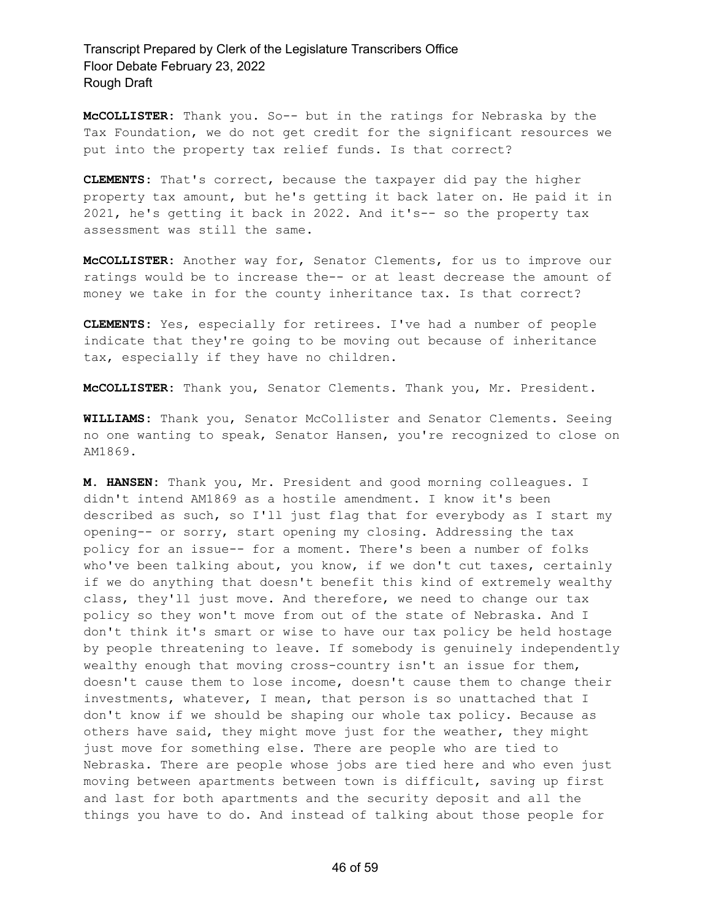**McCOLLISTER:** Thank you. So-- but in the ratings for Nebraska by the Tax Foundation, we do not get credit for the significant resources we put into the property tax relief funds. Is that correct?

**CLEMENTS:** That's correct, because the taxpayer did pay the higher property tax amount, but he's getting it back later on. He paid it in 2021, he's getting it back in 2022. And it's-- so the property tax assessment was still the same.

**McCOLLISTER:** Another way for, Senator Clements, for us to improve our ratings would be to increase the-- or at least decrease the amount of money we take in for the county inheritance tax. Is that correct?

**CLEMENTS:** Yes, especially for retirees. I've had a number of people indicate that they're going to be moving out because of inheritance tax, especially if they have no children.

**McCOLLISTER:** Thank you, Senator Clements. Thank you, Mr. President.

**WILLIAMS:** Thank you, Senator McCollister and Senator Clements. Seeing no one wanting to speak, Senator Hansen, you're recognized to close on AM1869.

**M. HANSEN:** Thank you, Mr. President and good morning colleagues. I didn't intend AM1869 as a hostile amendment. I know it's been described as such, so I'll just flag that for everybody as I start my opening-- or sorry, start opening my closing. Addressing the tax policy for an issue-- for a moment. There's been a number of folks who've been talking about, you know, if we don't cut taxes, certainly if we do anything that doesn't benefit this kind of extremely wealthy class, they'll just move. And therefore, we need to change our tax policy so they won't move from out of the state of Nebraska. And I don't think it's smart or wise to have our tax policy be held hostage by people threatening to leave. If somebody is genuinely independently wealthy enough that moving cross-country isn't an issue for them, doesn't cause them to lose income, doesn't cause them to change their investments, whatever, I mean, that person is so unattached that I don't know if we should be shaping our whole tax policy. Because as others have said, they might move just for the weather, they might just move for something else. There are people who are tied to Nebraska. There are people whose jobs are tied here and who even just moving between apartments between town is difficult, saving up first and last for both apartments and the security deposit and all the things you have to do. And instead of talking about those people for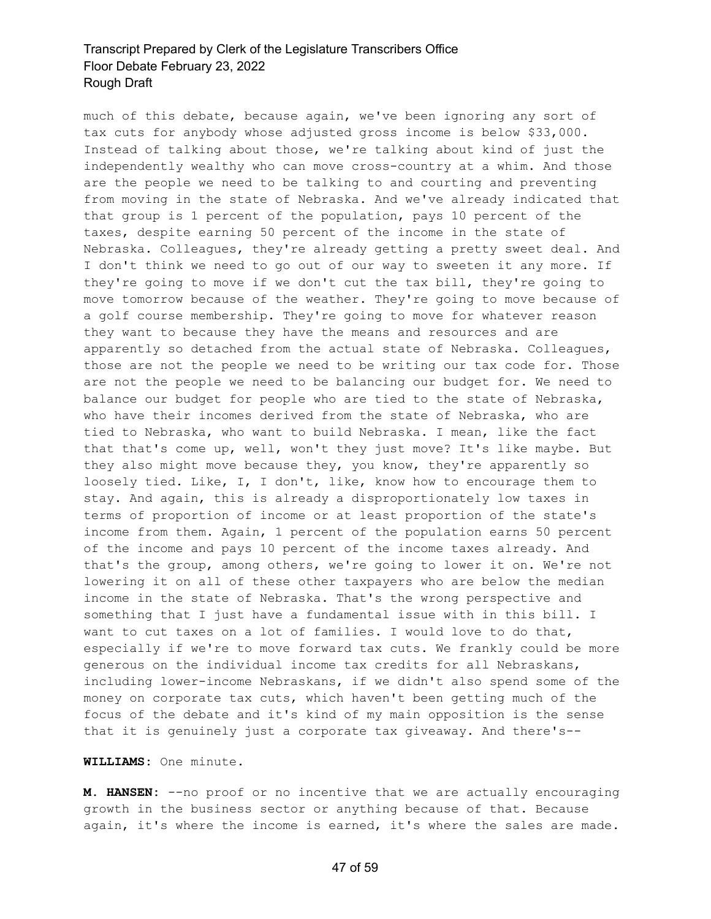much of this debate, because again, we've been ignoring any sort of tax cuts for anybody whose adjusted gross income is below \$33,000. Instead of talking about those, we're talking about kind of just the independently wealthy who can move cross-country at a whim. And those are the people we need to be talking to and courting and preventing from moving in the state of Nebraska. And we've already indicated that that group is 1 percent of the population, pays 10 percent of the taxes, despite earning 50 percent of the income in the state of Nebraska. Colleagues, they're already getting a pretty sweet deal. And I don't think we need to go out of our way to sweeten it any more. If they're going to move if we don't cut the tax bill, they're going to move tomorrow because of the weather. They're going to move because of a golf course membership. They're going to move for whatever reason they want to because they have the means and resources and are apparently so detached from the actual state of Nebraska. Colleagues, those are not the people we need to be writing our tax code for. Those are not the people we need to be balancing our budget for. We need to balance our budget for people who are tied to the state of Nebraska, who have their incomes derived from the state of Nebraska, who are tied to Nebraska, who want to build Nebraska. I mean, like the fact that that's come up, well, won't they just move? It's like maybe. But they also might move because they, you know, they're apparently so loosely tied. Like, I, I don't, like, know how to encourage them to stay. And again, this is already a disproportionately low taxes in terms of proportion of income or at least proportion of the state's income from them. Again, 1 percent of the population earns 50 percent of the income and pays 10 percent of the income taxes already. And that's the group, among others, we're going to lower it on. We're not lowering it on all of these other taxpayers who are below the median income in the state of Nebraska. That's the wrong perspective and something that I just have a fundamental issue with in this bill. I want to cut taxes on a lot of families. I would love to do that, especially if we're to move forward tax cuts. We frankly could be more generous on the individual income tax credits for all Nebraskans, including lower-income Nebraskans, if we didn't also spend some of the money on corporate tax cuts, which haven't been getting much of the focus of the debate and it's kind of my main opposition is the sense that it is genuinely just a corporate tax giveaway. And there's--

#### **WILLIAMS:** One minute.

**M. HANSEN:** --no proof or no incentive that we are actually encouraging growth in the business sector or anything because of that. Because again, it's where the income is earned, it's where the sales are made.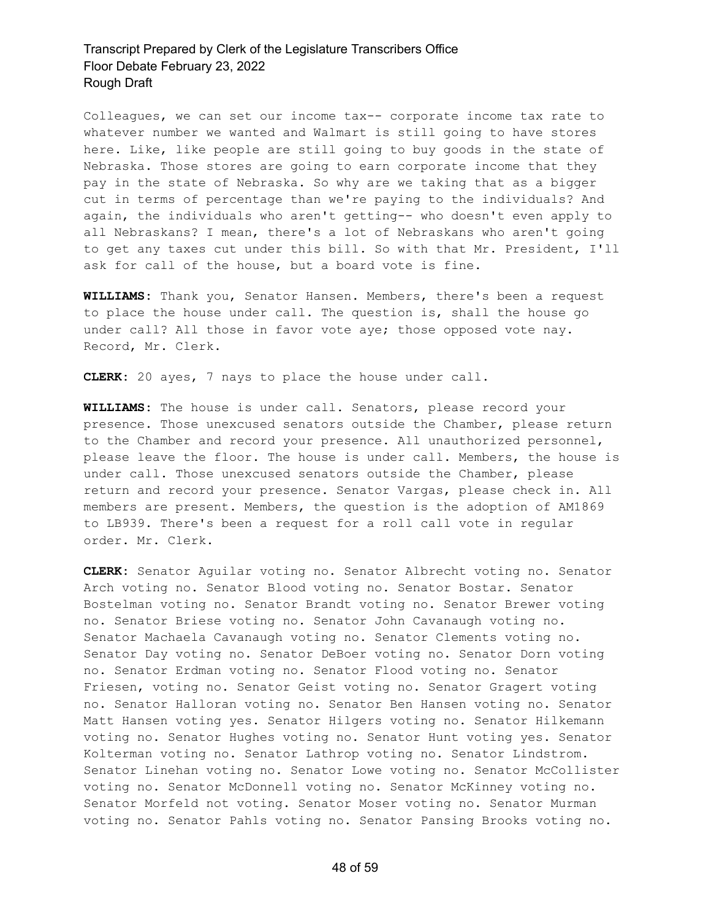Colleagues, we can set our income tax-- corporate income tax rate to whatever number we wanted and Walmart is still going to have stores here. Like, like people are still going to buy goods in the state of Nebraska. Those stores are going to earn corporate income that they pay in the state of Nebraska. So why are we taking that as a bigger cut in terms of percentage than we're paying to the individuals? And again, the individuals who aren't getting-- who doesn't even apply to all Nebraskans? I mean, there's a lot of Nebraskans who aren't going to get any taxes cut under this bill. So with that Mr. President, I'll ask for call of the house, but a board vote is fine.

**WILLIAMS:** Thank you, Senator Hansen. Members, there's been a request to place the house under call. The question is, shall the house go under call? All those in favor vote aye; those opposed vote nay. Record, Mr. Clerk.

**CLERK:** 20 ayes, 7 nays to place the house under call.

**WILLIAMS:** The house is under call. Senators, please record your presence. Those unexcused senators outside the Chamber, please return to the Chamber and record your presence. All unauthorized personnel, please leave the floor. The house is under call. Members, the house is under call. Those unexcused senators outside the Chamber, please return and record your presence. Senator Vargas, please check in. All members are present. Members, the question is the adoption of AM1869 to LB939. There's been a request for a roll call vote in regular order. Mr. Clerk.

**CLERK:** Senator Aguilar voting no. Senator Albrecht voting no. Senator Arch voting no. Senator Blood voting no. Senator Bostar. Senator Bostelman voting no. Senator Brandt voting no. Senator Brewer voting no. Senator Briese voting no. Senator John Cavanaugh voting no. Senator Machaela Cavanaugh voting no. Senator Clements voting no. Senator Day voting no. Senator DeBoer voting no. Senator Dorn voting no. Senator Erdman voting no. Senator Flood voting no. Senator Friesen, voting no. Senator Geist voting no. Senator Gragert voting no. Senator Halloran voting no. Senator Ben Hansen voting no. Senator Matt Hansen voting yes. Senator Hilgers voting no. Senator Hilkemann voting no. Senator Hughes voting no. Senator Hunt voting yes. Senator Kolterman voting no. Senator Lathrop voting no. Senator Lindstrom. Senator Linehan voting no. Senator Lowe voting no. Senator McCollister voting no. Senator McDonnell voting no. Senator McKinney voting no. Senator Morfeld not voting. Senator Moser voting no. Senator Murman voting no. Senator Pahls voting no. Senator Pansing Brooks voting no.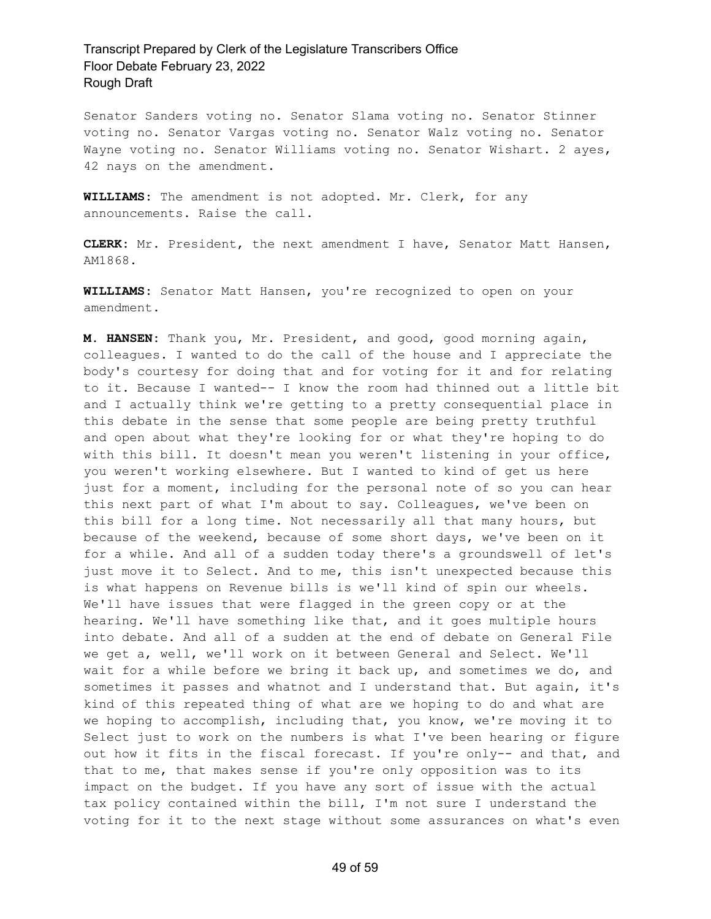Senator Sanders voting no. Senator Slama voting no. Senator Stinner voting no. Senator Vargas voting no. Senator Walz voting no. Senator Wayne voting no. Senator Williams voting no. Senator Wishart. 2 ayes, 42 nays on the amendment.

**WILLIAMS:** The amendment is not adopted. Mr. Clerk, for any announcements. Raise the call.

**CLERK:** Mr. President, the next amendment I have, Senator Matt Hansen, AM1868.

**WILLIAMS:** Senator Matt Hansen, you're recognized to open on your amendment.

**M. HANSEN:** Thank you, Mr. President, and good, good morning again, colleagues. I wanted to do the call of the house and I appreciate the body's courtesy for doing that and for voting for it and for relating to it. Because I wanted-- I know the room had thinned out a little bit and I actually think we're getting to a pretty consequential place in this debate in the sense that some people are being pretty truthful and open about what they're looking for or what they're hoping to do with this bill. It doesn't mean you weren't listening in your office, you weren't working elsewhere. But I wanted to kind of get us here just for a moment, including for the personal note of so you can hear this next part of what I'm about to say. Colleagues, we've been on this bill for a long time. Not necessarily all that many hours, but because of the weekend, because of some short days, we've been on it for a while. And all of a sudden today there's a groundswell of let's just move it to Select. And to me, this isn't unexpected because this is what happens on Revenue bills is we'll kind of spin our wheels. We'll have issues that were flagged in the green copy or at the hearing. We'll have something like that, and it goes multiple hours into debate. And all of a sudden at the end of debate on General File we get a, well, we'll work on it between General and Select. We'll wait for a while before we bring it back up, and sometimes we do, and sometimes it passes and whatnot and I understand that. But again, it's kind of this repeated thing of what are we hoping to do and what are we hoping to accomplish, including that, you know, we're moving it to Select just to work on the numbers is what I've been hearing or figure out how it fits in the fiscal forecast. If you're only-- and that, and that to me, that makes sense if you're only opposition was to its impact on the budget. If you have any sort of issue with the actual tax policy contained within the bill, I'm not sure I understand the voting for it to the next stage without some assurances on what's even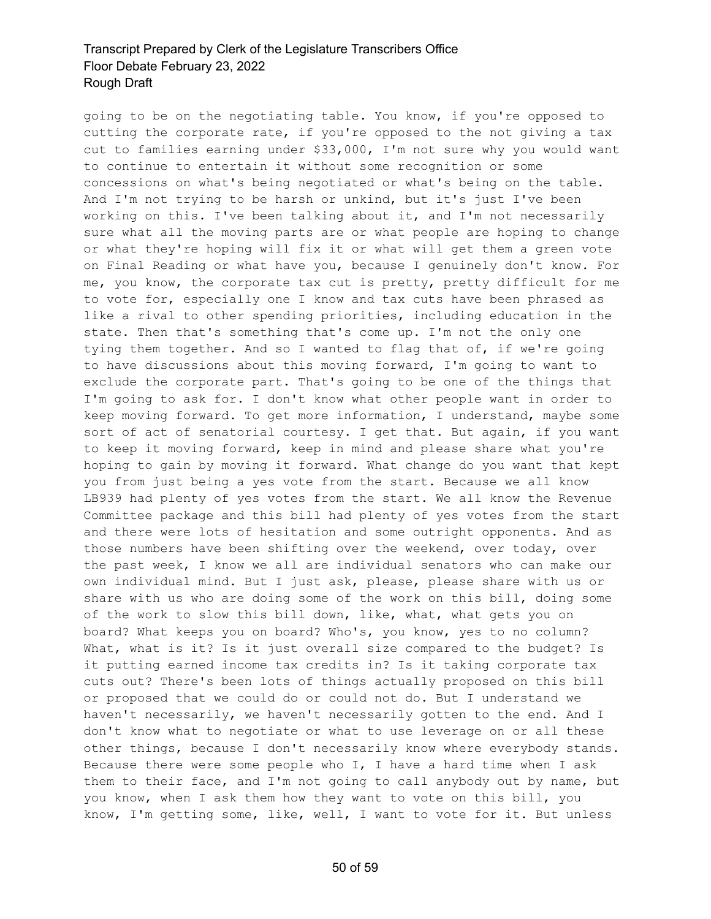going to be on the negotiating table. You know, if you're opposed to cutting the corporate rate, if you're opposed to the not giving a tax cut to families earning under \$33,000, I'm not sure why you would want to continue to entertain it without some recognition or some concessions on what's being negotiated or what's being on the table. And I'm not trying to be harsh or unkind, but it's just I've been working on this. I've been talking about it, and I'm not necessarily sure what all the moving parts are or what people are hoping to change or what they're hoping will fix it or what will get them a green vote on Final Reading or what have you, because I genuinely don't know. For me, you know, the corporate tax cut is pretty, pretty difficult for me to vote for, especially one I know and tax cuts have been phrased as like a rival to other spending priorities, including education in the state. Then that's something that's come up. I'm not the only one tying them together. And so I wanted to flag that of, if we're going to have discussions about this moving forward, I'm going to want to exclude the corporate part. That's going to be one of the things that I'm going to ask for. I don't know what other people want in order to keep moving forward. To get more information, I understand, maybe some sort of act of senatorial courtesy. I get that. But again, if you want to keep it moving forward, keep in mind and please share what you're hoping to gain by moving it forward. What change do you want that kept you from just being a yes vote from the start. Because we all know LB939 had plenty of yes votes from the start. We all know the Revenue Committee package and this bill had plenty of yes votes from the start and there were lots of hesitation and some outright opponents. And as those numbers have been shifting over the weekend, over today, over the past week, I know we all are individual senators who can make our own individual mind. But I just ask, please, please share with us or share with us who are doing some of the work on this bill, doing some of the work to slow this bill down, like, what, what gets you on board? What keeps you on board? Who's, you know, yes to no column? What, what is it? Is it just overall size compared to the budget? Is it putting earned income tax credits in? Is it taking corporate tax cuts out? There's been lots of things actually proposed on this bill or proposed that we could do or could not do. But I understand we haven't necessarily, we haven't necessarily gotten to the end. And I don't know what to negotiate or what to use leverage on or all these other things, because I don't necessarily know where everybody stands. Because there were some people who I, I have a hard time when I ask them to their face, and I'm not going to call anybody out by name, but you know, when I ask them how they want to vote on this bill, you know, I'm getting some, like, well, I want to vote for it. But unless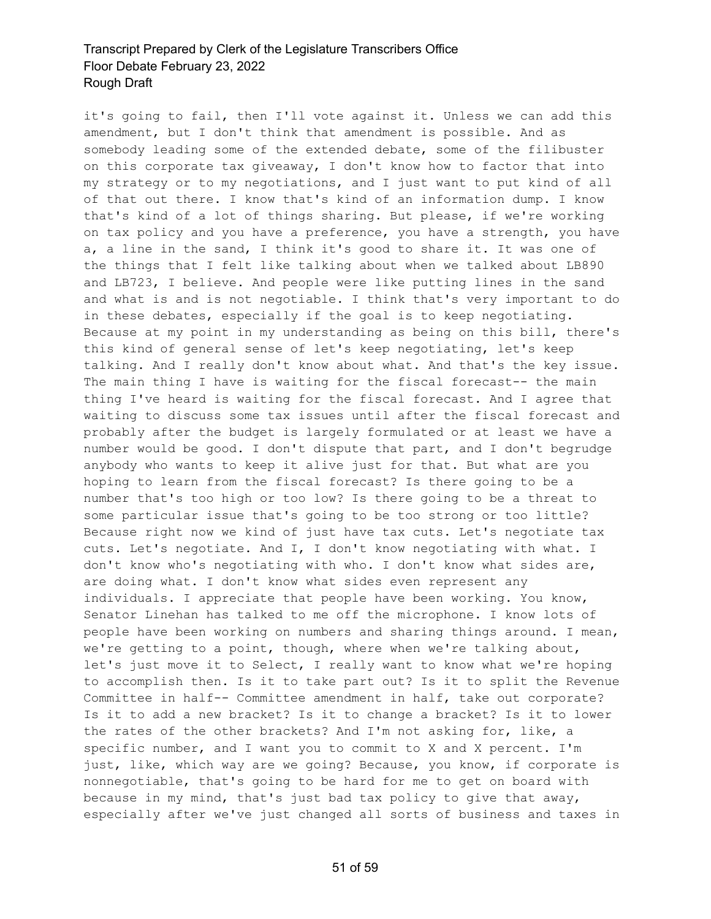it's going to fail, then I'll vote against it. Unless we can add this amendment, but I don't think that amendment is possible. And as somebody leading some of the extended debate, some of the filibuster on this corporate tax giveaway, I don't know how to factor that into my strategy or to my negotiations, and I just want to put kind of all of that out there. I know that's kind of an information dump. I know that's kind of a lot of things sharing. But please, if we're working on tax policy and you have a preference, you have a strength, you have a, a line in the sand, I think it's good to share it. It was one of the things that I felt like talking about when we talked about LB890 and LB723, I believe. And people were like putting lines in the sand and what is and is not negotiable. I think that's very important to do in these debates, especially if the goal is to keep negotiating. Because at my point in my understanding as being on this bill, there's this kind of general sense of let's keep negotiating, let's keep talking. And I really don't know about what. And that's the key issue. The main thing I have is waiting for the fiscal forecast-- the main thing I've heard is waiting for the fiscal forecast. And I agree that waiting to discuss some tax issues until after the fiscal forecast and probably after the budget is largely formulated or at least we have a number would be good. I don't dispute that part, and I don't begrudge anybody who wants to keep it alive just for that. But what are you hoping to learn from the fiscal forecast? Is there going to be a number that's too high or too low? Is there going to be a threat to some particular issue that's going to be too strong or too little? Because right now we kind of just have tax cuts. Let's negotiate tax cuts. Let's negotiate. And I, I don't know negotiating with what. I don't know who's negotiating with who. I don't know what sides are, are doing what. I don't know what sides even represent any individuals. I appreciate that people have been working. You know, Senator Linehan has talked to me off the microphone. I know lots of people have been working on numbers and sharing things around. I mean, we're getting to a point, though, where when we're talking about, let's just move it to Select, I really want to know what we're hoping to accomplish then. Is it to take part out? Is it to split the Revenue Committee in half-- Committee amendment in half, take out corporate? Is it to add a new bracket? Is it to change a bracket? Is it to lower the rates of the other brackets? And I'm not asking for, like, a specific number, and I want you to commit to X and X percent. I'm just, like, which way are we going? Because, you know, if corporate is nonnegotiable, that's going to be hard for me to get on board with because in my mind, that's just bad tax policy to give that away, especially after we've just changed all sorts of business and taxes in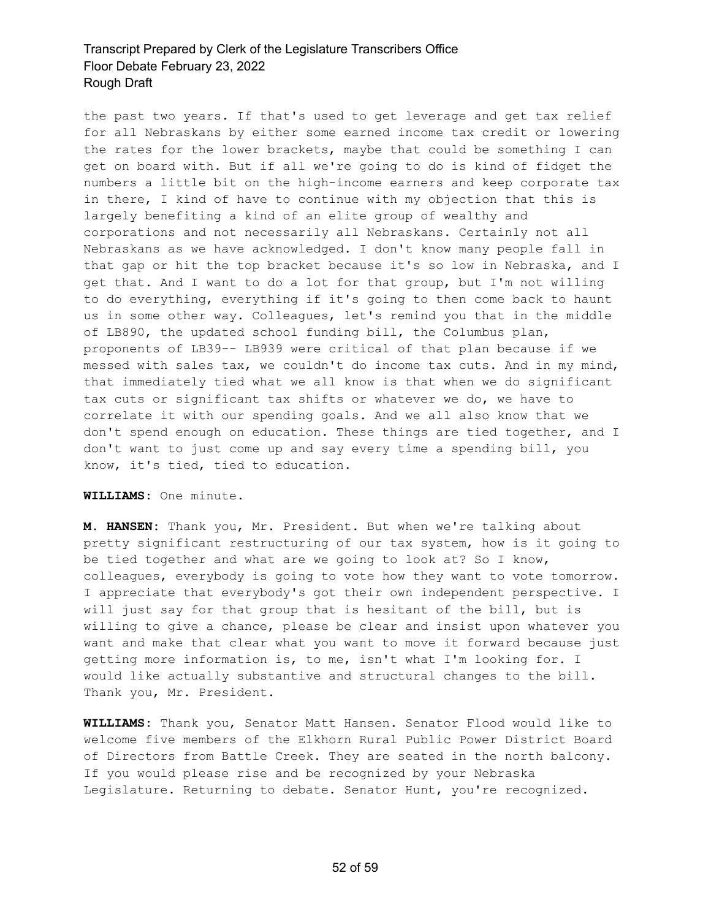the past two years. If that's used to get leverage and get tax relief for all Nebraskans by either some earned income tax credit or lowering the rates for the lower brackets, maybe that could be something I can get on board with. But if all we're going to do is kind of fidget the numbers a little bit on the high-income earners and keep corporate tax in there, I kind of have to continue with my objection that this is largely benefiting a kind of an elite group of wealthy and corporations and not necessarily all Nebraskans. Certainly not all Nebraskans as we have acknowledged. I don't know many people fall in that gap or hit the top bracket because it's so low in Nebraska, and I get that. And I want to do a lot for that group, but I'm not willing to do everything, everything if it's going to then come back to haunt us in some other way. Colleagues, let's remind you that in the middle of LB890, the updated school funding bill, the Columbus plan, proponents of LB39-- LB939 were critical of that plan because if we messed with sales tax, we couldn't do income tax cuts. And in my mind, that immediately tied what we all know is that when we do significant tax cuts or significant tax shifts or whatever we do, we have to correlate it with our spending goals. And we all also know that we don't spend enough on education. These things are tied together, and I don't want to just come up and say every time a spending bill, you know, it's tied, tied to education.

#### **WILLIAMS:** One minute.

**M. HANSEN:** Thank you, Mr. President. But when we're talking about pretty significant restructuring of our tax system, how is it going to be tied together and what are we going to look at? So I know, colleagues, everybody is going to vote how they want to vote tomorrow. I appreciate that everybody's got their own independent perspective. I will just say for that group that is hesitant of the bill, but is willing to give a chance, please be clear and insist upon whatever you want and make that clear what you want to move it forward because just getting more information is, to me, isn't what I'm looking for. I would like actually substantive and structural changes to the bill. Thank you, Mr. President.

**WILLIAMS:** Thank you, Senator Matt Hansen. Senator Flood would like to welcome five members of the Elkhorn Rural Public Power District Board of Directors from Battle Creek. They are seated in the north balcony. If you would please rise and be recognized by your Nebraska Legislature. Returning to debate. Senator Hunt, you're recognized.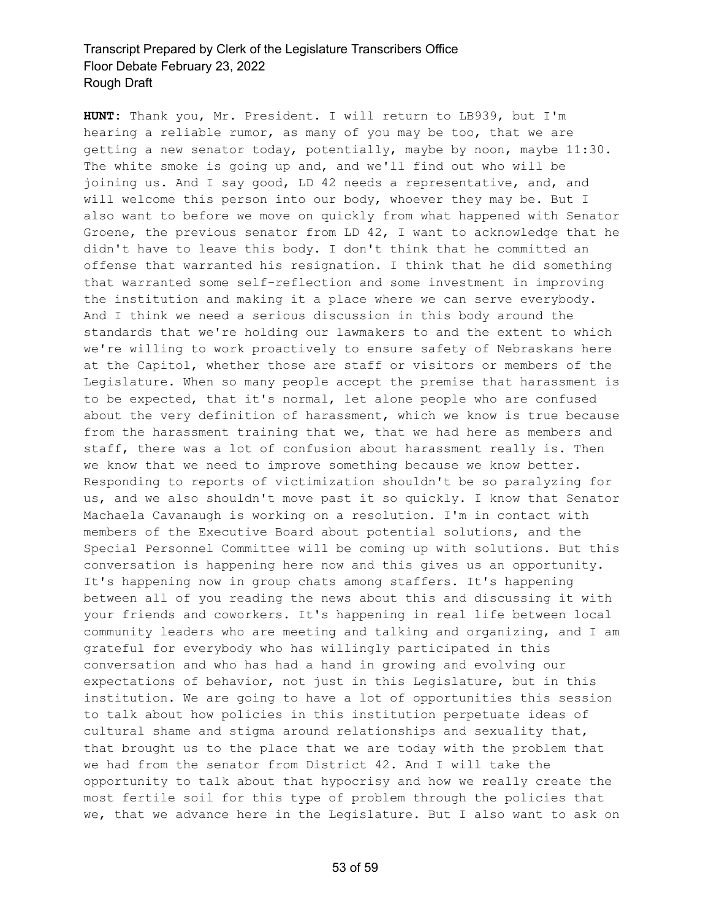**HUNT:** Thank you, Mr. President. I will return to LB939, but I'm hearing a reliable rumor, as many of you may be too, that we are getting a new senator today, potentially, maybe by noon, maybe 11:30. The white smoke is going up and, and we'll find out who will be joining us. And I say good, LD 42 needs a representative, and, and will welcome this person into our body, whoever they may be. But I also want to before we move on quickly from what happened with Senator Groene, the previous senator from LD 42, I want to acknowledge that he didn't have to leave this body. I don't think that he committed an offense that warranted his resignation. I think that he did something that warranted some self-reflection and some investment in improving the institution and making it a place where we can serve everybody. And I think we need a serious discussion in this body around the standards that we're holding our lawmakers to and the extent to which we're willing to work proactively to ensure safety of Nebraskans here at the Capitol, whether those are staff or visitors or members of the Legislature. When so many people accept the premise that harassment is to be expected, that it's normal, let alone people who are confused about the very definition of harassment, which we know is true because from the harassment training that we, that we had here as members and staff, there was a lot of confusion about harassment really is. Then we know that we need to improve something because we know better. Responding to reports of victimization shouldn't be so paralyzing for us, and we also shouldn't move past it so quickly. I know that Senator Machaela Cavanaugh is working on a resolution. I'm in contact with members of the Executive Board about potential solutions, and the Special Personnel Committee will be coming up with solutions. But this conversation is happening here now and this gives us an opportunity. It's happening now in group chats among staffers. It's happening between all of you reading the news about this and discussing it with your friends and coworkers. It's happening in real life between local community leaders who are meeting and talking and organizing, and I am grateful for everybody who has willingly participated in this conversation and who has had a hand in growing and evolving our expectations of behavior, not just in this Legislature, but in this institution. We are going to have a lot of opportunities this session to talk about how policies in this institution perpetuate ideas of cultural shame and stigma around relationships and sexuality that, that brought us to the place that we are today with the problem that we had from the senator from District 42. And I will take the opportunity to talk about that hypocrisy and how we really create the most fertile soil for this type of problem through the policies that we, that we advance here in the Legislature. But I also want to ask on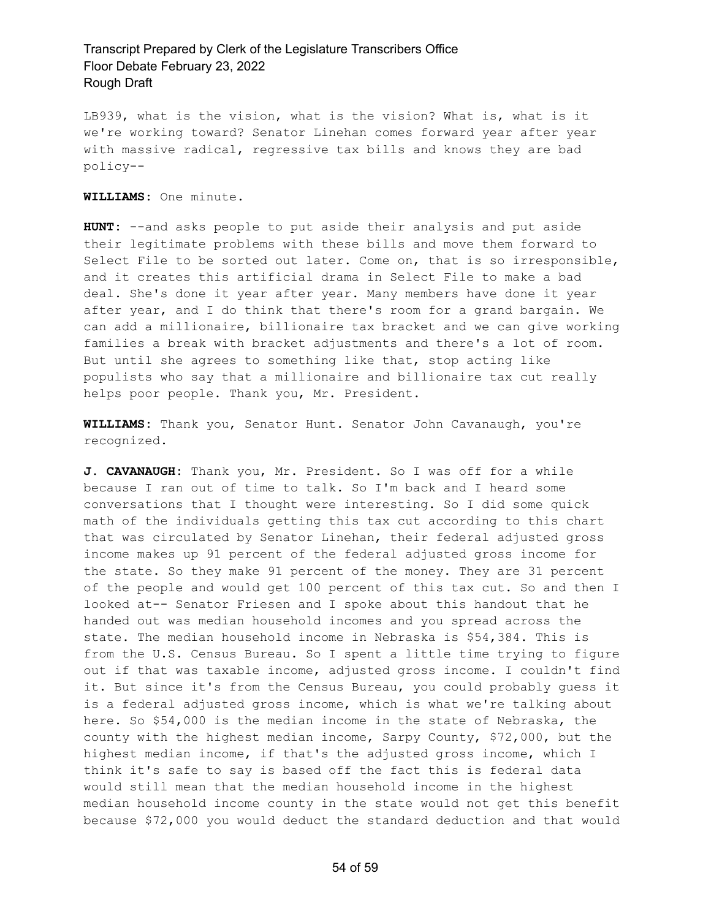LB939, what is the vision, what is the vision? What is, what is it we're working toward? Senator Linehan comes forward year after year with massive radical, regressive tax bills and knows they are bad policy--

#### **WILLIAMS:** One minute.

**HUNT:** --and asks people to put aside their analysis and put aside their legitimate problems with these bills and move them forward to Select File to be sorted out later. Come on, that is so irresponsible, and it creates this artificial drama in Select File to make a bad deal. She's done it year after year. Many members have done it year after year, and I do think that there's room for a grand bargain. We can add a millionaire, billionaire tax bracket and we can give working families a break with bracket adjustments and there's a lot of room. But until she agrees to something like that, stop acting like populists who say that a millionaire and billionaire tax cut really helps poor people. Thank you, Mr. President.

**WILLIAMS:** Thank you, Senator Hunt. Senator John Cavanaugh, you're recognized.

**J. CAVANAUGH:** Thank you, Mr. President. So I was off for a while because I ran out of time to talk. So I'm back and I heard some conversations that I thought were interesting. So I did some quick math of the individuals getting this tax cut according to this chart that was circulated by Senator Linehan, their federal adjusted gross income makes up 91 percent of the federal adjusted gross income for the state. So they make 91 percent of the money. They are 31 percent of the people and would get 100 percent of this tax cut. So and then I looked at-- Senator Friesen and I spoke about this handout that he handed out was median household incomes and you spread across the state. The median household income in Nebraska is \$54,384. This is from the U.S. Census Bureau. So I spent a little time trying to figure out if that was taxable income, adjusted gross income. I couldn't find it. But since it's from the Census Bureau, you could probably guess it is a federal adjusted gross income, which is what we're talking about here. So \$54,000 is the median income in the state of Nebraska, the county with the highest median income, Sarpy County, \$72,000, but the highest median income, if that's the adjusted gross income, which I think it's safe to say is based off the fact this is federal data would still mean that the median household income in the highest median household income county in the state would not get this benefit because \$72,000 you would deduct the standard deduction and that would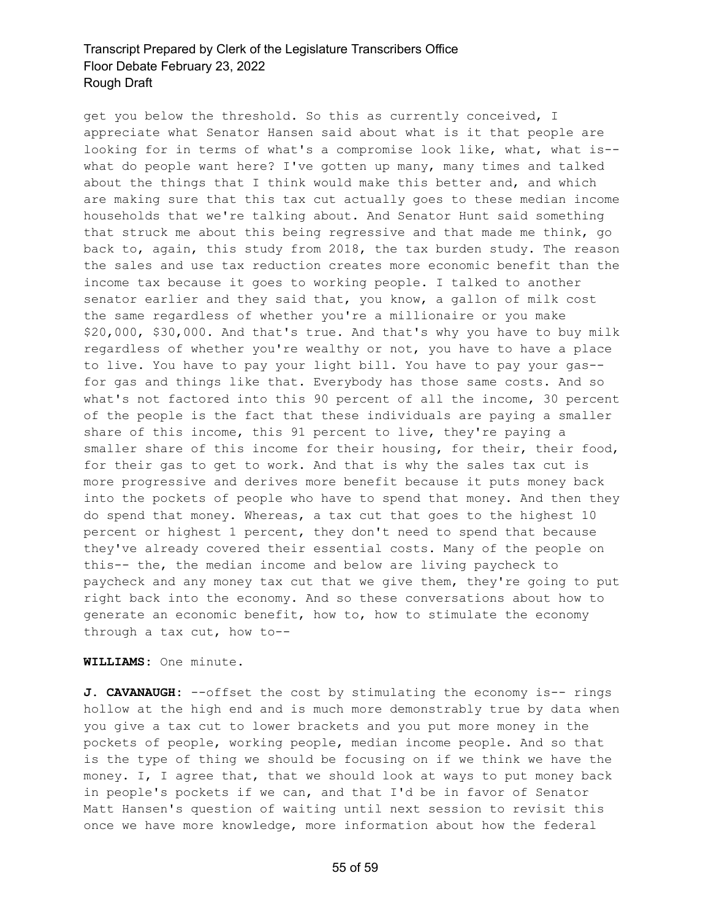get you below the threshold. So this as currently conceived, I appreciate what Senator Hansen said about what is it that people are looking for in terms of what's a compromise look like, what, what is-what do people want here? I've gotten up many, many times and talked about the things that I think would make this better and, and which are making sure that this tax cut actually goes to these median income households that we're talking about. And Senator Hunt said something that struck me about this being regressive and that made me think, go back to, again, this study from 2018, the tax burden study. The reason the sales and use tax reduction creates more economic benefit than the income tax because it goes to working people. I talked to another senator earlier and they said that, you know, a gallon of milk cost the same regardless of whether you're a millionaire or you make \$20,000, \$30,000. And that's true. And that's why you have to buy milk regardless of whether you're wealthy or not, you have to have a place to live. You have to pay your light bill. You have to pay your gas- for gas and things like that. Everybody has those same costs. And so what's not factored into this 90 percent of all the income, 30 percent of the people is the fact that these individuals are paying a smaller share of this income, this 91 percent to live, they're paying a smaller share of this income for their housing, for their, their food, for their gas to get to work. And that is why the sales tax cut is more progressive and derives more benefit because it puts money back into the pockets of people who have to spend that money. And then they do spend that money. Whereas, a tax cut that goes to the highest 10 percent or highest 1 percent, they don't need to spend that because they've already covered their essential costs. Many of the people on this-- the, the median income and below are living paycheck to paycheck and any money tax cut that we give them, they're going to put right back into the economy. And so these conversations about how to generate an economic benefit, how to, how to stimulate the economy through a tax cut, how to--

**WILLIAMS:** One minute.

**J. CAVANAUGH:** --offset the cost by stimulating the economy is-- rings hollow at the high end and is much more demonstrably true by data when you give a tax cut to lower brackets and you put more money in the pockets of people, working people, median income people. And so that is the type of thing we should be focusing on if we think we have the money. I, I agree that, that we should look at ways to put money back in people's pockets if we can, and that I'd be in favor of Senator Matt Hansen's question of waiting until next session to revisit this once we have more knowledge, more information about how the federal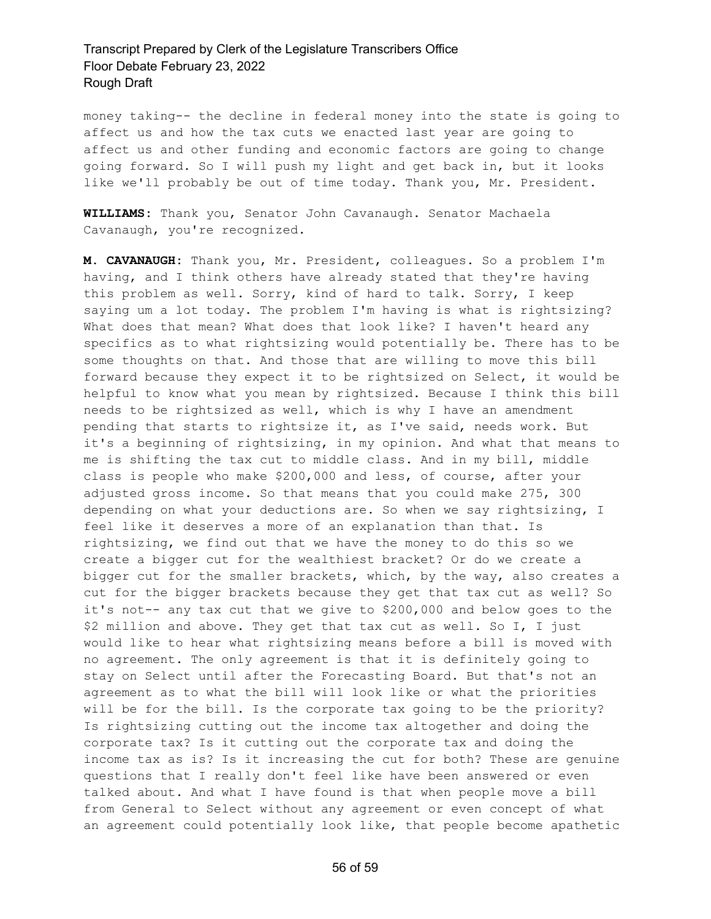money taking-- the decline in federal money into the state is going to affect us and how the tax cuts we enacted last year are going to affect us and other funding and economic factors are going to change going forward. So I will push my light and get back in, but it looks like we'll probably be out of time today. Thank you, Mr. President.

**WILLIAMS:** Thank you, Senator John Cavanaugh. Senator Machaela Cavanaugh, you're recognized.

**M. CAVANAUGH:** Thank you, Mr. President, colleagues. So a problem I'm having, and I think others have already stated that they're having this problem as well. Sorry, kind of hard to talk. Sorry, I keep saying um a lot today. The problem I'm having is what is rightsizing? What does that mean? What does that look like? I haven't heard any specifics as to what rightsizing would potentially be. There has to be some thoughts on that. And those that are willing to move this bill forward because they expect it to be rightsized on Select, it would be helpful to know what you mean by rightsized. Because I think this bill needs to be rightsized as well, which is why I have an amendment pending that starts to rightsize it, as I've said, needs work. But it's a beginning of rightsizing, in my opinion. And what that means to me is shifting the tax cut to middle class. And in my bill, middle class is people who make \$200,000 and less, of course, after your adjusted gross income. So that means that you could make 275, 300 depending on what your deductions are. So when we say rightsizing, I feel like it deserves a more of an explanation than that. Is rightsizing, we find out that we have the money to do this so we create a bigger cut for the wealthiest bracket? Or do we create a bigger cut for the smaller brackets, which, by the way, also creates a cut for the bigger brackets because they get that tax cut as well? So it's not-- any tax cut that we give to \$200,000 and below goes to the \$2 million and above. They get that tax cut as well. So I, I just would like to hear what rightsizing means before a bill is moved with no agreement. The only agreement is that it is definitely going to stay on Select until after the Forecasting Board. But that's not an agreement as to what the bill will look like or what the priorities will be for the bill. Is the corporate tax going to be the priority? Is rightsizing cutting out the income tax altogether and doing the corporate tax? Is it cutting out the corporate tax and doing the income tax as is? Is it increasing the cut for both? These are genuine questions that I really don't feel like have been answered or even talked about. And what I have found is that when people move a bill from General to Select without any agreement or even concept of what an agreement could potentially look like, that people become apathetic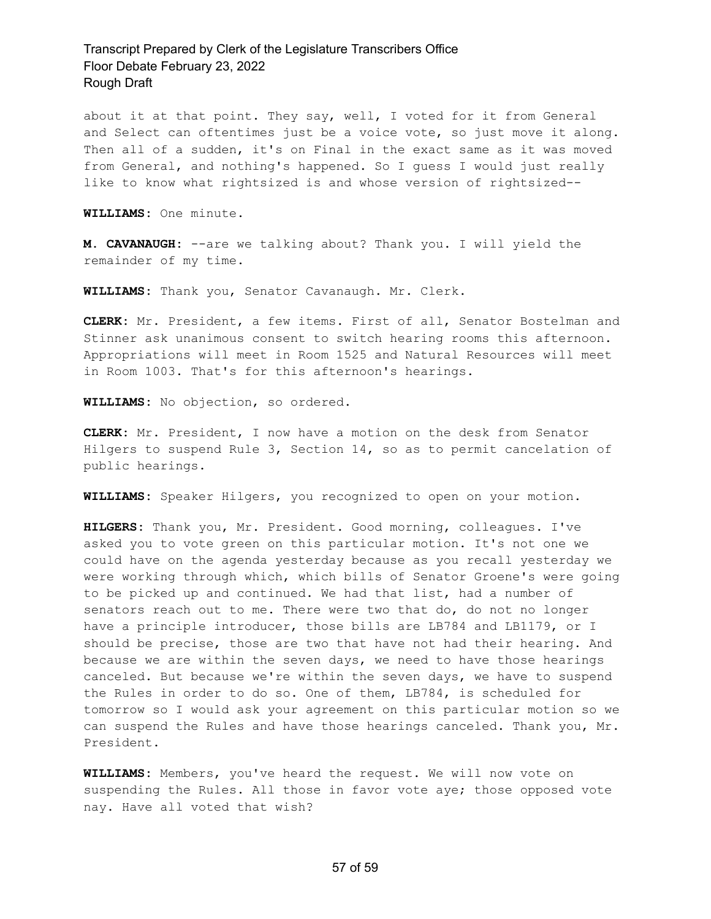about it at that point. They say, well, I voted for it from General and Select can oftentimes just be a voice vote, so just move it along. Then all of a sudden, it's on Final in the exact same as it was moved from General, and nothing's happened. So I guess I would just really like to know what rightsized is and whose version of rightsized--

**WILLIAMS:** One minute.

**M. CAVANAUGH:** --are we talking about? Thank you. I will yield the remainder of my time.

**WILLIAMS:** Thank you, Senator Cavanaugh. Mr. Clerk.

**CLERK:** Mr. President, a few items. First of all, Senator Bostelman and Stinner ask unanimous consent to switch hearing rooms this afternoon. Appropriations will meet in Room 1525 and Natural Resources will meet in Room 1003. That's for this afternoon's hearings.

**WILLIAMS:** No objection, so ordered.

**CLERK:** Mr. President, I now have a motion on the desk from Senator Hilgers to suspend Rule 3, Section 14, so as to permit cancelation of public hearings.

**WILLIAMS:** Speaker Hilgers, you recognized to open on your motion.

**HILGERS:** Thank you, Mr. President. Good morning, colleagues. I've asked you to vote green on this particular motion. It's not one we could have on the agenda yesterday because as you recall yesterday we were working through which, which bills of Senator Groene's were going to be picked up and continued. We had that list, had a number of senators reach out to me. There were two that do, do not no longer have a principle introducer, those bills are LB784 and LB1179, or I should be precise, those are two that have not had their hearing. And because we are within the seven days, we need to have those hearings canceled. But because we're within the seven days, we have to suspend the Rules in order to do so. One of them, LB784, is scheduled for tomorrow so I would ask your agreement on this particular motion so we can suspend the Rules and have those hearings canceled. Thank you, Mr. President.

**WILLIAMS:** Members, you've heard the request. We will now vote on suspending the Rules. All those in favor vote aye; those opposed vote nay. Have all voted that wish?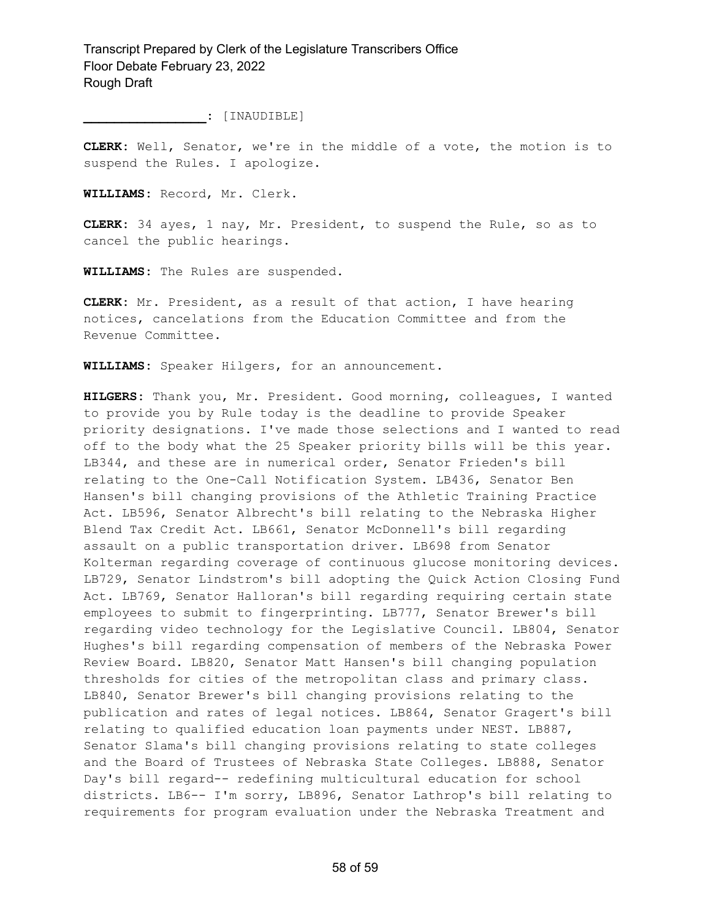**\_\_\_\_\_\_\_\_\_\_\_\_\_\_\_\_:** [INAUDIBLE]

**CLERK:** Well, Senator, we're in the middle of a vote, the motion is to suspend the Rules. I apologize.

**WILLIAMS:** Record, Mr. Clerk.

**CLERK:** 34 ayes, 1 nay, Mr. President, to suspend the Rule, so as to cancel the public hearings.

**WILLIAMS:** The Rules are suspended.

**CLERK:** Mr. President, as a result of that action, I have hearing notices, cancelations from the Education Committee and from the Revenue Committee.

**WILLIAMS:** Speaker Hilgers, for an announcement.

**HILGERS:** Thank you, Mr. President. Good morning, colleagues, I wanted to provide you by Rule today is the deadline to provide Speaker priority designations. I've made those selections and I wanted to read off to the body what the 25 Speaker priority bills will be this year. LB344, and these are in numerical order, Senator Frieden's bill relating to the One-Call Notification System. LB436, Senator Ben Hansen's bill changing provisions of the Athletic Training Practice Act. LB596, Senator Albrecht's bill relating to the Nebraska Higher Blend Tax Credit Act. LB661, Senator McDonnell's bill regarding assault on a public transportation driver. LB698 from Senator Kolterman regarding coverage of continuous glucose monitoring devices. LB729, Senator Lindstrom's bill adopting the Quick Action Closing Fund Act. LB769, Senator Halloran's bill regarding requiring certain state employees to submit to fingerprinting. LB777, Senator Brewer's bill regarding video technology for the Legislative Council. LB804, Senator Hughes's bill regarding compensation of members of the Nebraska Power Review Board. LB820, Senator Matt Hansen's bill changing population thresholds for cities of the metropolitan class and primary class. LB840, Senator Brewer's bill changing provisions relating to the publication and rates of legal notices. LB864, Senator Gragert's bill relating to qualified education loan payments under NEST. LB887, Senator Slama's bill changing provisions relating to state colleges and the Board of Trustees of Nebraska State Colleges. LB888, Senator Day's bill regard-- redefining multicultural education for school districts. LB6-- I'm sorry, LB896, Senator Lathrop's bill relating to requirements for program evaluation under the Nebraska Treatment and